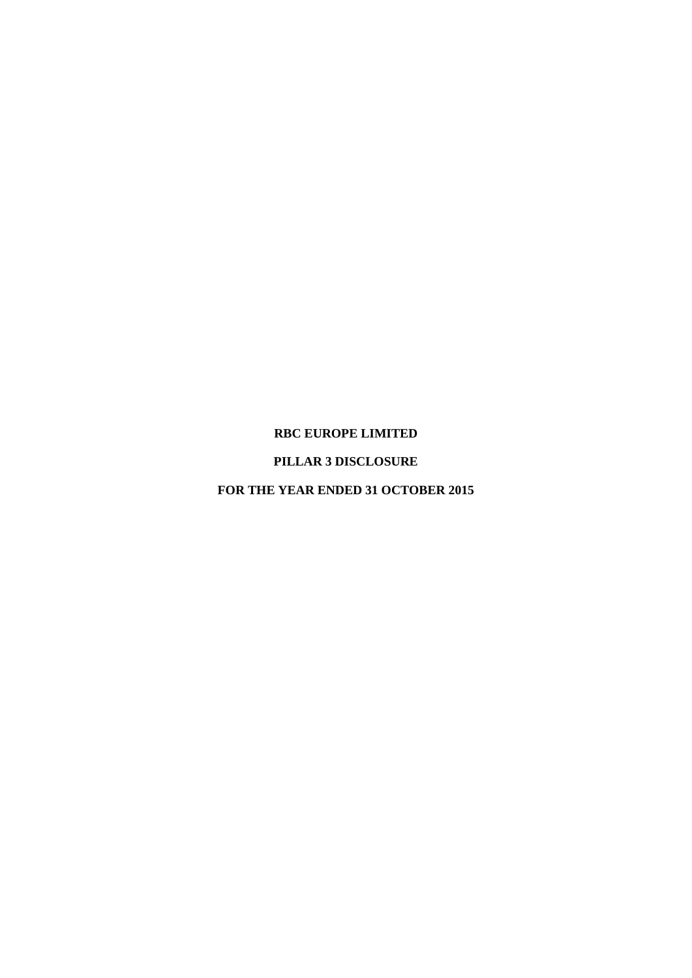### **RBC EUROPE LIMITED**

# **PILLAR 3 DISCLOSURE**

### **FOR THE YEAR ENDED 31 OCTOBER 2015**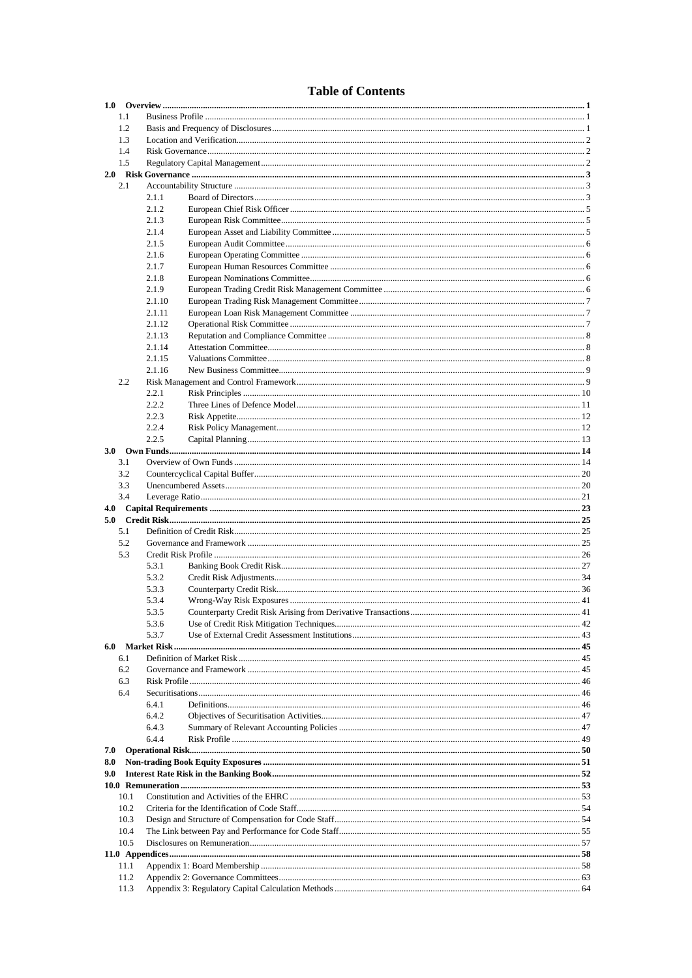# **Table of Contents**

| 1.1          |        |  |
|--------------|--------|--|
| 1.2          |        |  |
| 1.3          |        |  |
|              |        |  |
| 1.4          |        |  |
| 1.5          |        |  |
|              |        |  |
| 2.1          |        |  |
|              | 2.1.1  |  |
|              | 2.1.2  |  |
|              |        |  |
|              | 2.1.3  |  |
|              | 2.1.4  |  |
|              | 2.1.5  |  |
|              | 2.1.6  |  |
|              | 2.1.7  |  |
|              | 2.1.8  |  |
|              |        |  |
|              | 2.1.9  |  |
|              | 2.1.10 |  |
|              | 2.1.11 |  |
|              | 2.1.12 |  |
|              | 2.1.13 |  |
|              | 2.1.14 |  |
|              | 2.1.15 |  |
|              |        |  |
|              | 2.1.16 |  |
| 2.2          |        |  |
|              | 2.2.1  |  |
|              | 2.2.2  |  |
|              | 2.2.3  |  |
|              | 2.2.4  |  |
|              | 2.2.5  |  |
|              |        |  |
| 3.1          |        |  |
| 3.2          |        |  |
|              |        |  |
| 3.3          |        |  |
|              |        |  |
| 3.4          |        |  |
|              |        |  |
|              |        |  |
| 5.1          |        |  |
| 5.2          |        |  |
| 5.3          |        |  |
|              | 5.3.1  |  |
|              |        |  |
|              | 5.3.2  |  |
|              | 5.3.3  |  |
|              | 5.3.4  |  |
|              | 5.3.5  |  |
|              | 5.3.6  |  |
|              | 5.3.7  |  |
| 6.0          |        |  |
| 6.1          |        |  |
| 6.2          |        |  |
| 6.3          |        |  |
| 6.4          |        |  |
|              | 641    |  |
|              |        |  |
|              | 6.4.2  |  |
|              | 6.4.3  |  |
|              | 6.4.4  |  |
| 7.0          |        |  |
| 8.0          |        |  |
| 9.0          |        |  |
|              |        |  |
| 10.1         |        |  |
| 10.2         |        |  |
| 10.3         |        |  |
|              |        |  |
| 10.4         |        |  |
| 10.5         |        |  |
|              |        |  |
| 11.1         |        |  |
| 11.2<br>11.3 |        |  |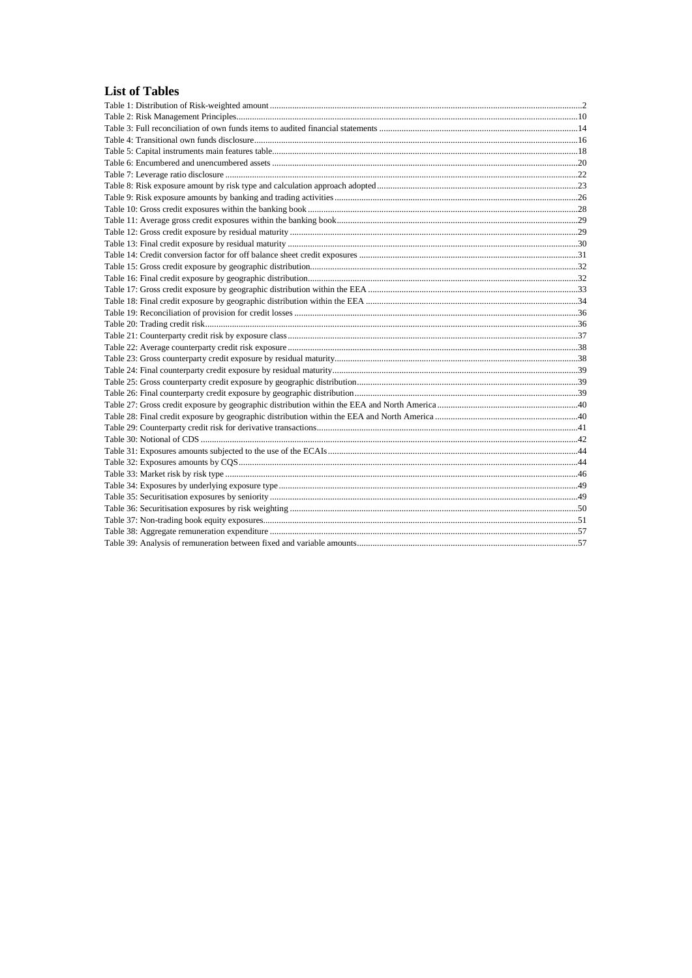# **List of Tables**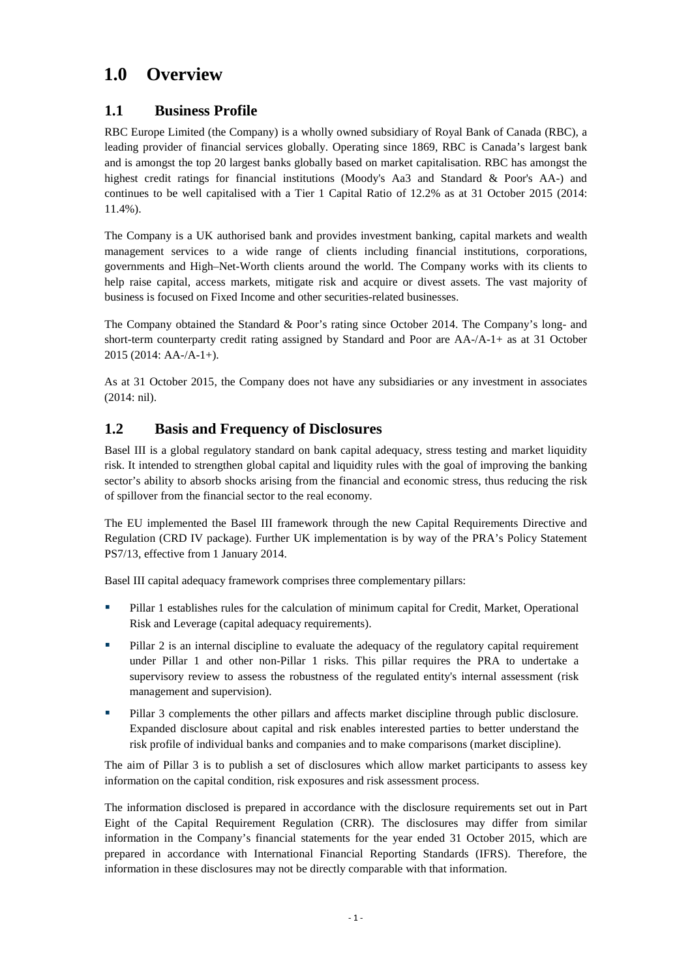# <span id="page-3-0"></span>**1.0 Overview**

# <span id="page-3-1"></span>**1.1 Business Profile**

RBC Europe Limited (the Company) is a wholly owned subsidiary of Royal Bank of Canada (RBC), a leading provider of financial services globally. Operating since 1869, RBC is Canada's largest bank and is amongst the top 20 largest banks globally based on market capitalisation. RBC has amongst the highest credit ratings for financial institutions (Moody's Aa3 and Standard & Poor's AA-) and continues to be well capitalised with a Tier 1 Capital Ratio of 12.2% as at 31 October 2015 (2014: 11.4%).

The Company is a UK authorised bank and provides investment banking, capital markets and wealth management services to a wide range of clients including financial institutions, corporations, governments and High–Net-Worth clients around the world. The Company works with its clients to help raise capital, access markets, mitigate risk and acquire or divest assets. The vast majority of business is focused on Fixed Income and other securities-related businesses.

The Company obtained the Standard & Poor's rating since October 2014. The Company's long- and short-term counterparty credit rating assigned by Standard and Poor are AA-/A-1+ as at 31 October 2015 (2014: AA-/A-1+).

As at 31 October 2015, the Company does not have any subsidiaries or any investment in associates (2014: nil).

# <span id="page-3-2"></span>**1.2 Basis and Frequency of Disclosures**

Basel III is a global regulatory standard on bank capital adequacy, stress testing and market liquidity risk. It intended to strengthen global capital and liquidity rules with the goal of improving the banking sector's ability to absorb shocks arising from the financial and economic stress, thus reducing the risk of spillover from the financial sector to the real economy.

The EU implemented the Basel III framework through the new Capital Requirements Directive and Regulation (CRD IV package). Further UK implementation is by way of the PRA's Policy Statement PS7/13, effective from 1 January 2014.

Basel III capital adequacy framework comprises three complementary pillars:

- Pillar 1 establishes rules for the calculation of minimum capital for Credit, Market, Operational Risk and Leverage (capital adequacy requirements).
- Pillar 2 is an internal discipline to evaluate the adequacy of the regulatory capital requirement under Pillar 1 and other non-Pillar 1 risks. This pillar requires the PRA to undertake a supervisory review to assess the robustness of the regulated entity's internal assessment (risk management and supervision).
- **Pillar 3 complements the other pillars and affects market discipline through public disclosure.** Expanded disclosure about capital and risk enables interested parties to better understand the risk profile of individual banks and companies and to make comparisons (market discipline).

The aim of Pillar 3 is to publish a set of disclosures which allow market participants to assess key information on the capital condition, risk exposures and risk assessment process.

The information disclosed is prepared in accordance with the disclosure requirements set out in Part Eight of the Capital Requirement Regulation (CRR). The disclosures may differ from similar information in the Company's financial statements for the year ended 31 October 2015, which are prepared in accordance with International Financial Reporting Standards (IFRS). Therefore, the information in these disclosures may not be directly comparable with that information.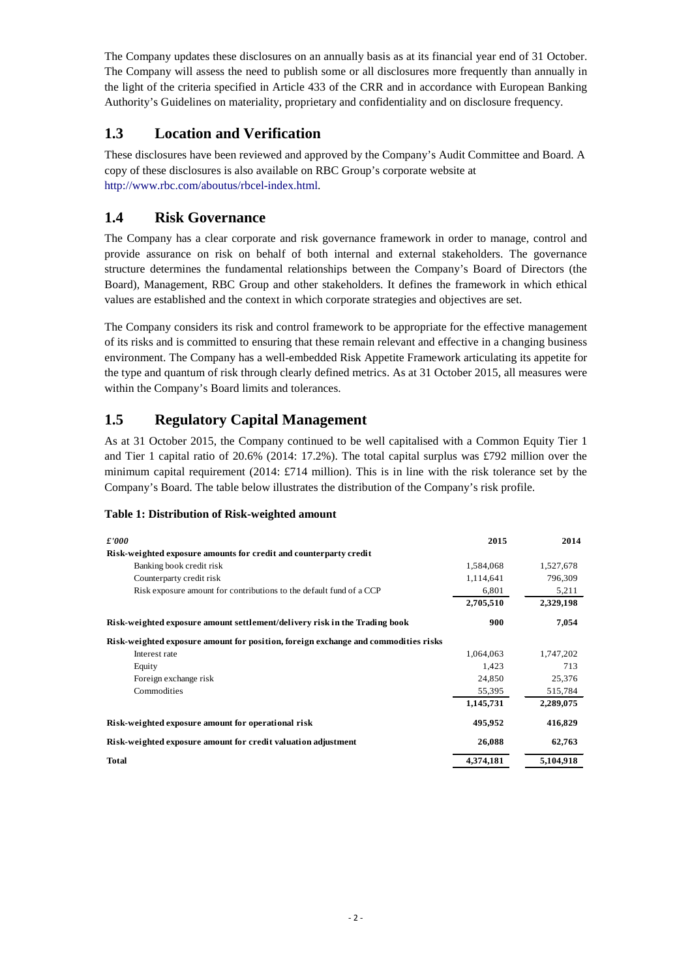The Company updates these disclosures on an annually basis as at its financial year end of 31 October. The Company will assess the need to publish some or all disclosures more frequently than annually in the light of the criteria specified in Article 433 of the CRR and in accordance with European Banking Authority's Guidelines on materiality, proprietary and confidentiality and on disclosure frequency.

# <span id="page-4-0"></span>**1.3 Location and Verification**

These disclosures have been reviewed and approved by the Company's Audit Committee and Board. A copy of these disclosures is also available on RBC Group's corporate website at http://www.rbc.com/aboutus/rbcel-index.html.

# <span id="page-4-1"></span>**1.4 Risk Governance**

The Company has a clear corporate and risk governance framework in order to manage, control and provide assurance on risk on behalf of both internal and external stakeholders. The governance structure determines the fundamental relationships between the Company's Board of Directors (the Board), Management, RBC Group and other stakeholders. It defines the framework in which ethical values are established and the context in which corporate strategies and objectives are set.

The Company considers its risk and control framework to be appropriate for the effective management of its risks and is committed to ensuring that these remain relevant and effective in a changing business environment. The Company has a well-embedded Risk Appetite Framework articulating its appetite for the type and quantum of risk through clearly defined metrics. As at 31 October 2015, all measures were within the Company's Board limits and tolerances.

# <span id="page-4-2"></span>**1.5 Regulatory Capital Management**

As at 31 October 2015, the Company continued to be well capitalised with a Common Equity Tier 1 and Tier 1 capital ratio of 20.6% (2014: 17.2%). The total capital surplus was £792 million over the minimum capital requirement (2014: £714 million). This is in line with the risk tolerance set by the Company's Board. The table below illustrates the distribution of the Company's risk profile.

### <span id="page-4-3"></span>**Table 1: Distribution of Risk-weighted amount**

| £'000                                                                              | 2015      | 2014      |
|------------------------------------------------------------------------------------|-----------|-----------|
| Risk-weighted exposure amounts for credit and counterparty credit                  |           |           |
| Banking book credit risk                                                           | 1,584,068 | 1,527,678 |
| Counterparty credit risk                                                           | 1,114,641 | 796,309   |
| Risk exposure amount for contributions to the default fund of a CCP                | 6,801     | 5,211     |
|                                                                                    | 2,705,510 | 2,329,198 |
| Risk-weighted exposure amount settlement/delivery risk in the Trading book         | 900       | 7,054     |
| Risk-weighted exposure amount for position, foreign exchange and commodities risks |           |           |
| Interest rate                                                                      | 1,064,063 | 1,747,202 |
| Equity                                                                             | 1,423     | 713       |
| Foreign exchange risk                                                              | 24,850    | 25,376    |
| Commodities                                                                        | 55,395    | 515,784   |
|                                                                                    | 1,145,731 | 2,289,075 |
| Risk-weighted exposure amount for operational risk                                 | 495,952   | 416,829   |
| Risk-weighted exposure amount for credit valuation adjustment                      | 26,088    | 62,763    |
| <b>Total</b>                                                                       | 4.374.181 | 5.104.918 |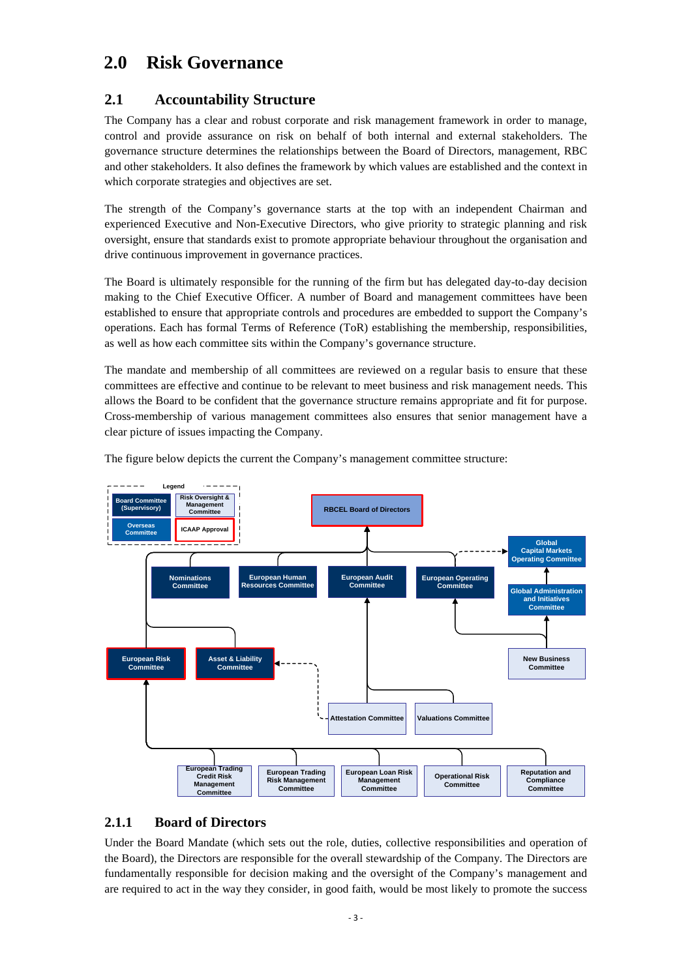# <span id="page-5-0"></span>**2.0 Risk Governance**

# <span id="page-5-1"></span>**2.1 Accountability Structure**

The Company has a clear and robust corporate and risk management framework in order to manage, control and provide assurance on risk on behalf of both internal and external stakeholders. The governance structure determines the relationships between the Board of Directors, management, RBC and other stakeholders. It also defines the framework by which values are established and the context in which corporate strategies and objectives are set.

The strength of the Company's governance starts at the top with an independent Chairman and experienced Executive and Non-Executive Directors, who give priority to strategic planning and risk oversight, ensure that standards exist to promote appropriate behaviour throughout the organisation and drive continuous improvement in governance practices.

The Board is ultimately responsible for the running of the firm but has delegated day-to-day decision making to the Chief Executive Officer. A number of Board and management committees have been established to ensure that appropriate controls and procedures are embedded to support the Company's operations. Each has formal Terms of Reference (ToR) establishing the membership, responsibilities, as well as how each committee sits within the Company's governance structure.

The mandate and membership of all committees are reviewed on a regular basis to ensure that these committees are effective and continue to be relevant to meet business and risk management needs. This allows the Board to be confident that the governance structure remains appropriate and fit for purpose. Cross-membership of various management committees also ensures that senior management have a clear picture of issues impacting the Company.

The figure below depicts the current the Company's management committee structure:



### <span id="page-5-2"></span>**2.1.1 Board of Directors**

Under the Board Mandate (which sets out the role, duties, collective responsibilities and operation of the Board), the Directors are responsible for the overall stewardship of the Company. The Directors are fundamentally responsible for decision making and the oversight of the Company's management and are required to act in the way they consider, in good faith, would be most likely to promote the success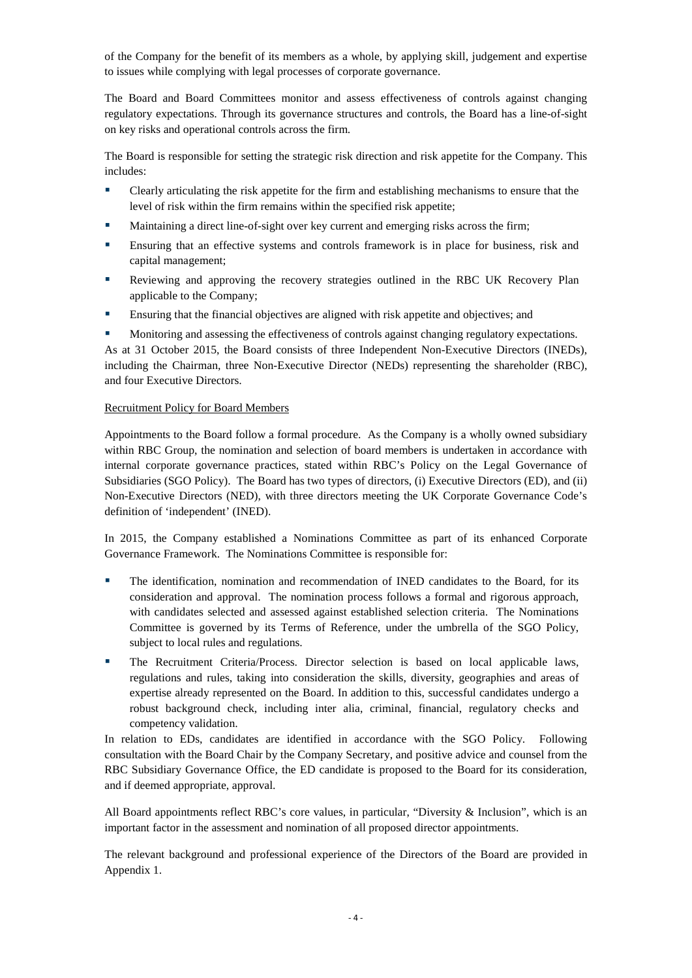of the Company for the benefit of its members as a whole, by applying skill, judgement and expertise to issues while complying with legal processes of corporate governance.

The Board and Board Committees monitor and assess effectiveness of controls against changing regulatory expectations. Through its governance structures and controls, the Board has a line-of-sight on key risks and operational controls across the firm.

The Board is responsible for setting the strategic risk direction and risk appetite for the Company. This includes:

- **•** Clearly articulating the risk appetite for the firm and establishing mechanisms to ensure that the level of risk within the firm remains within the specified risk appetite;
- Maintaining a direct line-of-sight over key current and emerging risks across the firm;
- Ensuring that an effective systems and controls framework is in place for business, risk and capital management;
- Reviewing and approving the recovery strategies outlined in the RBC UK Recovery Plan applicable to the Company;
- Ensuring that the financial objectives are aligned with risk appetite and objectives; and
- Monitoring and assessing the effectiveness of controls against changing regulatory expectations.

As at 31 October 2015, the Board consists of three Independent Non-Executive Directors (INEDs), including the Chairman, three Non-Executive Director (NEDs) representing the shareholder (RBC), and four Executive Directors.

#### Recruitment Policy for Board Members

Appointments to the Board follow a formal procedure. As the Company is a wholly owned subsidiary within RBC Group, the nomination and selection of board members is undertaken in accordance with internal corporate governance practices, stated within RBC's Policy on the Legal Governance of Subsidiaries (SGO Policy). The Board has two types of directors, (i) Executive Directors (ED), and (ii) Non-Executive Directors (NED), with three directors meeting the UK Corporate Governance Code's definition of 'independent' (INED).

In 2015, the Company established a Nominations Committee as part of its enhanced Corporate Governance Framework. The Nominations Committee is responsible for:

- The identification, nomination and recommendation of INED candidates to the Board, for its consideration and approval. The nomination process follows a formal and rigorous approach, with candidates selected and assessed against established selection criteria. The Nominations Committee is governed by its Terms of Reference, under the umbrella of the SGO Policy, subject to local rules and regulations.
- The Recruitment Criteria/Process. Director selection is based on local applicable laws, regulations and rules, taking into consideration the skills, diversity, geographies and areas of expertise already represented on the Board. In addition to this, successful candidates undergo a robust background check, including inter alia, criminal, financial, regulatory checks and competency validation.

In relation to EDs, candidates are identified in accordance with the SGO Policy. Following consultation with the Board Chair by the Company Secretary, and positive advice and counsel from the RBC Subsidiary Governance Office, the ED candidate is proposed to the Board for its consideration, and if deemed appropriate, approval.

All Board appointments reflect RBC's core values, in particular, "Diversity & Inclusion", which is an important factor in the assessment and nomination of all proposed director appointments.

The relevant background and professional experience of the Directors of the Board are provided in Appendix 1.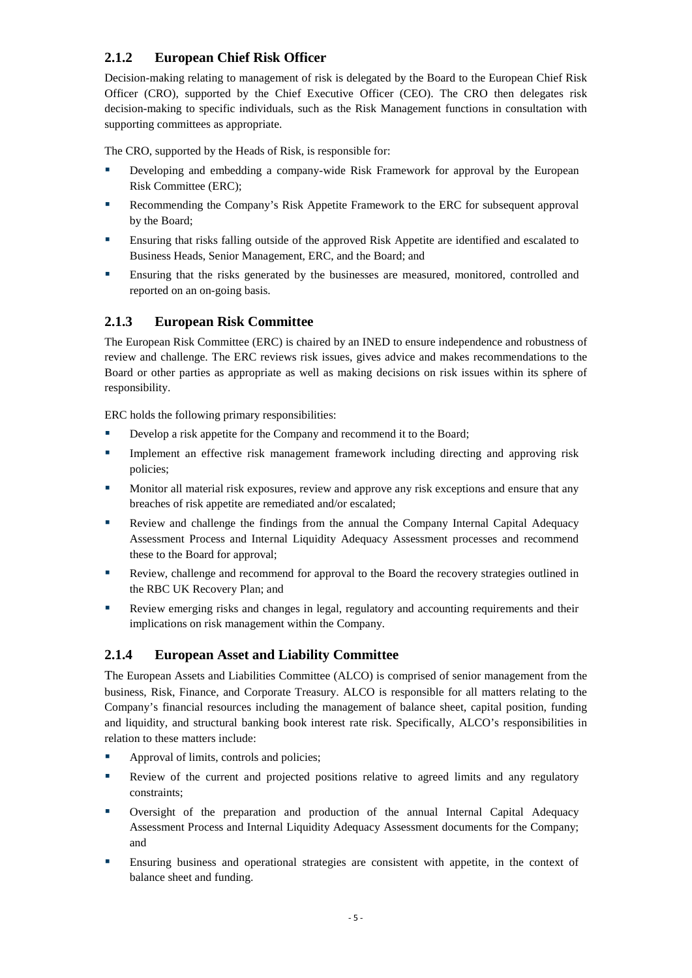# <span id="page-7-0"></span>**2.1.2 European Chief Risk Officer**

Decision-making relating to management of risk is delegated by the Board to the European Chief Risk Officer (CRO), supported by the Chief Executive Officer (CEO). The CRO then delegates risk decision-making to specific individuals, such as the Risk Management functions in consultation with supporting committees as appropriate.

The CRO, supported by the Heads of Risk, is responsible for:

- Developing and embedding a company-wide Risk Framework for approval by the European Risk Committee (ERC);
- Recommending the Company's Risk Appetite Framework to the ERC for subsequent approval by the Board;
- Ensuring that risks falling outside of the approved Risk Appetite are identified and escalated to Business Heads, Senior Management, ERC, and the Board; and
- Ensuring that the risks generated by the businesses are measured, monitored, controlled and reported on an on-going basis.

## <span id="page-7-1"></span>**2.1.3 European Risk Committee**

The European Risk Committee (ERC) is chaired by an INED to ensure independence and robustness of review and challenge. The ERC reviews risk issues, gives advice and makes recommendations to the Board or other parties as appropriate as well as making decisions on risk issues within its sphere of responsibility.

ERC holds the following primary responsibilities:

- Develop a risk appetite for the Company and recommend it to the Board;
- Implement an effective risk management framework including directing and approving risk policies;
- **Monitor all material risk exposures, review and approve any risk exceptions and ensure that any** breaches of risk appetite are remediated and/or escalated;
- **Review and challenge the findings from the annual the Company Internal Capital Adequacy** Assessment Process and Internal Liquidity Adequacy Assessment processes and recommend these to the Board for approval;
- Review, challenge and recommend for approval to the Board the recovery strategies outlined in the RBC UK Recovery Plan; and
- Review emerging risks and changes in legal, regulatory and accounting requirements and their implications on risk management within the Company.

## <span id="page-7-2"></span>**2.1.4 European Asset and Liability Committee**

The European Assets and Liabilities Committee (ALCO) is comprised of senior management from the business, Risk, Finance, and Corporate Treasury. ALCO is responsible for all matters relating to the Company's financial resources including the management of balance sheet, capital position, funding and liquidity, and structural banking book interest rate risk. Specifically, ALCO's responsibilities in relation to these matters include:

- Approval of limits, controls and policies;
- Review of the current and projected positions relative to agreed limits and any regulatory constraints;
- Oversight of the preparation and production of the annual Internal Capital Adequacy Assessment Process and Internal Liquidity Adequacy Assessment documents for the Company; and
- Ensuring business and operational strategies are consistent with appetite, in the context of balance sheet and funding.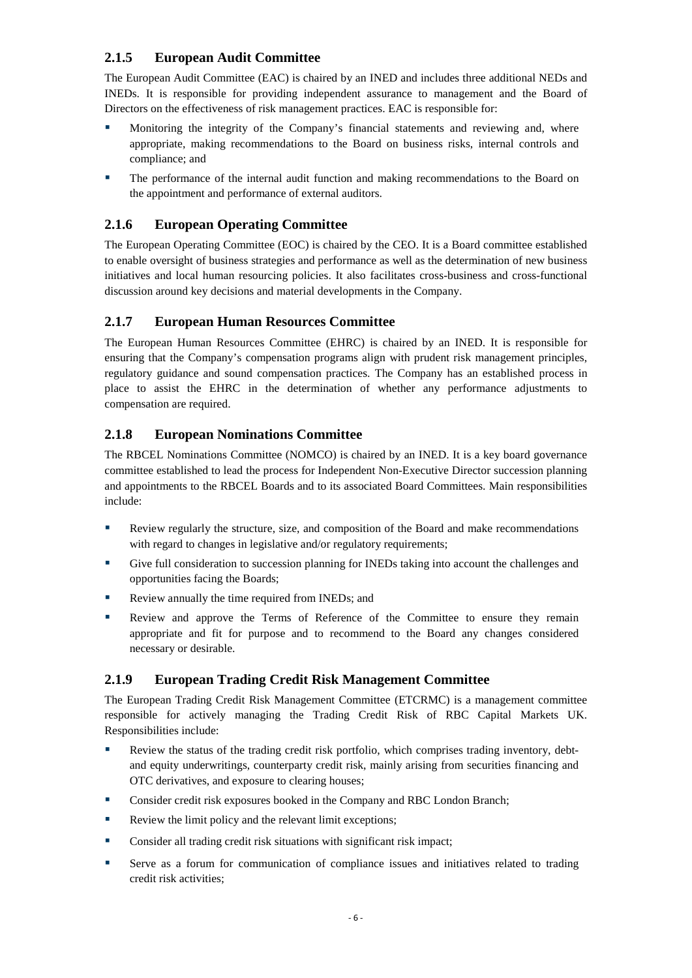## <span id="page-8-0"></span>**2.1.5 European Audit Committee**

The European Audit Committee (EAC) is chaired by an INED and includes three additional NEDs and INEDs. It is responsible for providing independent assurance to management and the Board of Directors on the effectiveness of risk management practices. EAC is responsible for:

- Monitoring the integrity of the Company's financial statements and reviewing and, where appropriate, making recommendations to the Board on business risks, internal controls and compliance; and
- The performance of the internal audit function and making recommendations to the Board on the appointment and performance of external auditors.

# <span id="page-8-1"></span>**2.1.6 European Operating Committee**

The European Operating Committee (EOC) is chaired by the CEO. It is a Board committee established to enable oversight of business strategies and performance as well as the determination of new business initiatives and local human resourcing policies. It also facilitates cross-business and cross-functional discussion around key decisions and material developments in the Company.

# <span id="page-8-2"></span>**2.1.7 European Human Resources Committee**

The European Human Resources Committee (EHRC) is chaired by an INED. It is responsible for ensuring that the Company's compensation programs align with prudent risk management principles, regulatory guidance and sound compensation practices. The Company has an established process in place to assist the EHRC in the determination of whether any performance adjustments to compensation are required.

# <span id="page-8-3"></span>**2.1.8 European Nominations Committee**

The RBCEL Nominations Committee (NOMCO) is chaired by an INED. It is a key board governance committee established to lead the process for Independent Non-Executive Director succession planning and appointments to the RBCEL Boards and to its associated Board Committees. Main responsibilities include:

- Review regularly the structure, size, and composition of the Board and make recommendations with regard to changes in legislative and/or regulatory requirements;
- Give full consideration to succession planning for INEDs taking into account the challenges and opportunities facing the Boards;
- Review annually the time required from INEDs; and
- Review and approve the Terms of Reference of the Committee to ensure they remain appropriate and fit for purpose and to recommend to the Board any changes considered necessary or desirable.

## <span id="page-8-4"></span>**2.1.9 European Trading Credit Risk Management Committee**

The European Trading Credit Risk Management Committee (ETCRMC) is a management committee responsible for actively managing the Trading Credit Risk of RBC Capital Markets UK. Responsibilities include:

- Review the status of the trading credit risk portfolio, which comprises trading inventory, debtand equity underwritings, counterparty credit risk, mainly arising from securities financing and OTC derivatives, and exposure to clearing houses;
- **Consider credit risk exposures booked in the Company and RBC London Branch;**
- Review the limit policy and the relevant limit exceptions;
- **Consider all trading credit risk situations with significant risk impact;**
- Serve as a forum for communication of compliance issues and initiatives related to trading credit risk activities;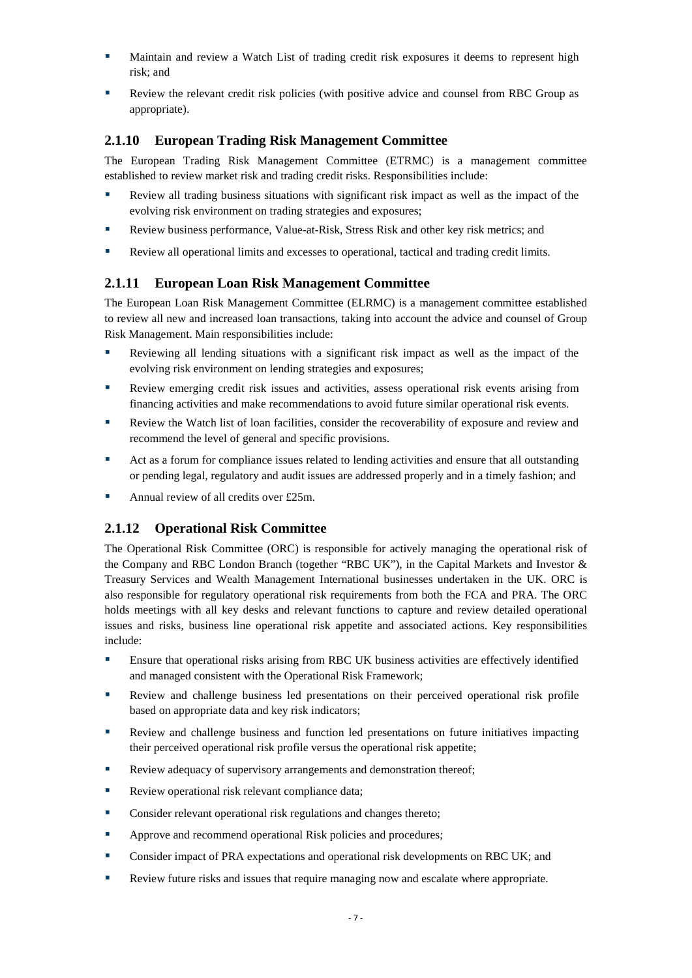- Maintain and review a Watch List of trading credit risk exposures it deems to represent high risk; and
- Review the relevant credit risk policies (with positive advice and counsel from RBC Group as appropriate).

### <span id="page-9-0"></span>**2.1.10 European Trading Risk Management Committee**

The European Trading Risk Management Committee (ETRMC) is a management committee established to review market risk and trading credit risks. Responsibilities include:

- Review all trading business situations with significant risk impact as well as the impact of the evolving risk environment on trading strategies and exposures;
- Review business performance, Value-at-Risk, Stress Risk and other key risk metrics; and
- Review all operational limits and excesses to operational, tactical and trading credit limits.

### <span id="page-9-1"></span>**2.1.11 European Loan Risk Management Committee**

The European Loan Risk Management Committee (ELRMC) is a management committee established to review all new and increased loan transactions, taking into account the advice and counsel of Group Risk Management. Main responsibilities include:

- Reviewing all lending situations with a significant risk impact as well as the impact of the evolving risk environment on lending strategies and exposures;
- Review emerging credit risk issues and activities, assess operational risk events arising from financing activities and make recommendations to avoid future similar operational risk events.
- Review the Watch list of loan facilities, consider the recoverability of exposure and review and recommend the level of general and specific provisions.
- **••** Act as a forum for compliance issues related to lending activities and ensure that all outstanding or pending legal, regulatory and audit issues are addressed properly and in a timely fashion; and
- Annual review of all credits over £25m.

### <span id="page-9-2"></span>**2.1.12 Operational Risk Committee**

The Operational Risk Committee (ORC) is responsible for actively managing the operational risk of the Company and RBC London Branch (together "RBC UK"), in the Capital Markets and Investor & Treasury Services and Wealth Management International businesses undertaken in the UK. ORC is also responsible for regulatory operational risk requirements from both the FCA and PRA. The ORC holds meetings with all key desks and relevant functions to capture and review detailed operational issues and risks, business line operational risk appetite and associated actions. Key responsibilities include:

- Ensure that operational risks arising from RBC UK business activities are effectively identified and managed consistent with the Operational Risk Framework;
- Review and challenge business led presentations on their perceived operational risk profile based on appropriate data and key risk indicators;
- Review and challenge business and function led presentations on future initiatives impacting their perceived operational risk profile versus the operational risk appetite;
- Review adequacy of supervisory arrangements and demonstration thereof;
- Review operational risk relevant compliance data;
- **Consider relevant operational risk regulations and changes thereto;**
- Approve and recommend operational Risk policies and procedures;
- Consider impact of PRA expectations and operational risk developments on RBC UK; and
- Review future risks and issues that require managing now and escalate where appropriate.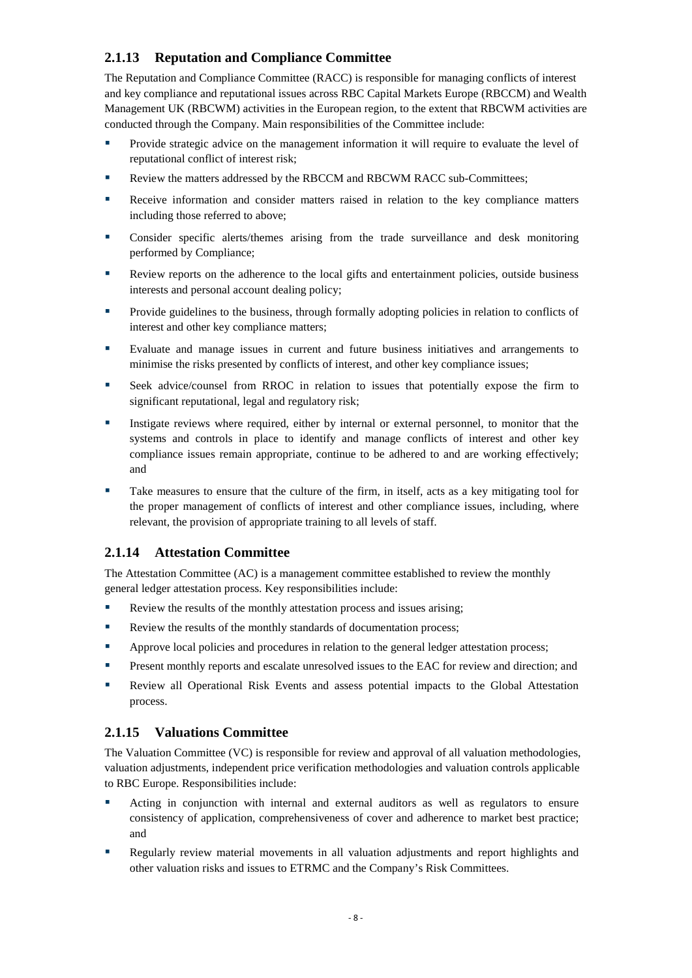## <span id="page-10-0"></span>**2.1.13 Reputation and Compliance Committee**

The Reputation and Compliance Committee (RACC) is responsible for managing conflicts of interest and key compliance and reputational issues across RBC Capital Markets Europe (RBCCM) and Wealth Management UK (RBCWM) activities in the European region, to the extent that RBCWM activities are conducted through the Company. Main responsibilities of the Committee include:

- Provide strategic advice on the management information it will require to evaluate the level of reputational conflict of interest risk;
- Review the matters addressed by the RBCCM and RBCWM RACC sub-Committees;
- Receive information and consider matters raised in relation to the key compliance matters including those referred to above;
- Consider specific alerts/themes arising from the trade surveillance and desk monitoring performed by Compliance;
- Review reports on the adherence to the local gifts and entertainment policies, outside business interests and personal account dealing policy;
- **Provide guidelines to the business, through formally adopting policies in relation to conflicts of** interest and other key compliance matters;
- Evaluate and manage issues in current and future business initiatives and arrangements to minimise the risks presented by conflicts of interest, and other key compliance issues;
- Seek advice/counsel from RROC in relation to issues that potentially expose the firm to significant reputational, legal and regulatory risk;
- Instigate reviews where required, either by internal or external personnel, to monitor that the systems and controls in place to identify and manage conflicts of interest and other key compliance issues remain appropriate, continue to be adhered to and are working effectively; and
- Take measures to ensure that the culture of the firm, in itself, acts as a key mitigating tool for the proper management of conflicts of interest and other compliance issues, including, where relevant, the provision of appropriate training to all levels of staff.

### <span id="page-10-1"></span>**2.1.14 Attestation Committee**

The Attestation Committee (AC) is a management committee established to review the monthly general ledger attestation process. Key responsibilities include:

- Review the results of the monthly attestation process and issues arising;
- Review the results of the monthly standards of documentation process;
- **EXECUTE:** Approve local policies and procedures in relation to the general ledger attestation process;
- **Present monthly reports and escalate unresolved issues to the EAC for review and direction; and**
- Review all Operational Risk Events and assess potential impacts to the Global Attestation process.

### <span id="page-10-2"></span>**2.1.15 Valuations Committee**

The Valuation Committee (VC) is responsible for review and approval of all valuation methodologies, valuation adjustments, independent price verification methodologies and valuation controls applicable to RBC Europe. Responsibilities include:

- Acting in conjunction with internal and external auditors as well as regulators to ensure consistency of application, comprehensiveness of cover and adherence to market best practice; and
- Regularly review material movements in all valuation adjustments and report highlights and other valuation risks and issues to ETRMC and the Company's Risk Committees.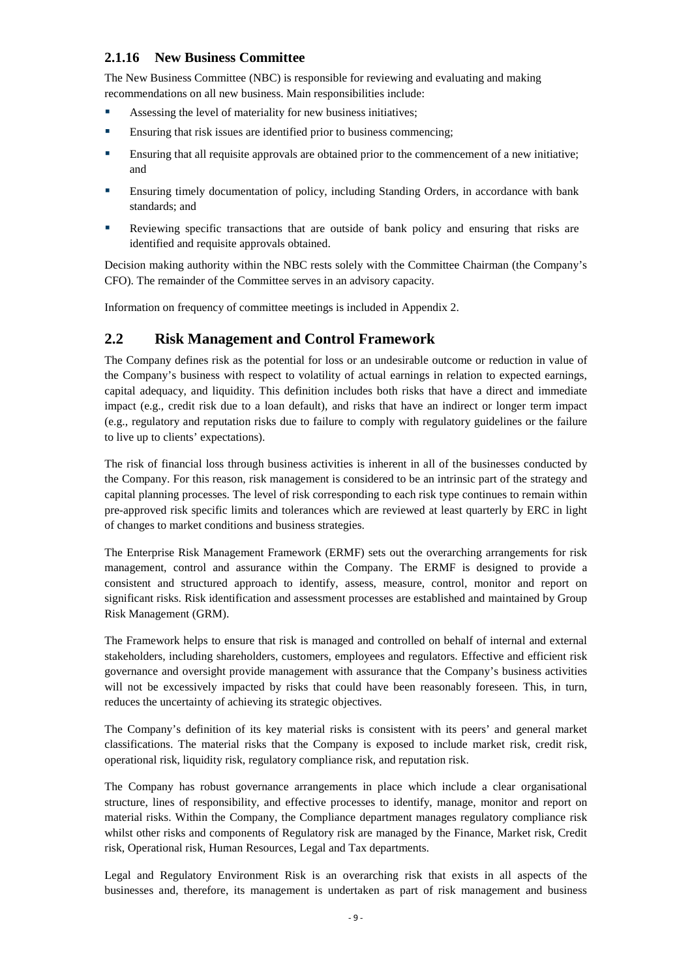### <span id="page-11-0"></span>**2.1.16 New Business Committee**

The New Business Committee (NBC) is responsible for reviewing and evaluating and making recommendations on all new business. Main responsibilities include:

- Assessing the level of materiality for new business initiatives;
- **Ensuring that risk issues are identified prior to business commencing;**
- Ensuring that all requisite approvals are obtained prior to the commencement of a new initiative; and
- Ensuring timely documentation of policy, including Standing Orders, in accordance with bank standards; and
- Reviewing specific transactions that are outside of bank policy and ensuring that risks are identified and requisite approvals obtained.

Decision making authority within the NBC rests solely with the Committee Chairman (the Company's CFO). The remainder of the Committee serves in an advisory capacity.

Information on frequency of committee meetings is included in Appendix 2.

## <span id="page-11-1"></span>**2.2 Risk Management and Control Framework**

The Company defines risk as the potential for loss or an undesirable outcome or reduction in value of the Company's business with respect to volatility of actual earnings in relation to expected earnings, capital adequacy, and liquidity. This definition includes both risks that have a direct and immediate impact (e.g., credit risk due to a loan default), and risks that have an indirect or longer term impact (e.g., regulatory and reputation risks due to failure to comply with regulatory guidelines or the failure to live up to clients' expectations).

The risk of financial loss through business activities is inherent in all of the businesses conducted by the Company. For this reason, risk management is considered to be an intrinsic part of the strategy and capital planning processes. The level of risk corresponding to each risk type continues to remain within pre-approved risk specific limits and tolerances which are reviewed at least quarterly by ERC in light of changes to market conditions and business strategies.

The Enterprise Risk Management Framework (ERMF) sets out the overarching arrangements for risk management, control and assurance within the Company. The ERMF is designed to provide a consistent and structured approach to identify, assess, measure, control, monitor and report on significant risks. Risk identification and assessment processes are established and maintained by Group Risk Management (GRM).

The Framework helps to ensure that risk is managed and controlled on behalf of internal and external stakeholders, including shareholders, customers, employees and regulators. Effective and efficient risk governance and oversight provide management with assurance that the Company's business activities will not be excessively impacted by risks that could have been reasonably foreseen. This, in turn, reduces the uncertainty of achieving its strategic objectives.

The Company's definition of its key material risks is consistent with its peers' and general market classifications. The material risks that the Company is exposed to include market risk, credit risk, operational risk, liquidity risk, regulatory compliance risk, and reputation risk.

The Company has robust governance arrangements in place which include a clear organisational structure, lines of responsibility, and effective processes to identify, manage, monitor and report on material risks. Within the Company, the Compliance department manages regulatory compliance risk whilst other risks and components of Regulatory risk are managed by the Finance, Market risk, Credit risk, Operational risk, Human Resources, Legal and Tax departments.

Legal and Regulatory Environment Risk is an overarching risk that exists in all aspects of the businesses and, therefore, its management is undertaken as part of risk management and business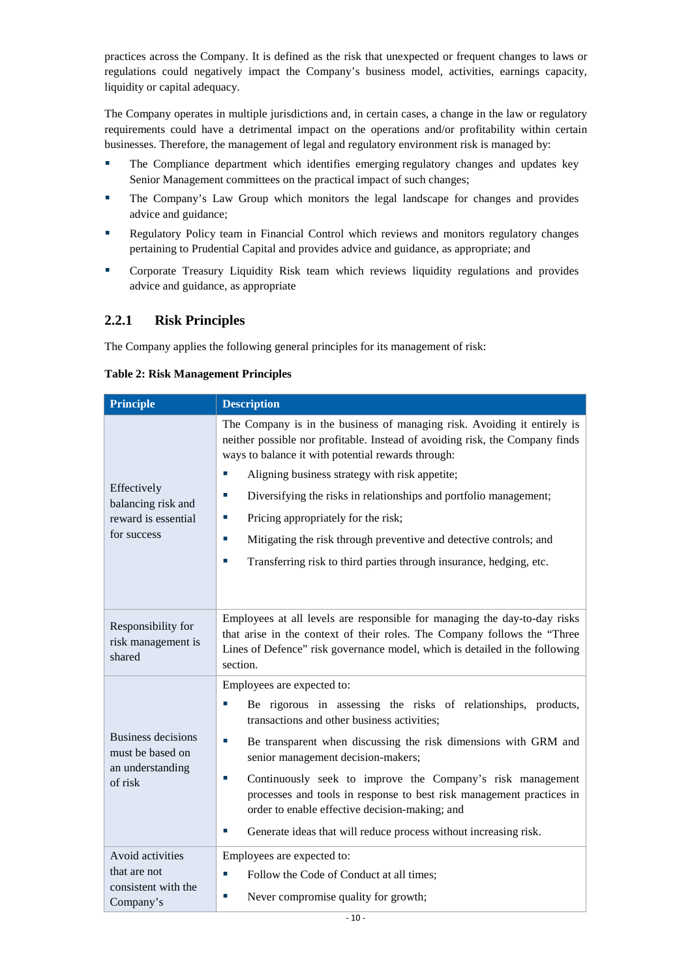practices across the Company. It is defined as the risk that unexpected or frequent changes to laws or regulations could negatively impact the Company's business model, activities, earnings capacity, liquidity or capital adequacy.

The Company operates in multiple jurisdictions and, in certain cases, a change in the law or regulatory requirements could have a detrimental impact on the operations and/or profitability within certain businesses. Therefore, the management of legal and regulatory environment risk is managed by:

- **The Compliance department which identifies emerging regulatory changes and updates key** Senior Management committees on the practical impact of such changes;
- The Company's Law Group which monitors the legal landscape for changes and provides advice and guidance;
- **Regulatory Policy team in Financial Control which reviews and monitors regulatory changes** pertaining to Prudential Capital and provides advice and guidance, as appropriate; and
- Corporate Treasury Liquidity Risk team which reviews liquidity regulations and provides advice and guidance, as appropriate

### <span id="page-12-0"></span>**2.2.1 Risk Principles**

The Company applies the following general principles for its management of risk:

<span id="page-12-1"></span>

|  |  | <b>Table 2: Risk Management Principles</b> |  |
|--|--|--------------------------------------------|--|
|--|--|--------------------------------------------|--|

| <b>Principle</b>                                                        | <b>Description</b>                                                                                                                                                                                                                                                                                                                                                                                                                                                                                                                                    |
|-------------------------------------------------------------------------|-------------------------------------------------------------------------------------------------------------------------------------------------------------------------------------------------------------------------------------------------------------------------------------------------------------------------------------------------------------------------------------------------------------------------------------------------------------------------------------------------------------------------------------------------------|
| Effectively<br>balancing risk and<br>reward is essential<br>for success | The Company is in the business of managing risk. Avoiding it entirely is<br>neither possible nor profitable. Instead of avoiding risk, the Company finds<br>ways to balance it with potential rewards through:<br>Aligning business strategy with risk appetite;<br>T,<br>Diversifying the risks in relationships and portfolio management;<br>×.<br>Pricing appropriately for the risk;<br>ш<br>Mitigating the risk through preventive and detective controls; and<br>п<br>Transferring risk to third parties through insurance, hedging, etc.<br>×. |
| Responsibility for<br>risk management is<br>shared                      | Employees at all levels are responsible for managing the day-to-day risks<br>that arise in the context of their roles. The Company follows the "Three<br>Lines of Defence" risk governance model, which is detailed in the following<br>section.                                                                                                                                                                                                                                                                                                      |
| Business decisions<br>must be based on<br>an understanding<br>of risk   | Employees are expected to:<br>Be rigorous in assessing the risks of relationships, products,<br>transactions and other business activities;<br>Be transparent when discussing the risk dimensions with GRM and<br>senior management decision-makers;<br>Continuously seek to improve the Company's risk management<br>processes and tools in response to best risk management practices in<br>order to enable effective decision-making; and<br>Generate ideas that will reduce process without increasing risk.                                      |
| Avoid activities<br>that are not<br>consistent with the<br>Company's    | Employees are expected to:<br>Follow the Code of Conduct at all times;<br>×.<br>Never compromise quality for growth;<br>×.                                                                                                                                                                                                                                                                                                                                                                                                                            |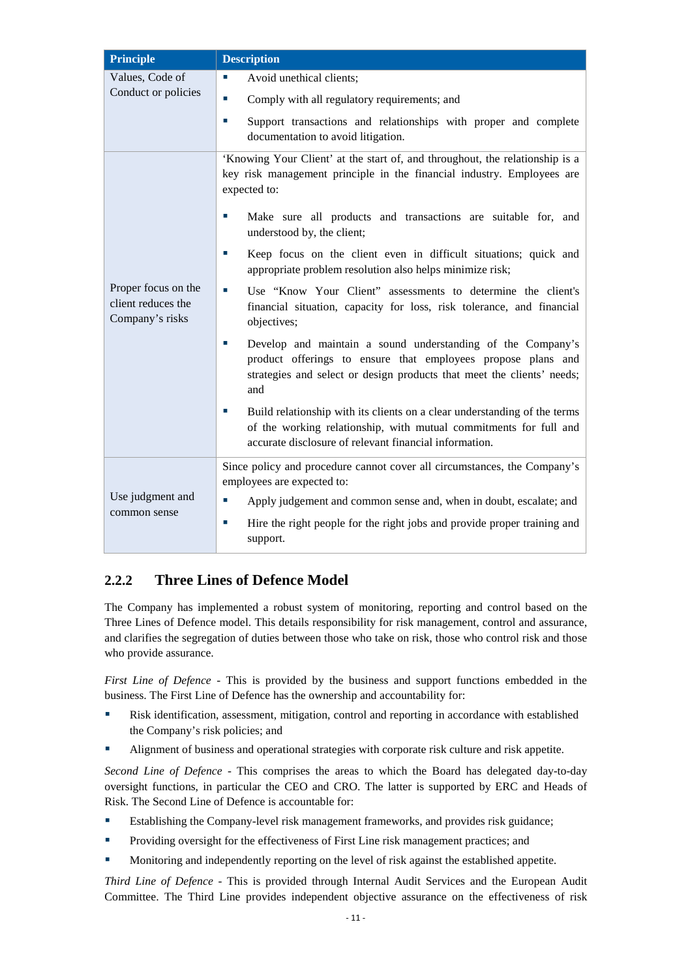| <b>Principle</b>                                             | <b>Description</b>                                                                                                                                                                                           |
|--------------------------------------------------------------|--------------------------------------------------------------------------------------------------------------------------------------------------------------------------------------------------------------|
| Values, Code of<br>Conduct or policies                       | Avoid unethical clients;<br>×.<br>Comply with all regulatory requirements; and                                                                                                                               |
|                                                              | Support transactions and relationships with proper and complete<br>п<br>documentation to avoid litigation.                                                                                                   |
|                                                              | 'Knowing Your Client' at the start of, and throughout, the relationship is a<br>key risk management principle in the financial industry. Employees are<br>expected to:                                       |
|                                                              | Make sure all products and transactions are suitable for, and<br>×.<br>understood by, the client;                                                                                                            |
|                                                              | Keep focus on the client even in difficult situations; quick and<br>×.<br>appropriate problem resolution also helps minimize risk;                                                                           |
| Proper focus on the<br>client reduces the<br>Company's risks | Use "Know Your Client" assessments to determine the client's<br>п<br>financial situation, capacity for loss, risk tolerance, and financial<br>objectives;                                                    |
|                                                              | Develop and maintain a sound understanding of the Company's<br>product offerings to ensure that employees propose plans and<br>strategies and select or design products that meet the clients' needs;<br>and |
|                                                              | Build relationship with its clients on a clear understanding of the terms<br>of the working relationship, with mutual commitments for full and<br>accurate disclosure of relevant financial information.     |
|                                                              | Since policy and procedure cannot cover all circumstances, the Company's<br>employees are expected to:                                                                                                       |
| Use judgment and<br>common sense                             | Apply judgement and common sense and, when in doubt, escalate; and<br>×.                                                                                                                                     |
|                                                              | Hire the right people for the right jobs and provide proper training and<br>×.<br>support.                                                                                                                   |

# <span id="page-13-0"></span>**2.2.2 Three Lines of Defence Model**

The Company has implemented a robust system of monitoring, reporting and control based on the Three Lines of Defence model. This details responsibility for risk management, control and assurance, and clarifies the segregation of duties between those who take on risk, those who control risk and those who provide assurance.

*First Line of Defence* - This is provided by the business and support functions embedded in the business. The First Line of Defence has the ownership and accountability for:

- Risk identification, assessment, mitigation, control and reporting in accordance with established the Company's risk policies; and
- Alignment of business and operational strategies with corporate risk culture and risk appetite.

*Second Line of Defence* - This comprises the areas to which the Board has delegated day-to-day oversight functions, in particular the CEO and CRO. The latter is supported by ERC and Heads of Risk. The Second Line of Defence is accountable for:

- Establishing the Company-level risk management frameworks, and provides risk guidance;
- **Providing oversight for the effectiveness of First Line risk management practices; and**
- Monitoring and independently reporting on the level of risk against the established appetite.

*Third Line of Defence* - This is provided through Internal Audit Services and the European Audit Committee. The Third Line provides independent objective assurance on the effectiveness of risk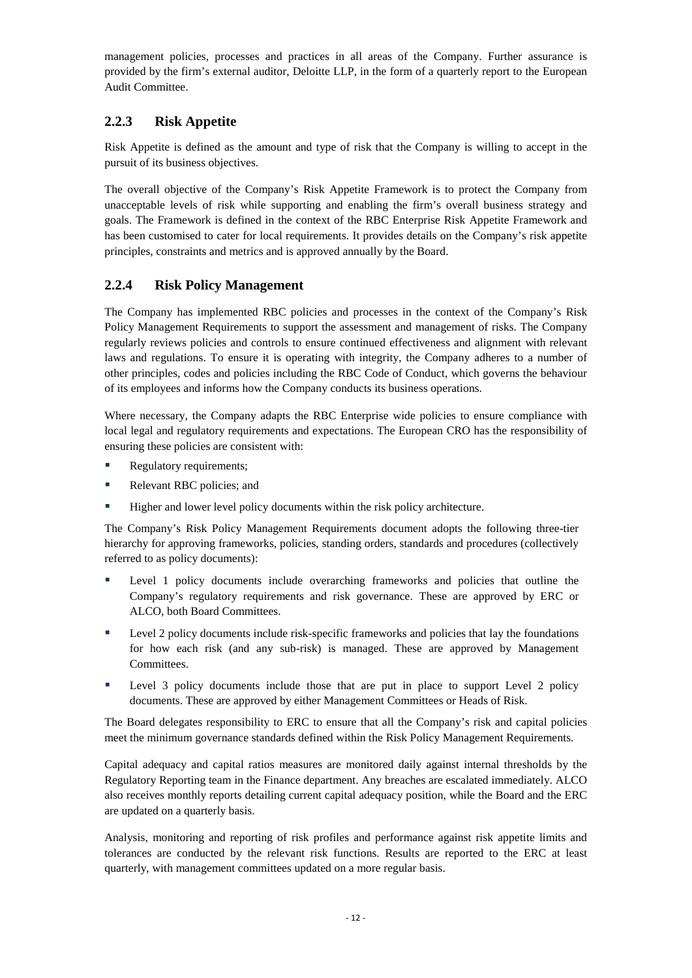management policies, processes and practices in all areas of the Company. Further assurance is provided by the firm's external auditor, Deloitte LLP, in the form of a quarterly report to the European Audit Committee.

### <span id="page-14-0"></span>**2.2.3 Risk Appetite**

Risk Appetite is defined as the amount and type of risk that the Company is willing to accept in the pursuit of its business objectives.

The overall objective of the Company's Risk Appetite Framework is to protect the Company from unacceptable levels of risk while supporting and enabling the firm's overall business strategy and goals. The Framework is defined in the context of the RBC Enterprise Risk Appetite Framework and has been customised to cater for local requirements. It provides details on the Company's risk appetite principles, constraints and metrics and is approved annually by the Board.

## <span id="page-14-1"></span>**2.2.4 Risk Policy Management**

The Company has implemented RBC policies and processes in the context of the Company's Risk Policy Management Requirements to support the assessment and management of risks. The Company regularly reviews policies and controls to ensure continued effectiveness and alignment with relevant laws and regulations. To ensure it is operating with integrity, the Company adheres to a number of other principles, codes and policies including the RBC Code of Conduct, which governs the behaviour of its employees and informs how the Company conducts its business operations.

Where necessary, the Company adapts the RBC Enterprise wide policies to ensure compliance with local legal and regulatory requirements and expectations. The European CRO has the responsibility of ensuring these policies are consistent with:

- Regulatory requirements;
- Relevant RBC policies; and
- Higher and lower level policy documents within the risk policy architecture.

The Company's Risk Policy Management Requirements document adopts the following three-tier hierarchy for approving frameworks, policies, standing orders, standards and procedures (collectively referred to as policy documents):

- **Example 1** policy documents include overarching frameworks and policies that outline the Company's regulatory requirements and risk governance. These are approved by ERC or ALCO, both Board Committees.
- **Example 1** Level 2 policy documents include risk-specific frameworks and policies that lay the foundations for how each risk (and any sub-risk) is managed. These are approved by Management Committees.
- **Example 1** Level 3 policy documents include those that are put in place to support Level 2 policy documents. These are approved by either Management Committees or Heads of Risk.

The Board delegates responsibility to ERC to ensure that all the Company's risk and capital policies meet the minimum governance standards defined within the Risk Policy Management Requirements.

Capital adequacy and capital ratios measures are monitored daily against internal thresholds by the Regulatory Reporting team in the Finance department. Any breaches are escalated immediately. ALCO also receives monthly reports detailing current capital adequacy position, while the Board and the ERC are updated on a quarterly basis.

Analysis, monitoring and reporting of risk profiles and performance against risk appetite limits and tolerances are conducted by the relevant risk functions. Results are reported to the ERC at least quarterly, with management committees updated on a more regular basis.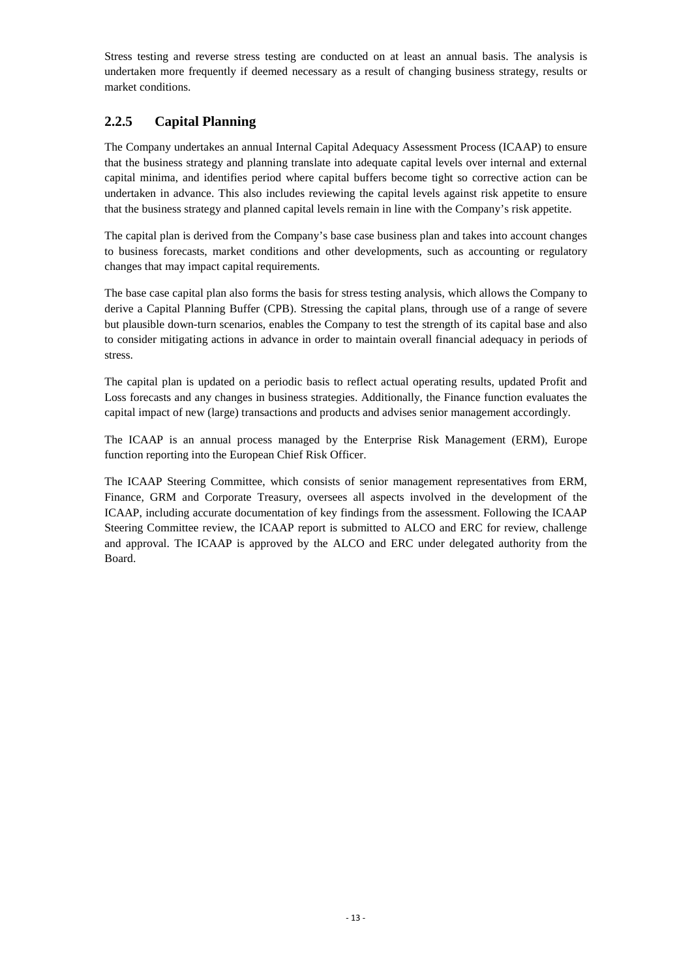Stress testing and reverse stress testing are conducted on at least an annual basis. The analysis is undertaken more frequently if deemed necessary as a result of changing business strategy, results or market conditions.

### <span id="page-15-0"></span>**2.2.5 Capital Planning**

The Company undertakes an annual Internal Capital Adequacy Assessment Process (ICAAP) to ensure that the business strategy and planning translate into adequate capital levels over internal and external capital minima, and identifies period where capital buffers become tight so corrective action can be undertaken in advance. This also includes reviewing the capital levels against risk appetite to ensure that the business strategy and planned capital levels remain in line with the Company's risk appetite.

The capital plan is derived from the Company's base case business plan and takes into account changes to business forecasts, market conditions and other developments, such as accounting or regulatory changes that may impact capital requirements.

The base case capital plan also forms the basis for stress testing analysis, which allows the Company to derive a Capital Planning Buffer (CPB). Stressing the capital plans, through use of a range of severe but plausible down-turn scenarios, enables the Company to test the strength of its capital base and also to consider mitigating actions in advance in order to maintain overall financial adequacy in periods of stress.

The capital plan is updated on a periodic basis to reflect actual operating results, updated Profit and Loss forecasts and any changes in business strategies. Additionally, the Finance function evaluates the capital impact of new (large) transactions and products and advises senior management accordingly.

The ICAAP is an annual process managed by the Enterprise Risk Management (ERM), Europe function reporting into the European Chief Risk Officer.

The ICAAP Steering Committee, which consists of senior management representatives from ERM, Finance, GRM and Corporate Treasury, oversees all aspects involved in the development of the ICAAP, including accurate documentation of key findings from the assessment. Following the ICAAP Steering Committee review, the ICAAP report is submitted to ALCO and ERC for review, challenge and approval. The ICAAP is approved by the ALCO and ERC under delegated authority from the Board.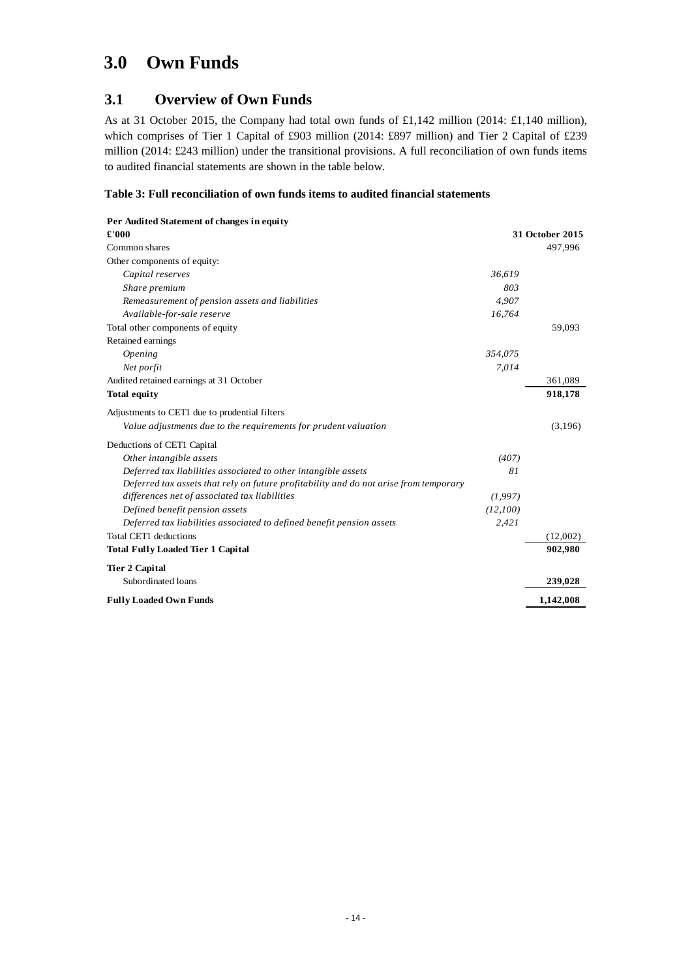# <span id="page-16-0"></span>**3.0 Own Funds**

# <span id="page-16-1"></span>**3.1 Overview of Own Funds**

As at 31 October 2015, the Company had total own funds of £1,142 million (2014: £1,140 million), which comprises of Tier 1 Capital of £903 million (2014: £897 million) and Tier 2 Capital of £239 million (2014: £243 million) under the transitional provisions. A full reconciliation of own funds items to audited financial statements are shown in the table below.

#### <span id="page-16-2"></span>**Table 3: Full reconciliation of own funds items to audited financial statements**

| Per Audited Statement of changes in equity                                            |          |                 |
|---------------------------------------------------------------------------------------|----------|-----------------|
| £'000                                                                                 |          | 31 October 2015 |
| Common shares                                                                         |          | 497,996         |
| Other components of equity:                                                           |          |                 |
| Capital reserves                                                                      | 36,619   |                 |
| Share premium                                                                         | 803      |                 |
| Remeasurement of pension assets and liabilities                                       | 4,907    |                 |
| Available-for-sale reserve                                                            | 16,764   |                 |
| Total other components of equity                                                      |          | 59,093          |
| Retained earnings                                                                     |          |                 |
| Opening                                                                               | 354,075  |                 |
| Net porfit                                                                            | 7,014    |                 |
| Audited retained earnings at 31 October                                               |          | 361,089         |
| <b>Total equity</b>                                                                   |          | 918,178         |
| Adjustments to CET1 due to prudential filters                                         |          |                 |
| Value adjustments due to the requirements for prudent valuation                       |          | (3,196)         |
| Deductions of CET1 Capital                                                            |          |                 |
| Other intangible assets                                                               | (407)    |                 |
| Deferred tax liabilities associated to other intangible assets                        | 81       |                 |
| Deferred tax assets that rely on future profitability and do not arise from temporary |          |                 |
| differences net of associated tax liabilities                                         | (1,997)  |                 |
| Defined benefit pension assets                                                        | (12,100) |                 |
| Deferred tax liabilities associated to defined benefit pension assets                 | 2,421    |                 |
| Total CET1 deductions                                                                 |          | (12,002)        |
| <b>Total Fully Loaded Tier 1 Capital</b>                                              |          | 902,980         |
| <b>Tier 2 Capital</b>                                                                 |          |                 |
| Subordinated loans                                                                    |          | 239,028         |
| <b>Fully Loaded Own Funds</b>                                                         |          | 1,142,008       |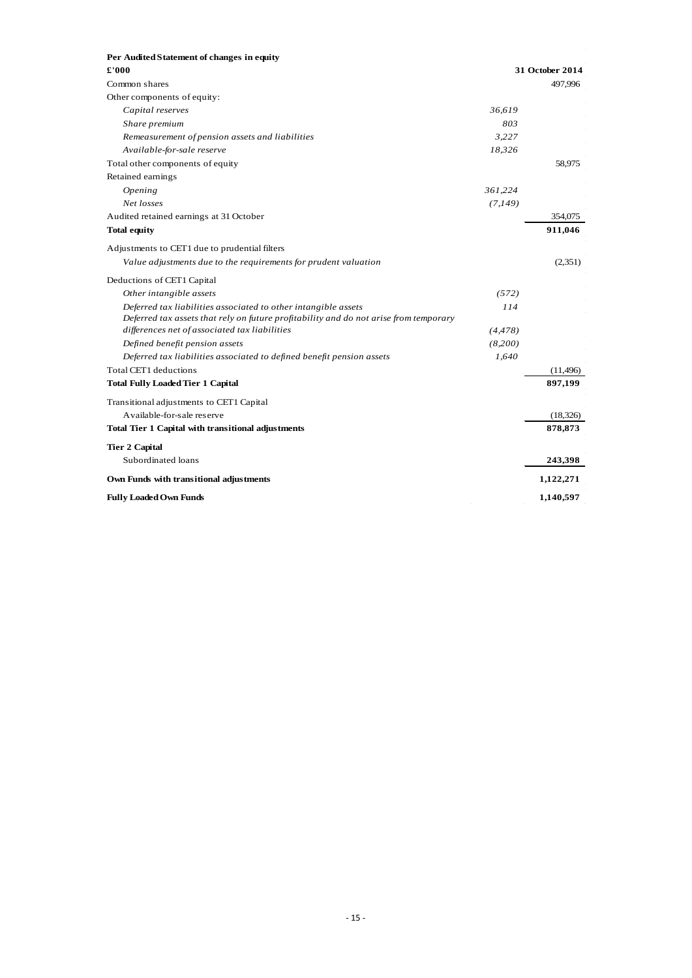| £'000                                                                                 |          | 31 October 2014 |
|---------------------------------------------------------------------------------------|----------|-----------------|
| Common shares                                                                         |          | 497.996         |
| Other components of equity:                                                           |          |                 |
| Capital reserves                                                                      | 36,619   |                 |
| Share premium                                                                         | 803      |                 |
| Remeasurement of pension assets and liabilities                                       | 3,227    |                 |
| Available-for-sale reserve                                                            | 18,326   |                 |
| Total other components of equity                                                      |          | 58,975          |
| Retained earnings                                                                     |          |                 |
| Opening                                                                               | 361,224  |                 |
| Net losses                                                                            | (7,149)  |                 |
| Audited retained earnings at 31 October                                               |          | 354,075         |
| <b>Total equity</b>                                                                   |          | 911,046         |
| Adjustments to CET1 due to prudential filters                                         |          |                 |
| Value adjustments due to the requirements for prudent valuation                       |          | (2,351)         |
| Deductions of CET1 Capital                                                            |          |                 |
| Other intangible assets                                                               | (572)    |                 |
| Deferred tax liabilities associated to other intangible assets                        | 114      |                 |
| Deferred tax assets that rely on future profitability and do not arise from temporary |          |                 |
| differences net of associated tax liabilities                                         | (4, 478) |                 |
| Defined benefit pension assets                                                        | (8,200)  |                 |
| Deferred tax liabilities associated to defined benefit pension assets                 | 1,640    |                 |
| Total CET1 deductions                                                                 |          | (11, 496)       |
| <b>Total Fully Loaded Tier 1 Capital</b>                                              |          | 897,199         |
| Transitional adjustments to CET1 Capital                                              |          |                 |
| Available-for-sale reserve                                                            |          | (18, 326)       |
| Total Tier 1 Capital with transitional adjustments                                    |          | 878,873         |
| <b>Tier 2 Capital</b>                                                                 |          |                 |
| Subordinated loans                                                                    |          | 243,398         |
| Own Funds with transitional adjustments                                               |          | 1,122,271       |
| <b>Fully Loaded Own Funds</b>                                                         |          | 1,140,597       |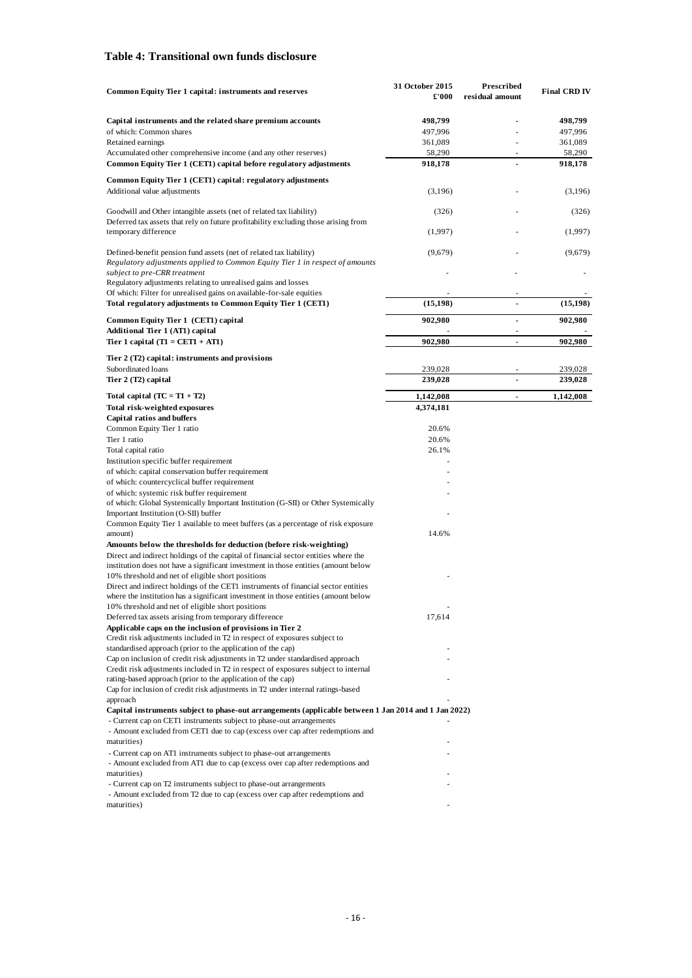#### <span id="page-18-0"></span>**Table 4: Transitional own funds disclosure**

| Common Equity Tier 1 capital: instruments and reserves                                                                                                                             | 31 October 2015<br>£'000 | Prescribed<br>residual amount | <b>Final CRD IV</b> |
|------------------------------------------------------------------------------------------------------------------------------------------------------------------------------------|--------------------------|-------------------------------|---------------------|
| Capital instruments and the related share premium accounts                                                                                                                         | 498,799                  |                               | 498,799             |
| of which: Common shares                                                                                                                                                            | 497,996                  |                               | 497,996             |
| Retained earnings                                                                                                                                                                  | 361,089                  |                               | 361,089             |
| Accumulated other comprehensive income (and any other reserves)                                                                                                                    | 58,290                   |                               | 58,290              |
| Common Equity Tier 1 (CET1) capital before regulatory adjustments                                                                                                                  | 918,178                  |                               | 918,178             |
| Common Equity Tier 1 (CET1) capital: regulatory adjustments<br>Additional value adjustments                                                                                        | (3,196)                  |                               | (3,196)             |
|                                                                                                                                                                                    |                          |                               |                     |
| Goodwill and Other intangible assets (net of related tax liability)<br>Deferred tax assets that rely on future profitability excluding those arising from<br>temporary difference  | (326)<br>(1,997)         |                               | (326)<br>(1,997)    |
|                                                                                                                                                                                    |                          |                               |                     |
| Defined-benefit pension fund assets (net of related tax liability)<br>Regulatory adjustments applied to Common Equity Tier 1 in respect of amounts<br>subject to pre-CRR treatment | (9,679)                  |                               | (9,679)             |
| Regulatory adjustments relating to unrealised gains and losses                                                                                                                     |                          |                               |                     |
| Of which: Filter for unrealised gains on available-for-sale equities                                                                                                               |                          |                               |                     |
| Total regulatory adjustments to Common Equity Tier 1 (CET1)                                                                                                                        | (15, 198)                |                               | (15, 198)           |
| Common Equity Tier 1 (CET1) capital<br>Additional Tier 1 (AT1) capital                                                                                                             | 902,980                  |                               | 902,980             |
| Tier 1 capital $(T1 = CET1 + AT1)$                                                                                                                                                 | 902,980                  |                               | 902,980             |
| Tier 2 (T2) capital: instruments and provisions                                                                                                                                    |                          |                               |                     |
| Subordinated loans                                                                                                                                                                 | 239,028                  |                               | 239,028             |
| Tier 2 (T2) capital                                                                                                                                                                | 239,028                  | $\overline{a}$                | 239,028             |
| Total capital $(TC = T1 + T2)$                                                                                                                                                     | 1,142,008                | $\overline{a}$                | 1,142,008           |
| Total risk-weighted exposures                                                                                                                                                      | 4,374,181                |                               |                     |
| <b>Capital ratios and buffers</b>                                                                                                                                                  |                          |                               |                     |
| Common Equity Tier 1 ratio                                                                                                                                                         | 20.6%                    |                               |                     |
| Tier 1 ratio                                                                                                                                                                       | 20.6%                    |                               |                     |
| Total capital ratio                                                                                                                                                                | 26.1%                    |                               |                     |
| Institution specific buffer requirement                                                                                                                                            |                          |                               |                     |
| of which: capital conservation buffer requirement                                                                                                                                  |                          |                               |                     |
| of which: countercyclical buffer requirement                                                                                                                                       |                          |                               |                     |
| of which: systemic risk buffer requirement                                                                                                                                         |                          |                               |                     |
| of which: Global Systemically Important Institution (G-SII) or Other Systemically                                                                                                  |                          |                               |                     |
| Important Institution (O-SII) buffer<br>Common Equity Tier 1 available to meet buffers (as a percentage of risk exposure                                                           |                          |                               |                     |
| amount)                                                                                                                                                                            | 14.6%                    |                               |                     |
| Amounts below the thresholds for deduction (before risk-weighting)<br>Direct and indirect holdings of the capital of financial sector entities where the                           |                          |                               |                     |
| institution does not have a significant investment in those entities (amount below                                                                                                 |                          |                               |                     |
| 10% threshold and net of eligible short positions                                                                                                                                  |                          |                               |                     |
| Direct and indirect holdings of the CET1 instruments of financial sector entities                                                                                                  |                          |                               |                     |
| where the institution has a significant investment in those entities (amount below                                                                                                 |                          |                               |                     |
| 10% threshold and net of eligible short positions                                                                                                                                  |                          |                               |                     |
| Deferred tax assets arising from temporary difference                                                                                                                              | 17,614                   |                               |                     |
| Applicable caps on the inclusion of provisions in Tier 2<br>Credit risk adjustments included in T2 in respect of exposures subject to                                              |                          |                               |                     |
| standardised approach (prior to the application of the cap)                                                                                                                        |                          |                               |                     |
| Cap on inclusion of credit risk adjustments in T2 under standardised approach                                                                                                      |                          |                               |                     |
| Credit risk adjustments included in T2 in respect of exposures subject to internal                                                                                                 |                          |                               |                     |
| rating-based approach (prior to the application of the cap)                                                                                                                        |                          |                               |                     |
| Cap for inclusion of credit risk adjustments in T2 under internal ratings-based                                                                                                    |                          |                               |                     |
| approach                                                                                                                                                                           |                          |                               |                     |
| Capital instruments subject to phase-out arrangements (applicable between 1 Jan 2014 and 1 Jan 2022)<br>- Current cap on CET1 instruments subject to phase-out arrangements        |                          |                               |                     |
| - Amount excluded from CET1 due to cap (excess over cap after redemptions and                                                                                                      |                          |                               |                     |
| maturities)                                                                                                                                                                        |                          |                               |                     |
| - Current cap on AT1 instruments subject to phase-out arrangements<br>- Amount excluded from AT1 due to cap (excess over cap after redemptions and                                 |                          |                               |                     |
| maturities)                                                                                                                                                                        |                          |                               |                     |
| - Current cap on T2 instruments subject to phase-out arrangements                                                                                                                  |                          |                               |                     |
| - Amount excluded from T2 due to cap (excess over cap after redemptions and<br>maturities)                                                                                         |                          |                               |                     |
|                                                                                                                                                                                    |                          |                               |                     |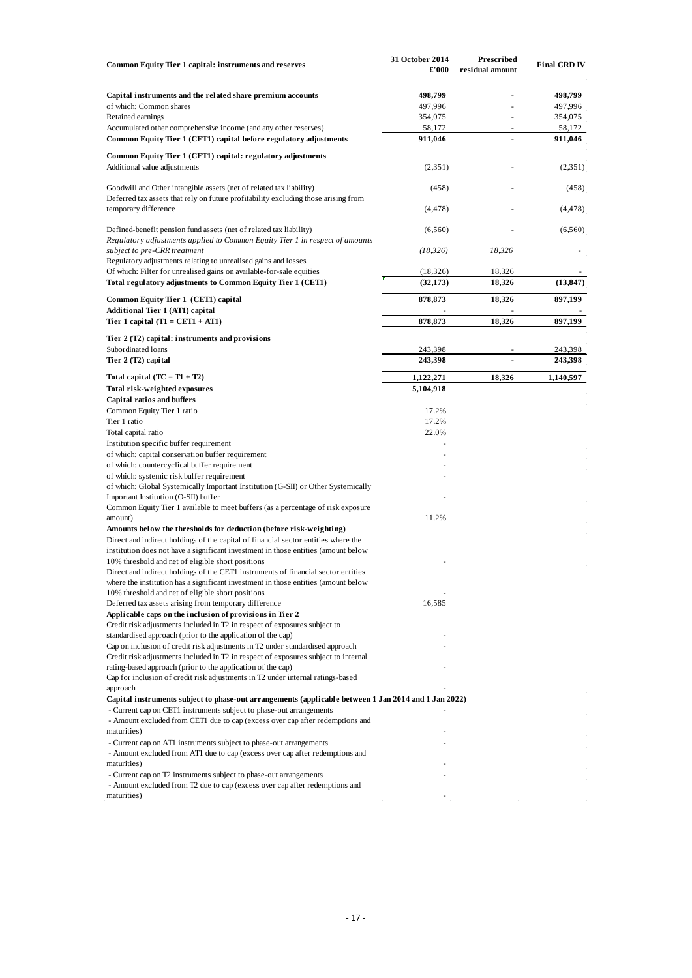| <b>Common Equity Tier 1 capital: instruments and reserves</b>                                                                                                                  | 31 October 2014<br>£'000 | Prescribed<br>residual amount | <b>Final CRD IV</b> |
|--------------------------------------------------------------------------------------------------------------------------------------------------------------------------------|--------------------------|-------------------------------|---------------------|
|                                                                                                                                                                                |                          |                               |                     |
| Capital instruments and the related share premium accounts<br>of which: Common shares                                                                                          | 498,799<br>497,996       |                               | 498,799<br>497,996  |
| Retained earnings                                                                                                                                                              | 354,075                  |                               | 354,075             |
| Accumulated other comprehensive income (and any other reserves)                                                                                                                | 58,172                   | ÷,                            | 58,172              |
| Common Equity Tier 1 (CET1) capital before regulatory adjustments                                                                                                              | 911,046                  | Ĭ.                            | 911,046             |
|                                                                                                                                                                                |                          |                               |                     |
| Common Equity Tier 1 (CET1) capital: regulatory adjustments<br>Additional value adjustments                                                                                    | (2,351)                  |                               | (2,351)             |
| Goodwill and Other intangible assets (net of related tax liability)<br>Deferred tax assets that rely on future profitability excluding those arising from                      | (458)                    |                               | (458)               |
| temporary difference                                                                                                                                                           | (4, 478)                 |                               | (4, 478)            |
| Defined-benefit pension fund assets (net of related tax liability)                                                                                                             | (6,560)                  |                               | (6,560)             |
| Regulatory adjustments applied to Common Equity Tier 1 in respect of amounts<br>subject to pre-CRR treatment<br>Regulatory adjustments relating to unrealised gains and losses | (18, 326)                | 18,326                        |                     |
| Of which: Filter for unrealised gains on available-for-sale equities                                                                                                           | (18, 326)                | 18,326                        |                     |
| Total regulatory adjustments to Common Equity Tier 1 (CET1)                                                                                                                    | (32, 173)                | 18,326                        | (13, 847)           |
| Common Equity Tier 1 (CET1) capital                                                                                                                                            | 878,873                  | 18,326                        | 897,199             |
| Additional Tier 1 (AT1) capital                                                                                                                                                |                          |                               |                     |
| Tier 1 capital $(T1 = CET1 + AT1)$                                                                                                                                             | 878,873                  | 18,326                        | 897,199             |
| Tier 2 (T2) capital: instruments and provisions                                                                                                                                |                          |                               |                     |
| Subordinated loans<br>Tier 2 (T2) capital                                                                                                                                      | 243,398<br>243,398       |                               | 243,398<br>243,398  |
|                                                                                                                                                                                |                          |                               |                     |
| Total capital $(TC = T1 + T2)$                                                                                                                                                 | 1,122,271                | 18,326                        | 1,140,597           |
| Total risk-weighted exposures                                                                                                                                                  | 5,104,918                |                               |                     |
| Capital ratios and buffers<br>Common Equity Tier 1 ratio                                                                                                                       | 17.2%                    |                               |                     |
| Tier 1 ratio                                                                                                                                                                   | 17.2%                    |                               |                     |
| Total capital ratio                                                                                                                                                            | 22.0%                    |                               |                     |
| Institution specific buffer requirement                                                                                                                                        |                          |                               |                     |
| of which: capital conservation buffer requirement                                                                                                                              |                          |                               |                     |
| of which: countercyclical buffer requirement                                                                                                                                   |                          |                               |                     |
| of which: systemic risk buffer requirement                                                                                                                                     |                          |                               |                     |
| of which: Global Systemically Important Institution (G-SII) or Other Systemically                                                                                              |                          |                               |                     |
| Important Institution (O-SII) buffer                                                                                                                                           |                          |                               |                     |
| Common Equity Tier 1 available to meet buffers (as a percentage of risk exposure                                                                                               |                          |                               |                     |
| amount)<br>Amounts below the thresholds for deduction (before risk-weighting)                                                                                                  | 11.2%                    |                               |                     |
| Direct and indirect holdings of the capital of financial sector entities where the                                                                                             |                          |                               |                     |
| institution does not have a significant investment in those entities (amount below                                                                                             |                          |                               |                     |
| 10% threshold and net of eligible short positions                                                                                                                              |                          |                               |                     |
| Direct and indirect holdings of the CET1 instruments of financial sector entities                                                                                              |                          |                               |                     |
| where the institution has a significant investment in those entities (amount below                                                                                             |                          |                               |                     |
| 10% threshold and net of eligible short positions                                                                                                                              |                          |                               |                     |
| Deferred tax assets arising from temporary difference                                                                                                                          | 16,585                   |                               |                     |
| Applicable caps on the inclusion of provisions in Tier 2                                                                                                                       |                          |                               |                     |
| Credit risk adjustments included in T2 in respect of exposures subject to                                                                                                      |                          |                               |                     |
| standardised approach (prior to the application of the cap)<br>Cap on inclusion of credit risk adjustments in T2 under standardised approach                                   |                          |                               |                     |
| Credit risk adjustments included in T2 in respect of exposures subject to internal                                                                                             |                          |                               |                     |
| rating-based approach (prior to the application of the cap)                                                                                                                    |                          |                               |                     |
| Cap for inclusion of credit risk adjustments in T2 under internal ratings-based                                                                                                |                          |                               |                     |
| approach                                                                                                                                                                       |                          |                               |                     |
| Capital instruments subject to phase-out arrangements (applicable between 1 Jan 2014 and 1 Jan 2022)                                                                           |                          |                               |                     |
| - Current cap on CET1 instruments subject to phase-out arrangements                                                                                                            |                          |                               |                     |
| - Amount excluded from CET1 due to cap (excess over cap after redemptions and                                                                                                  |                          |                               |                     |
| maturities)                                                                                                                                                                    |                          |                               |                     |
| - Current cap on AT1 instruments subject to phase-out arrangements                                                                                                             |                          |                               |                     |
| - Amount excluded from AT1 due to cap (excess over cap after redemptions and<br>maturities)                                                                                    |                          |                               |                     |
| - Current cap on T2 instruments subject to phase-out arrangements                                                                                                              |                          |                               |                     |
| - Amount excluded from T2 due to cap (excess over cap after redemptions and                                                                                                    |                          |                               |                     |
| maturities)                                                                                                                                                                    |                          |                               |                     |
|                                                                                                                                                                                |                          |                               |                     |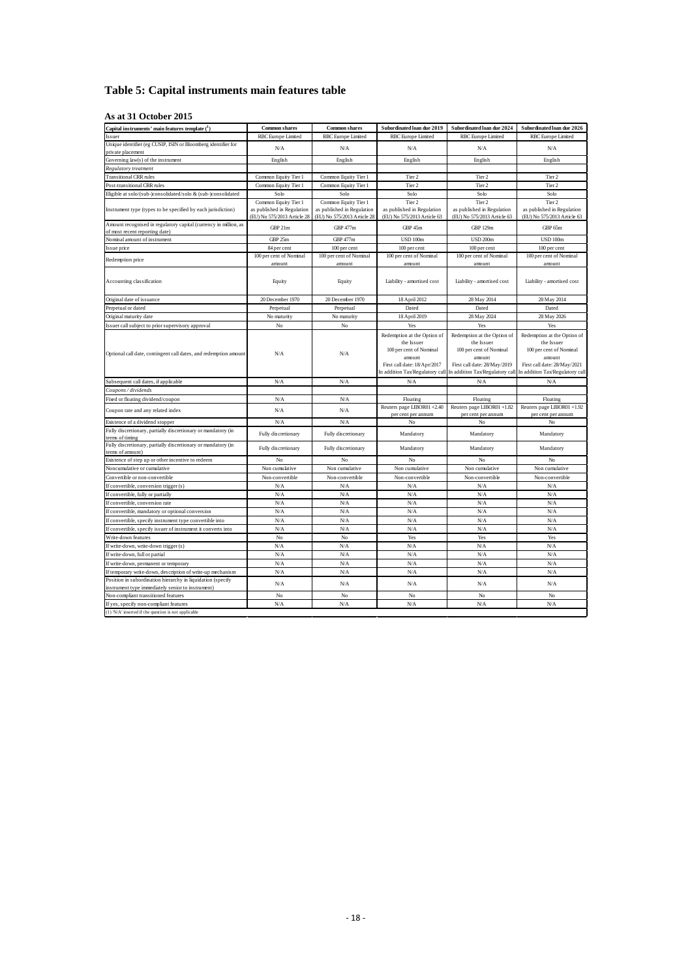# <span id="page-20-0"></span>**Table 5: Capital instruments main features table**

#### **As at 31 October 2015**

| Capital instruments' main features template $(1)$                                                                | <b>Common shares</b>                                      | <b>Common shares</b>                                      | Subordinated loan due 2019                                                                                                                        | Subordinated loan due 2024                                                                                                                        | Subordinated loan due 2026                                                                                                                        |
|------------------------------------------------------------------------------------------------------------------|-----------------------------------------------------------|-----------------------------------------------------------|---------------------------------------------------------------------------------------------------------------------------------------------------|---------------------------------------------------------------------------------------------------------------------------------------------------|---------------------------------------------------------------------------------------------------------------------------------------------------|
| Issuer                                                                                                           | RBC Europe Limited                                        | RBC Europe Limited                                        | <b>RBC</b> Europe Limited                                                                                                                         | RBC Europe Limited                                                                                                                                | RBC Europe Limited                                                                                                                                |
| Unique identifier (eg CUSIP, ISIN or Bloomberg identifier for                                                    | N/A                                                       | N/A                                                       | N/A                                                                                                                                               | N/A                                                                                                                                               | N/A                                                                                                                                               |
| private placement                                                                                                |                                                           |                                                           |                                                                                                                                                   |                                                                                                                                                   |                                                                                                                                                   |
| Governing law(s) of the instrument                                                                               | English                                                   | English                                                   | English                                                                                                                                           | English                                                                                                                                           | English                                                                                                                                           |
| Regulatory treatment                                                                                             |                                                           |                                                           |                                                                                                                                                   |                                                                                                                                                   |                                                                                                                                                   |
| <b>Transitional CRR rules</b>                                                                                    | Common Equity Tier 1                                      | Common Equity Tier 1                                      | Tier 2                                                                                                                                            | Tier 2                                                                                                                                            | Tier 2                                                                                                                                            |
| Post-transitional CRR rules                                                                                      | Common Equity Tier 1                                      | Common Equity Tier 1                                      | Tier 2                                                                                                                                            | Tier 2                                                                                                                                            | Tier 2                                                                                                                                            |
| Eligible at solo/(sub-)consolidated/solo & (sub-)consolidated                                                    | Solo                                                      | Solo                                                      | Solo                                                                                                                                              | Solo                                                                                                                                              | Solo                                                                                                                                              |
|                                                                                                                  | Common Equity Tier 1                                      | Common Equity Tier 1                                      | Tier 2                                                                                                                                            | Tier 2                                                                                                                                            | Tier 2                                                                                                                                            |
| Instrument type (types to be specified by each jurisdiction)                                                     | as published in Regulation<br>(EU) No 575/2013 Article 28 | as published in Regulation<br>(EU) No 575/2013 Article 28 | as published in Regulation<br>(EU) No 575/2013 Article 63                                                                                         | as published in Regulation<br>(EU) No 575/2013 Article 63                                                                                         | as published in Regulation<br>(EU) No 575/2013 Article 63                                                                                         |
| Amount recognised in regulatory capital (currency in million, as                                                 |                                                           |                                                           |                                                                                                                                                   |                                                                                                                                                   |                                                                                                                                                   |
| of most recent reporting date)                                                                                   | GBP 21m                                                   | <b>GBP 477m</b>                                           | GBP 45m                                                                                                                                           | <b>GBP 129m</b>                                                                                                                                   | GBP 65m                                                                                                                                           |
| Nominal amount of instrument                                                                                     | GBP 25m                                                   | <b>GBP 477m</b>                                           | <b>USD 100m</b>                                                                                                                                   | <b>USD 200m</b>                                                                                                                                   | <b>USD 100m</b>                                                                                                                                   |
| Issue price                                                                                                      | 84 per cent                                               | 100 per cent                                              | 100 per cent                                                                                                                                      | 100 per cent                                                                                                                                      | 100 per cent                                                                                                                                      |
| Redemption price                                                                                                 | 100 per cent of Nominal                                   | 100 per cent of Nominal                                   | 100 per cent of Nominal                                                                                                                           | 100 per cent of Nominal                                                                                                                           | 100 per cent of Nominal                                                                                                                           |
|                                                                                                                  | amount                                                    | amount                                                    | amount                                                                                                                                            | amount                                                                                                                                            | amount                                                                                                                                            |
| Accounting classification                                                                                        | Equity                                                    | Equity                                                    | Liability - amortised cost                                                                                                                        | Liability - amortised cost                                                                                                                        | Liability - amortised cost                                                                                                                        |
| Original date of issuance                                                                                        | 20 December 1970                                          | 20 December 1970                                          | 18 April 2012                                                                                                                                     | 28 May 2014                                                                                                                                       | 28 May 2014                                                                                                                                       |
| Perpetual or dated                                                                                               | Perpetual                                                 | Perpetual                                                 | Dated                                                                                                                                             | Dated                                                                                                                                             | Dated                                                                                                                                             |
| Original maturity date                                                                                           | No maturity                                               | No maturity                                               | 18 April 2019                                                                                                                                     | 28 May 2024                                                                                                                                       | 28 May 2026                                                                                                                                       |
| Issuer call subject to prior supervisory approval                                                                | No                                                        | $_{\rm No}$                                               | Yes                                                                                                                                               | Yes                                                                                                                                               | Yes                                                                                                                                               |
| Optional call date, contingent call dates, and redemption amount                                                 | N/A                                                       | N/A                                                       | Redemption at the Option of<br>the Issuer<br>100 per cent of Nominal<br>amount<br>First call date: 18/Apr/2017<br>In addition Tax/Regulatory call | Redemption at the Option of<br>the Issuer<br>100 per cent of Nominal<br>amount<br>First call date: 28/May/2019<br>In addition Tax/Regulatory call | Redemption at the Option of<br>the Issuer<br>100 per cent of Nominal<br>amount<br>First call date: 28/May/2021<br>In addition Tax/Regulatory call |
| Subsequent call dates, if applicable                                                                             | N/A                                                       | N/A                                                       | N/A                                                                                                                                               | N/A                                                                                                                                               | N/A                                                                                                                                               |
| Coupons / dividends                                                                                              |                                                           |                                                           |                                                                                                                                                   |                                                                                                                                                   |                                                                                                                                                   |
| Fixed or floating dividend/coupon                                                                                | N/A                                                       | N/A                                                       | Floating                                                                                                                                          | Floating                                                                                                                                          | Floating                                                                                                                                          |
| Coupon rate and any related index                                                                                | N/A                                                       | N/A                                                       | Reuters page LIBOR01 +2.40<br>per cent per annum                                                                                                  | Reuters page LIBOR01+1.82<br>per cent per annum                                                                                                   | Reuters page LIBOR01 +1.92<br>per cent per annum                                                                                                  |
| Existence of a dividend stopper                                                                                  | N/A                                                       | N/A                                                       | No                                                                                                                                                | No                                                                                                                                                | No                                                                                                                                                |
| Fully discretionary, partially discretionary or mandatory (in                                                    | Fully discretionary                                       | Fully discretionary                                       | Mandatory                                                                                                                                         | Mandatory                                                                                                                                         | Mandatory                                                                                                                                         |
| terms of timing                                                                                                  |                                                           |                                                           |                                                                                                                                                   |                                                                                                                                                   |                                                                                                                                                   |
| Fully discretionary, partially discretionary or mandatory (in<br>terms of amount)                                | Fully discretionary                                       | Fully discretionary                                       | Mandatory                                                                                                                                         | Mandatory                                                                                                                                         | Mandatory                                                                                                                                         |
| Existence of step up or other incentive to redeem                                                                | $_{\rm No}$                                               | No                                                        | No                                                                                                                                                | No                                                                                                                                                | $_{\rm No}$                                                                                                                                       |
| Noncumulative or cumulative                                                                                      | Non cumulative                                            | Non cumulative                                            | Non cumulative                                                                                                                                    | Non cumulative                                                                                                                                    | Non cumulative                                                                                                                                    |
| Convertible or non-convertible                                                                                   | Non-convertible                                           | Non-convertible                                           | Non-convertible                                                                                                                                   | Non-convertible                                                                                                                                   | Non-convertible                                                                                                                                   |
| If convertible, conversion trigger (s)                                                                           | N/A                                                       | N/A                                                       | N/A                                                                                                                                               | N/A                                                                                                                                               | N/A                                                                                                                                               |
| If convertible, fully or partially                                                                               | N/A                                                       | N/A                                                       | N/A                                                                                                                                               | N/A                                                                                                                                               | N/A                                                                                                                                               |
| If convertible, conversion rate                                                                                  | N/A                                                       | N/A                                                       | N/A                                                                                                                                               | N/A                                                                                                                                               | N/A                                                                                                                                               |
| If convertible, mandatory or optional conversion                                                                 | N/A                                                       | N/A                                                       | N/A                                                                                                                                               | N/A                                                                                                                                               | N/A                                                                                                                                               |
| If convertible, specify instrument type convertible into                                                         | N/A                                                       | N/A                                                       | N/A                                                                                                                                               | N/A                                                                                                                                               | N/A                                                                                                                                               |
| If convertible, specify issuer of instrument it converts into                                                    | N/A                                                       | N/A                                                       | N/A                                                                                                                                               | N/A                                                                                                                                               | N/A                                                                                                                                               |
| Write-down features                                                                                              | $_{\rm No}$                                               | $_{\rm No}$                                               | Yes                                                                                                                                               | Yes                                                                                                                                               | Yes                                                                                                                                               |
| If write-down, write-down trigger (s)                                                                            | N/A                                                       | N/A                                                       | N/A                                                                                                                                               | N/A                                                                                                                                               | N/A                                                                                                                                               |
| If write-down, full or partial                                                                                   | N/A                                                       | N/A                                                       | N/A                                                                                                                                               | N/A                                                                                                                                               | N/A                                                                                                                                               |
| If write-down, permanent or temporary                                                                            | N/A                                                       | N/A                                                       | N/A                                                                                                                                               | N/A                                                                                                                                               | N/A                                                                                                                                               |
| If temporary write-down, description of write-up mechanism                                                       | N/A                                                       | N/A                                                       | N/A                                                                                                                                               | N/A                                                                                                                                               | N/A                                                                                                                                               |
| Position in subordination hierarchy in liquidation (specify<br>instrument type immediately senior to instrument) | N/A                                                       | N/A                                                       | N/A                                                                                                                                               | N/A                                                                                                                                               | N/A                                                                                                                                               |
| Non-compliant transitioned features                                                                              | $_{\rm No}$                                               | $_{\mathrm{No}}$                                          | No                                                                                                                                                | No                                                                                                                                                | No                                                                                                                                                |
| If yes, specify non-compliant features                                                                           | N/A                                                       | N/A                                                       | N/A                                                                                                                                               | N/A                                                                                                                                               | N/A                                                                                                                                               |
| (1) 'N/A' inserted if the question is not applicable                                                             |                                                           |                                                           |                                                                                                                                                   |                                                                                                                                                   |                                                                                                                                                   |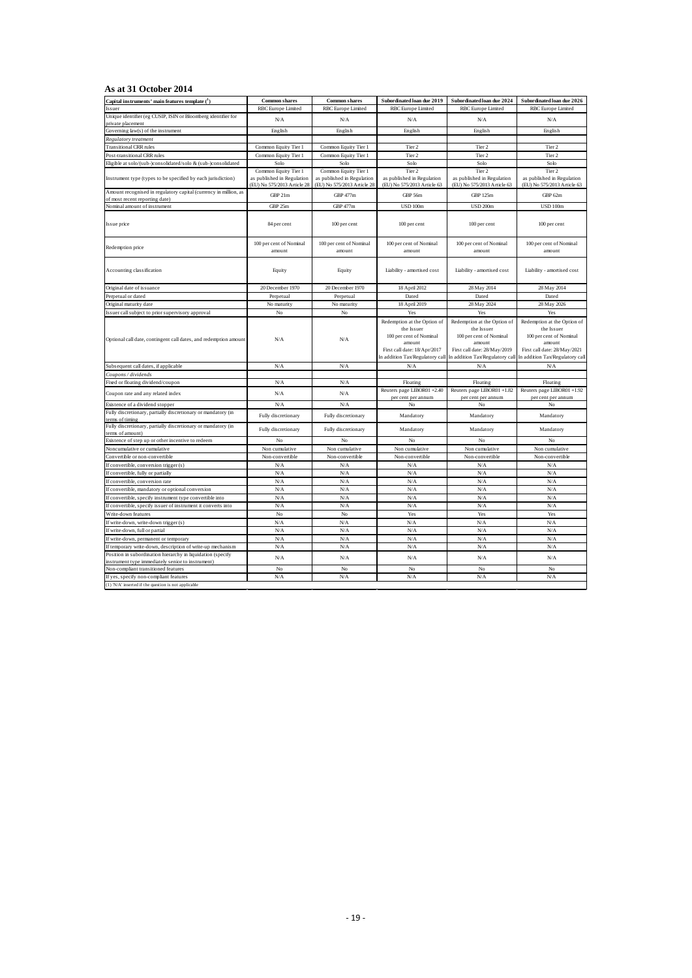#### **As at 31 October 2014**

| Capital instruments' main features template $(1)$                                                                | <b>Common shares</b>                                      | <b>Common shares</b>                                      | Subordinated loan due 2019                                                                                                                        | Subordinated loan due 2024                                                                                                                        | Subordinated loan due 2026                                                                                                                        |
|------------------------------------------------------------------------------------------------------------------|-----------------------------------------------------------|-----------------------------------------------------------|---------------------------------------------------------------------------------------------------------------------------------------------------|---------------------------------------------------------------------------------------------------------------------------------------------------|---------------------------------------------------------------------------------------------------------------------------------------------------|
| Issuer                                                                                                           | <b>RBC</b> Europe Limited                                 | <b>RBC</b> Europe Limited                                 | <b>RBC</b> Europe Limited                                                                                                                         | <b>RBC</b> Europe Limited                                                                                                                         | RBC Europe Limited                                                                                                                                |
| Unique identifier (eg CUSIP, ISIN or Bloomberg identifier for<br>private placement                               | N/A                                                       | N/A                                                       | N/A                                                                                                                                               | N/A                                                                                                                                               | N/A                                                                                                                                               |
| Governing law(s) of the instrument                                                                               | English                                                   | English                                                   | English                                                                                                                                           | English                                                                                                                                           | English                                                                                                                                           |
| Regulatory treatment                                                                                             |                                                           |                                                           |                                                                                                                                                   |                                                                                                                                                   |                                                                                                                                                   |
| <b>Transitional CRR rules</b>                                                                                    | Common Equity Tier 1                                      | Common Equity Tier 1                                      | Tier 2                                                                                                                                            | Tier 2                                                                                                                                            | Tier 2                                                                                                                                            |
| Post-transitional CRR rules                                                                                      | Common Equity Tier 1                                      | Common Equity Tier 1                                      | Tier 2                                                                                                                                            | Tier 2                                                                                                                                            | Tier 2                                                                                                                                            |
| Eligible at solo/(sub-)consolidated/solo & (sub-)consolidated                                                    | Solo                                                      | Solo                                                      | Solo                                                                                                                                              | Solo                                                                                                                                              | Solo                                                                                                                                              |
|                                                                                                                  | Common Equity Tier 1                                      | Common Equity Tier 1                                      | Tier 2                                                                                                                                            | Tier 2                                                                                                                                            | Tier 2                                                                                                                                            |
| Instrument type (types to be specified by each jurisdiction)                                                     | as published in Regulation<br>(EU) No 575/2013 Article 28 | as published in Regulation<br>(EU) No 575/2013 Article 28 | as published in Regulation<br>(EU) No 575/2013 Article 63                                                                                         | as published in Regulation<br>(EU) No 575/2013 Article 63                                                                                         | as published in Regulation<br>(EU) No 575/2013 Article 63                                                                                         |
| Amount recognised in regulatory capital (currency in million, as                                                 | GBP 21m                                                   | GBP 477m                                                  | GBP 56m                                                                                                                                           | <b>GBP 125m</b>                                                                                                                                   | GBP 62m                                                                                                                                           |
| of most recent reporting date)<br>Nominal amount of instrument                                                   | GBP 25m                                                   | <b>GBP 477m</b>                                           | <b>USD 100m</b>                                                                                                                                   | <b>USD 200m</b>                                                                                                                                   | <b>USD 100m</b>                                                                                                                                   |
|                                                                                                                  |                                                           |                                                           |                                                                                                                                                   |                                                                                                                                                   |                                                                                                                                                   |
| Issue price                                                                                                      | 84 per cent                                               | 100 per cent                                              | 100 per cent                                                                                                                                      | 100 per cent                                                                                                                                      | 100 per cent                                                                                                                                      |
| Redemption price                                                                                                 | 100 per cent of Nominal<br>amount                         | 100 per cent of Nominal<br>amount                         | 100 per cent of Nominal<br>amount                                                                                                                 | 100 per cent of Nominal<br>amount                                                                                                                 | 100 per cent of Nominal<br>amount                                                                                                                 |
| Accounting classification                                                                                        | Equity                                                    | Equity                                                    | Liability - amortised cost                                                                                                                        | Liability - amortised cost                                                                                                                        | Liability - amortised cost                                                                                                                        |
| Original date of issuance                                                                                        | 20 December 1970                                          | 20 December 1970                                          | 18 April 2012                                                                                                                                     | 28 May 2014                                                                                                                                       | 28 May 2014                                                                                                                                       |
| Perpetual or dated                                                                                               | Perpetual                                                 | Perpetual                                                 | Dated                                                                                                                                             | Dated                                                                                                                                             | Dated                                                                                                                                             |
| Original maturity date                                                                                           | No maturity                                               | No maturity                                               | 18 April 2019                                                                                                                                     | 28 May 2024                                                                                                                                       | 28 May 2026                                                                                                                                       |
| Issuer call subject to prior supervisory approval                                                                | $_{\rm No}$                                               | $_{\rm No}$                                               | Yes                                                                                                                                               | Yes                                                                                                                                               | Yes                                                                                                                                               |
| Optional call date, contingent call dates, and redemption amount                                                 | N/A                                                       | N/A                                                       | Redemption at the Option of<br>the Issuer<br>100 per cent of Nominal<br>amount<br>First call date: 18/Apr/2017<br>In addition Tax/Regulatory call | Redemption at the Option of<br>the Issuer<br>100 per cent of Nominal<br>amount<br>First call date: 28/May/2019<br>In addition Tax/Regulatory call | Redemption at the Option of<br>the Issuer<br>100 per cent of Nominal<br>amount<br>First call date: 28/May/2021<br>In addition Tax/Regulatory call |
| Subsequent call dates, if applicable                                                                             | N/A                                                       | N/A                                                       | N/A                                                                                                                                               | N/A                                                                                                                                               | N/A                                                                                                                                               |
| Coupons / dividends                                                                                              |                                                           |                                                           |                                                                                                                                                   |                                                                                                                                                   |                                                                                                                                                   |
| Fixed or floating dividend/coupon                                                                                | N/A                                                       | N/A                                                       | Floating                                                                                                                                          | Floating                                                                                                                                          | Floating                                                                                                                                          |
| Coupon rate and any related index                                                                                | N/A                                                       | ${\rm N/A}$                                               | Reuters page LIBOR01 +2.40<br>per cent per annum                                                                                                  | Reuters page LIBOR01 +1.82<br>per cent per annum                                                                                                  | Reuters page LIBOR01 +1.92<br>per cent per annum                                                                                                  |
| Existence of a dividend stopper                                                                                  | N/A                                                       | N/A                                                       | No                                                                                                                                                | No                                                                                                                                                | No                                                                                                                                                |
| Fully discretionary, partially discretionary or mandatory (in<br>terms of timing                                 | Fully discretionary                                       | Fully discretionary                                       | Mandatory                                                                                                                                         | Mandatory                                                                                                                                         | Mandatory                                                                                                                                         |
| Fully discretionary, partially discretionary or mandatory (in<br>terms of amount)                                | Fully discretionary                                       | Fully discretionary                                       | Mandatory                                                                                                                                         | Mandatory                                                                                                                                         | Mandatory                                                                                                                                         |
| Existence of step up or other incentive to redeem                                                                | No                                                        | No                                                        | No                                                                                                                                                | No                                                                                                                                                | No                                                                                                                                                |
| Noncumulative or cumulative                                                                                      | Non cumulative                                            | Non cumulative                                            | Non cumulative                                                                                                                                    | Non cumulative                                                                                                                                    | Non cumulative                                                                                                                                    |
| Convertible or non-convertible                                                                                   | Non-convertible                                           | Non-convertible                                           | Non-convertible                                                                                                                                   | Non-convertible                                                                                                                                   | Non-convertible                                                                                                                                   |
| If convertible, conversion trigger (s)                                                                           | N/A                                                       | N/A                                                       | $\rm N/A$                                                                                                                                         | N/A                                                                                                                                               | N/A                                                                                                                                               |
| If convertible, fully or partially                                                                               | N/A                                                       | N/A                                                       | $\rm N/A$                                                                                                                                         | N/A                                                                                                                                               | N/A                                                                                                                                               |
| If convertible, conversion rate                                                                                  | N/A                                                       | N/A                                                       | N/A                                                                                                                                               | N/A                                                                                                                                               | N/A                                                                                                                                               |
| If convertible, mandatory or optional conversion                                                                 | N/A                                                       | N/A                                                       | N/A                                                                                                                                               | N/A                                                                                                                                               | N/A                                                                                                                                               |
| If convertible, specify instrument type convertible into                                                         | N/A                                                       | N/A                                                       | N/A                                                                                                                                               | N/A                                                                                                                                               | N/A                                                                                                                                               |
| If convertible, specify issuer of instrument it converts into                                                    | N/A                                                       | N/A                                                       | N/A                                                                                                                                               | N/A                                                                                                                                               | N/A                                                                                                                                               |
| Write-down features                                                                                              | No                                                        | $_{\rm No}$                                               | Yes                                                                                                                                               | Yes                                                                                                                                               | Yes                                                                                                                                               |
| If write-down, write-down trigger (s)                                                                            | N/A                                                       | N/A                                                       | N/A                                                                                                                                               | N/A                                                                                                                                               | N/A                                                                                                                                               |
| If write-down, full or partial                                                                                   | N/A                                                       | N/A                                                       | N/A                                                                                                                                               | N/A                                                                                                                                               | N/A                                                                                                                                               |
| If write-down, permanent or temporary                                                                            | N/A                                                       | N/A                                                       | N/A                                                                                                                                               | N/A                                                                                                                                               | N/A                                                                                                                                               |
| If temporary write-down, description of write-up mechanism                                                       | N/A                                                       | N/A                                                       | N/A                                                                                                                                               | N/A                                                                                                                                               | N/A                                                                                                                                               |
| Position in subordination hierarchy in liquidation (specify<br>instrument type immediately senior to instrument) | N/A                                                       | ${\rm N/A}$                                               | N/A                                                                                                                                               | N/A                                                                                                                                               | N/A                                                                                                                                               |
| Non-compliant transitioned features                                                                              | No                                                        | No                                                        | No                                                                                                                                                | No                                                                                                                                                | No                                                                                                                                                |
| If yes, specify non-compliant features                                                                           | N/A                                                       | N/A                                                       | N/A                                                                                                                                               | N/A                                                                                                                                               | N/A                                                                                                                                               |
| (1) 'N/A' inserted if the question is not applicable                                                             |                                                           |                                                           |                                                                                                                                                   |                                                                                                                                                   |                                                                                                                                                   |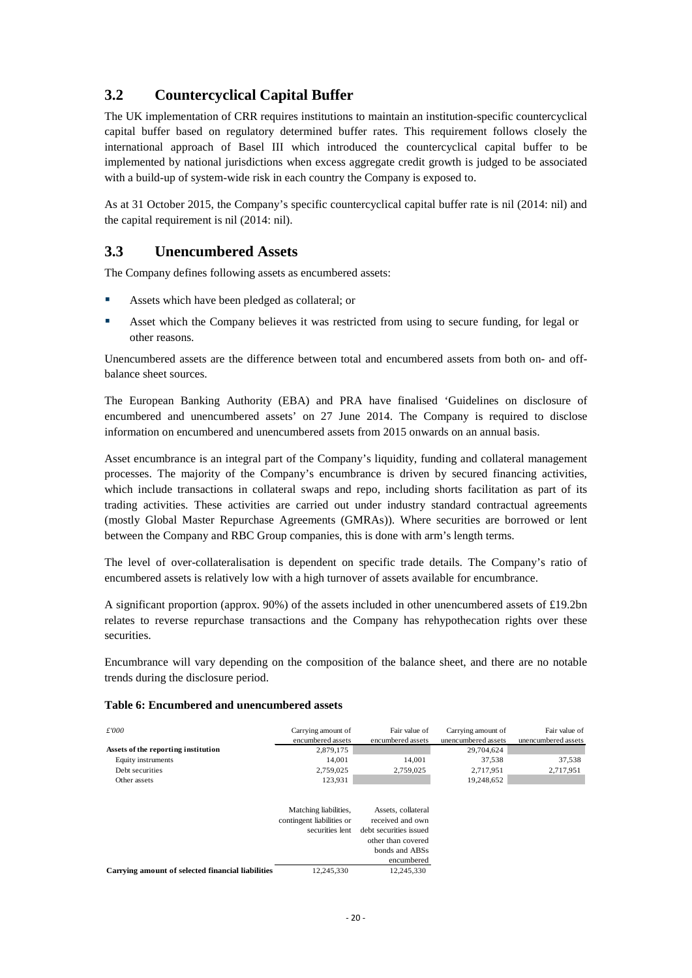# <span id="page-22-0"></span>**3.2 Countercyclical Capital Buffer**

The UK implementation of CRR requires institutions to maintain an institution-specific countercyclical capital buffer based on regulatory determined buffer rates. This requirement follows closely the international approach of Basel III which introduced the countercyclical capital buffer to be implemented by national jurisdictions when excess aggregate credit growth is judged to be associated with a build-up of system-wide risk in each country the Company is exposed to.

As at 31 October 2015, the Company's specific countercyclical capital buffer rate is nil (2014: nil) and the capital requirement is nil (2014: nil).

## <span id="page-22-1"></span>**3.3 Unencumbered Assets**

The Company defines following assets as encumbered assets:

- Assets which have been pledged as collateral; or
- Asset which the Company believes it was restricted from using to secure funding, for legal or other reasons.

Unencumbered assets are the difference between total and encumbered assets from both on- and offbalance sheet sources.

The European Banking Authority (EBA) and PRA have finalised 'Guidelines on disclosure of encumbered and unencumbered assets' on 27 June 2014. The Company is required to disclose information on encumbered and unencumbered assets from 2015 onwards on an annual basis.

Asset encumbrance is an integral part of the Company's liquidity, funding and collateral management processes. The majority of the Company's encumbrance is driven by secured financing activities, which include transactions in collateral swaps and repo, including shorts facilitation as part of its trading activities. These activities are carried out under industry standard contractual agreements (mostly Global Master Repurchase Agreements (GMRAs)). Where securities are borrowed or lent between the Company and RBC Group companies, this is done with arm's length terms.

The level of over-collateralisation is dependent on specific trade details. The Company's ratio of encumbered assets is relatively low with a high turnover of assets available for encumbrance.

A significant proportion (approx. 90%) of the assets included in other unencumbered assets of £19.2bn relates to reverse repurchase transactions and the Company has rehypothecation rights over these securities.

Encumbrance will vary depending on the composition of the balance sheet, and there are no notable trends during the disclosure period.

#### <span id="page-22-2"></span>**Table 6: Encumbered and unencumbered assets**

| £000                                              | Carrying amount of<br>encumbered assets                               | Fair value of<br>encumbered assets                                                                                     | Carrying amount of<br>unencumbered assets | Fair value of<br>unencumbered assets |
|---------------------------------------------------|-----------------------------------------------------------------------|------------------------------------------------------------------------------------------------------------------------|-------------------------------------------|--------------------------------------|
| Assets of the reporting institution               | 2,879,175                                                             |                                                                                                                        | 29,704,624                                |                                      |
| Equity instruments                                | 14.001                                                                | 14.001                                                                                                                 | 37,538                                    | 37,538                               |
| Debt securities                                   | 2,759,025                                                             | 2,759,025                                                                                                              | 2,717,951                                 | 2,717,951                            |
| Other assets                                      | 123,931                                                               |                                                                                                                        | 19.248.652                                |                                      |
|                                                   | Matching liabilities,<br>contingent liabilities or<br>securities lent | Assets, collateral<br>received and own<br>debt securities issued<br>other than covered<br>bonds and ABSs<br>encumbered |                                           |                                      |
| Carrying amount of selected financial liabilities | 12.245.330                                                            | 12.245.330                                                                                                             |                                           |                                      |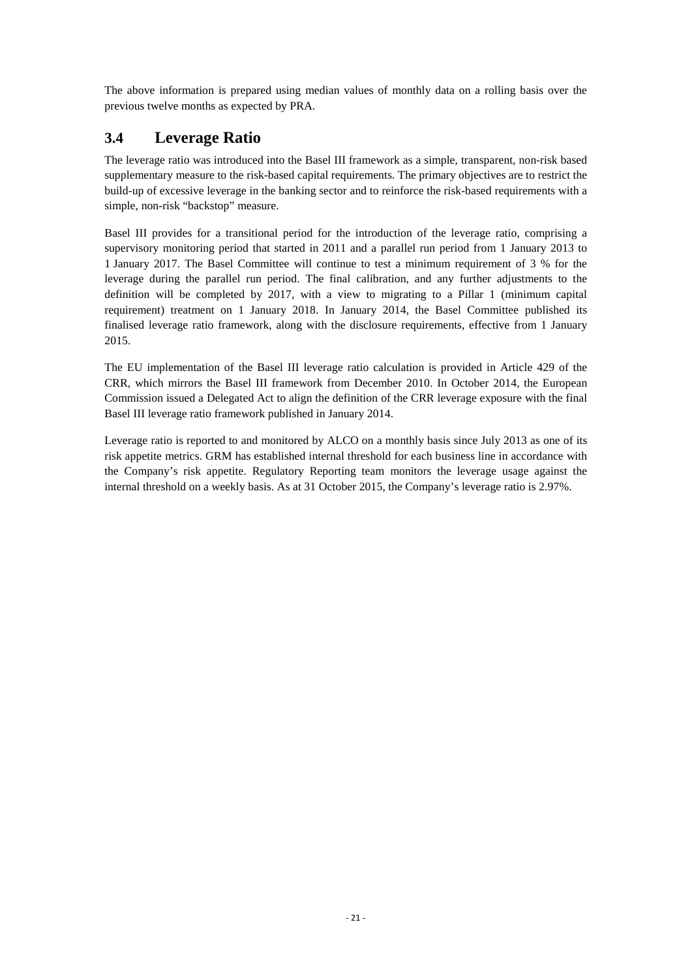The above information is prepared using median values of monthly data on a rolling basis over the previous twelve months as expected by PRA.

# <span id="page-23-0"></span>**3.4 Leverage Ratio**

The leverage ratio was introduced into the Basel III framework as a simple, transparent, non-risk based supplementary measure to the risk-based capital requirements. The primary objectives are to restrict the build-up of excessive leverage in the banking sector and to reinforce the risk-based requirements with a simple, non-risk "backstop" measure.

Basel III provides for a transitional period for the introduction of the leverage ratio, comprising a supervisory monitoring period that started in 2011 and a parallel run period from 1 January 2013 to 1 January 2017. The Basel Committee will continue to test a minimum requirement of 3 % for the leverage during the parallel run period. The final calibration, and any further adjustments to the definition will be completed by 2017, with a view to migrating to a Pillar 1 (minimum capital requirement) treatment on 1 January 2018. In January 2014, the Basel Committee published its finalised leverage ratio framework, along with the disclosure requirements, effective from 1 January 2015.

The EU implementation of the Basel III leverage ratio calculation is provided in Article 429 of the CRR, which mirrors the Basel III framework from December 2010. In October 2014, the European Commission issued a Delegated Act to align the definition of the CRR leverage exposure with the final Basel III leverage ratio framework published in January 2014.

Leverage ratio is reported to and monitored by ALCO on a monthly basis since July 2013 as one of its risk appetite metrics. GRM has established internal threshold for each business line in accordance with the Company's risk appetite. Regulatory Reporting team monitors the leverage usage against the internal threshold on a weekly basis. As at 31 October 2015, the Company's leverage ratio is 2.97%.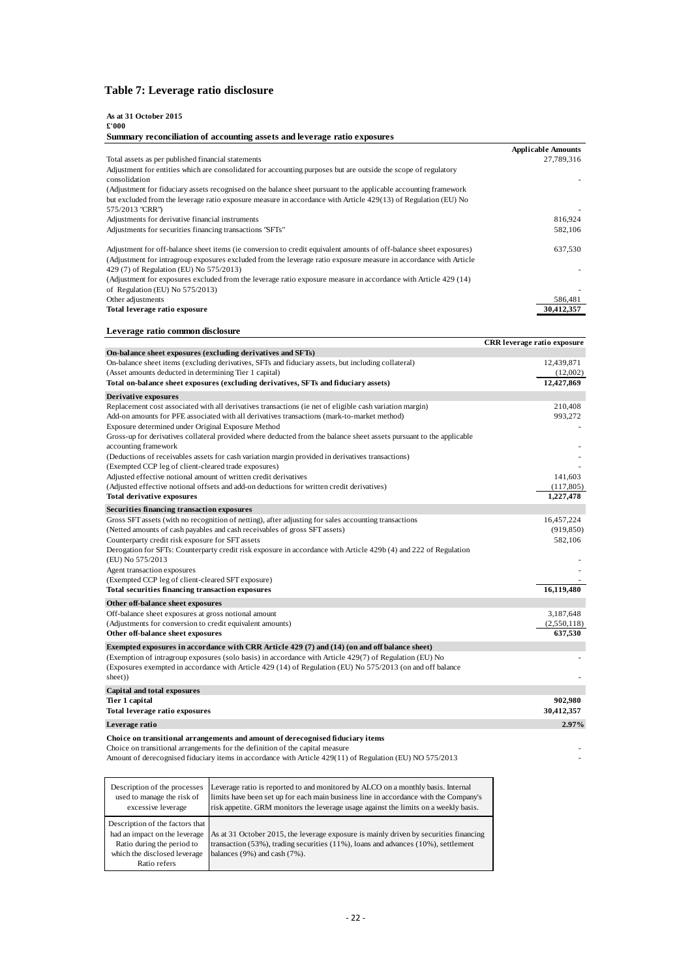### <span id="page-24-0"></span>**Table 7: Leverage ratio disclosure**

| As at 31 October 2015<br>£'000                                                                                                  |                           |
|---------------------------------------------------------------------------------------------------------------------------------|---------------------------|
| Summary reconciliation of accounting assets and leverage ratio exposures                                                        |                           |
|                                                                                                                                 | <b>Applicable Amounts</b> |
| Total assets as per published financial statements                                                                              | 27,789,316                |
| Adjustment for entities which are consolidated for accounting purposes but are outside the scope of regulatory<br>consolidation |                           |
| (Adjustment for fiduciary assets recognised on the balance sheet pursuant to the applicable accounting framework                |                           |
| but excluded from the leverage ratio exposure measure in accordance with Article 429(13) of Regulation (EU) No                  |                           |
| 575/2013 "CRR")                                                                                                                 |                           |
| Adjustments for derivative financial instruments                                                                                | 816,924                   |
| Adjustments for securities financing transactions "SFTs"                                                                        | 582,106                   |
| Adjustment for off-balance sheet items (ie conversion to credit equivalent amounts of off-balance sheet exposures)              | 637,530                   |
| (Adjustment for intragroup exposures excluded from the leverage ratio exposure measure in accordance with Article               |                           |
| 429 (7) of Regulation (EU) No 575/2013)                                                                                         |                           |
| (Adjustment for exposures excluded from the leverage ratio exposure measure in accordance with Article 429 (14)                 |                           |
| of Regulation (EU) No $575/2013$ )                                                                                              |                           |
| Other adjustments                                                                                                               | 586.481                   |
| Total leverage ratio exposure                                                                                                   | 30.412.357                |

#### **Leverage ratio common disclosure**

|                                                                                                                                                                                                                       | <b>CRR</b> leverage ratio exposure |
|-----------------------------------------------------------------------------------------------------------------------------------------------------------------------------------------------------------------------|------------------------------------|
| On-balance sheet exposures (excluding derivatives and SFTs)                                                                                                                                                           |                                    |
| On-balance sheet items (excluding derivatives, SFTs and fiduciary assets, but including collateral)                                                                                                                   | 12,439,871                         |
| (Asset amounts deducted in determining Tier 1 capital)                                                                                                                                                                | (12,002)                           |
| Total on-balance sheet exposures (excluding derivatives, SFTs and fiduciary assets)                                                                                                                                   | 12,427,869                         |
| <b>Derivative exposures</b>                                                                                                                                                                                           |                                    |
| Replacement cost associated with all derivatives transactions (ie net of eligible cash variation margin)                                                                                                              | 210,408                            |
| Add-on amounts for PFE associated with all derivatives transactions (mark-to-market method)                                                                                                                           | 993,272                            |
| Exposure determined under Original Exposure Method                                                                                                                                                                    |                                    |
| Gross-up for derivatives collateral provided where deducted from the balance sheet assets pursuant to the applicable<br>accounting framework                                                                          |                                    |
| (Deductions of receivables assets for cash variation margin provided in derivatives transactions)                                                                                                                     |                                    |
| (Exempted CCP leg of client-cleared trade exposures)                                                                                                                                                                  |                                    |
| Adjusted effective notional amount of written credit derivatives                                                                                                                                                      | 141,603                            |
| (Adjusted effective notional offsets and add-on deductions for written credit derivatives)                                                                                                                            | (117,805)                          |
| <b>Total derivative exposures</b>                                                                                                                                                                                     | 1,227,478                          |
| Securities financing transaction exposures                                                                                                                                                                            |                                    |
| Gross SFT assets (with no recognition of netting), after adjusting for sales accounting transactions                                                                                                                  | 16,457,224                         |
| (Netted amounts of cash payables and cash receivables of gross SFT assets)                                                                                                                                            | (919, 850)                         |
| Counterparty credit risk exposure for SFT assets                                                                                                                                                                      | 582,106                            |
| Derogation for SFTs: Counterparty credit risk exposure in accordance with Article 429b (4) and 222 of Regulation                                                                                                      |                                    |
| (EU) No 575/2013<br>Agent transaction exposures                                                                                                                                                                       |                                    |
| (Exempted CCP leg of client-cleared SFT exposure)                                                                                                                                                                     |                                    |
| <b>Total securities financing transaction exposures</b>                                                                                                                                                               | 16,119,480                         |
|                                                                                                                                                                                                                       |                                    |
| Other off-balance sheet exposures                                                                                                                                                                                     | 3,187,648                          |
| Off-balance sheet exposures at gross notional amount<br>(Adjustments for conversion to credit equivalent amounts)                                                                                                     | (2,550,118)                        |
| Other off-balance sheet exposures                                                                                                                                                                                     | 637,530                            |
|                                                                                                                                                                                                                       |                                    |
| Exempted exposures in accordance with CRR Article 429 (7) and (14) (on and off balance sheet)                                                                                                                         |                                    |
| (Exemption of intragroup exposures (solo basis) in accordance with Article 429(7) of Regulation (EU) No<br>(Exposures exempted in accordance with Article 429 (14) of Regulation (EU) No 575/2013 (on and off balance |                                    |
| sheet))                                                                                                                                                                                                               |                                    |
| Capital and total exposures                                                                                                                                                                                           |                                    |
| Tier 1 capital                                                                                                                                                                                                        | 902,980                            |
| <b>Total leverage ratio exposures</b>                                                                                                                                                                                 | 30,412,357                         |
| Leverage ratio                                                                                                                                                                                                        | 2.97%                              |
| Choice on transitional arrangements and amount of derecognised fiduciary items                                                                                                                                        |                                    |

Choice on transitional arrangements for the definition of the capital measure -

Amount of derecognised fiduciary items in accordance with Article 429(11) of Regulation (EU) NO 575/2013

| Description of the processes<br>used to manage the risk of<br>excessive leverage | Leverage ratio is reported to and monitored by ALCO on a monthly basis. Internal<br>limits have been set up for each main business line in accordance with the Company's<br>risk appetite. GRM monitors the leverage usage against the limits on a weekly basis. |
|----------------------------------------------------------------------------------|------------------------------------------------------------------------------------------------------------------------------------------------------------------------------------------------------------------------------------------------------------------|
| Description of the factors that                                                  |                                                                                                                                                                                                                                                                  |
| had an impact on the leverage                                                    | As at 31 October 2015, the leverage exposure is mainly driven by securities financing                                                                                                                                                                            |
| Ratio during the period to                                                       | transaction $(53\%)$ , trading securities $(11\%)$ , loans and advances $(10\%)$ , settlement                                                                                                                                                                    |
| which the disclosed leverage                                                     | balances $(9\%)$ and cash $(7\%)$ .                                                                                                                                                                                                                              |
| Ratio refers                                                                     |                                                                                                                                                                                                                                                                  |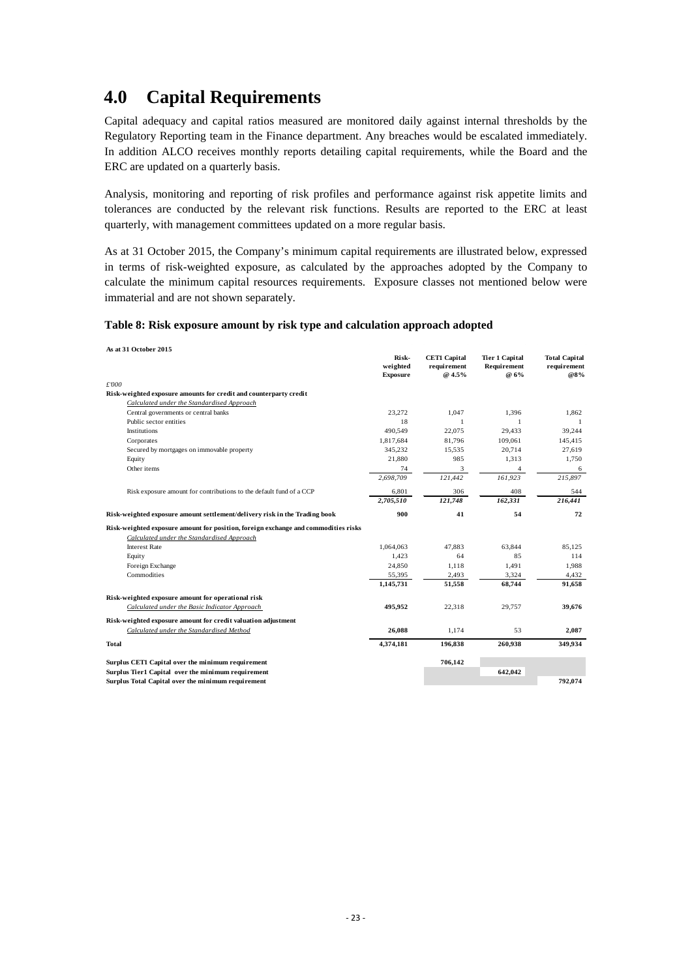# <span id="page-25-0"></span>**4.0 Capital Requirements**

Capital adequacy and capital ratios measured are monitored daily against internal thresholds by the Regulatory Reporting team in the Finance department. Any breaches would be escalated immediately. In addition ALCO receives monthly reports detailing capital requirements, while the Board and the ERC are updated on a quarterly basis.

Analysis, monitoring and reporting of risk profiles and performance against risk appetite limits and tolerances are conducted by the relevant risk functions. Results are reported to the ERC at least quarterly, with management committees updated on a more regular basis.

As at 31 October 2015, the Company's minimum capital requirements are illustrated below, expressed in terms of risk-weighted exposure, as calculated by the approaches adopted by the Company to calculate the minimum capital resources requirements. Exposure classes not mentioned below were immaterial and are not shown separately.

#### <span id="page-25-1"></span>**Table 8: Risk exposure amount by risk type and calculation approach adopted**

**As at 31 October 2015**

| AS at 31 OCtoder 2015                                                              | Risk-<br>weighted<br><b>Exposure</b> | <b>CET1 Capital</b><br>requirement<br>@ 4.5% | <b>Tier 1 Capital</b><br>Requirement<br>@ 6% | <b>Total Capital</b><br>requirement<br>@8% |
|------------------------------------------------------------------------------------|--------------------------------------|----------------------------------------------|----------------------------------------------|--------------------------------------------|
| £'000                                                                              |                                      |                                              |                                              |                                            |
| Risk-weighted exposure amounts for credit and counterparty credit                  |                                      |                                              |                                              |                                            |
| Calculated under the Standardised Approach                                         |                                      |                                              |                                              |                                            |
| Central governments or central banks                                               | 23.272                               | 1.047                                        | 1.396                                        | 1.862                                      |
| Public sector entities                                                             | 18                                   | $\mathbf{1}$                                 | $\mathbf{1}$                                 | -1                                         |
| Institutions                                                                       | 490.549                              | 22,075                                       | 29.433                                       | 39,244                                     |
| Corporates                                                                         | 1,817,684                            | 81,796                                       | 109,061                                      | 145,415                                    |
| Secured by mortgages on immovable property                                         | 345,232                              | 15,535                                       | 20,714                                       | 27,619                                     |
| Equity                                                                             | 21,880                               | 985                                          | 1,313                                        | 1,750                                      |
| Other items                                                                        | 74                                   | 3                                            | $\overline{4}$                               | 6                                          |
|                                                                                    | 2,698,709                            | 121,442                                      | 161,923                                      | 215,897                                    |
| Risk exposure amount for contributions to the default fund of a CCP                | 6,801                                | 306                                          | 408                                          | 544                                        |
|                                                                                    | 2,705,510                            | 121,748                                      | 162,331                                      | 216,441                                    |
| Risk-weighted exposure amount settlement/delivery risk in the Trading book         | 900                                  | 41                                           | 54                                           | 72                                         |
| Risk-weighted exposure amount for position, foreign exchange and commodities risks |                                      |                                              |                                              |                                            |
| Calculated under the Standardised Approach                                         |                                      |                                              |                                              |                                            |
| <b>Interest Rate</b>                                                               | 1.064.063                            | 47.883                                       | 63.844                                       | 85.125                                     |
| Equity                                                                             | 1,423                                | 64                                           | 85                                           | 114                                        |
| Foreign Exchange                                                                   | 24,850                               | 1,118                                        | 1,491                                        | 1,988                                      |
| Commodities                                                                        | 55,395                               | 2,493                                        | 3,324                                        | 4,432                                      |
|                                                                                    | 1,145,731                            | 51,558                                       | 68,744                                       | 91,658                                     |
| Risk-weighted exposure amount for operational risk                                 |                                      |                                              |                                              |                                            |
| Calculated under the Basic Indicator Approach                                      | 495,952                              | 22,318                                       | 29,757                                       | 39,676                                     |
| Risk-weighted exposure amount for credit valuation adjustment                      |                                      |                                              |                                              |                                            |
| Calculated under the Standardised Method                                           | 26,088                               | 1.174                                        | 53                                           | 2,087                                      |
| <b>Total</b>                                                                       | 4,374,181                            | 196.838                                      | 260,938                                      | 349,934                                    |
| Surplus CET1 Capital over the minimum requirement                                  |                                      | 706,142                                      |                                              |                                            |
| Surplus Tier1 Capital over the minimum requirement                                 |                                      |                                              | 642,042                                      |                                            |
| Surplus Total Capital over the minimum requirement                                 |                                      |                                              |                                              | 792,074                                    |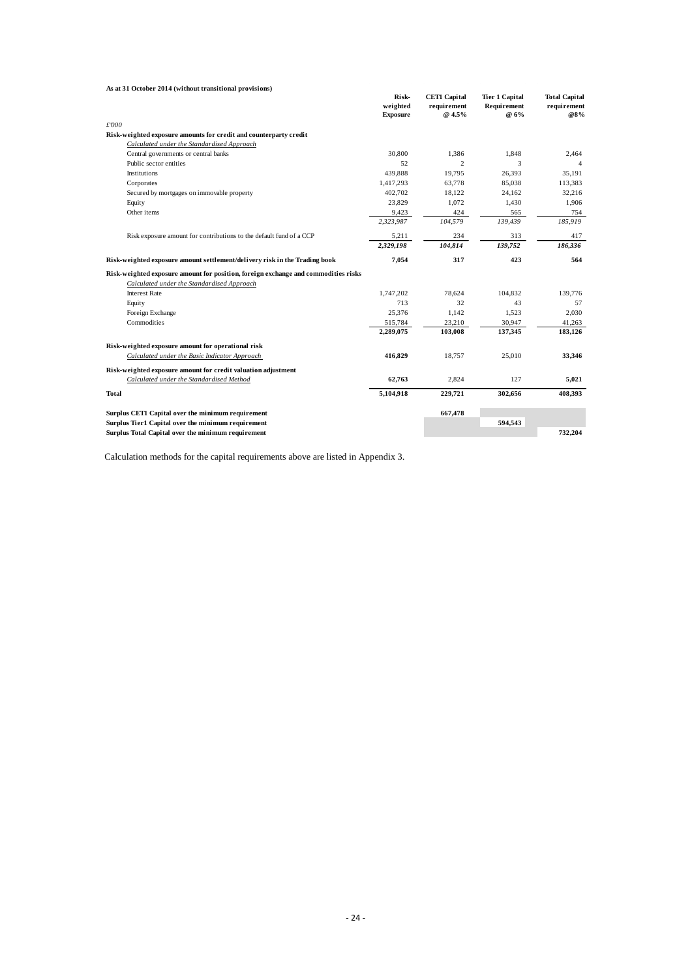| As at 31 October 2014 (without transitional provisions)                            |                                      |                                              |                                              |                                            |
|------------------------------------------------------------------------------------|--------------------------------------|----------------------------------------------|----------------------------------------------|--------------------------------------------|
|                                                                                    | Risk-<br>weighted<br><b>Exposure</b> | <b>CET1 Capital</b><br>requirement<br>@ 4.5% | <b>Tier 1 Capital</b><br>Requirement<br>@ 6% | <b>Total Capital</b><br>requirement<br>@8% |
| £'000                                                                              |                                      |                                              |                                              |                                            |
| Risk-weighted exposure amounts for credit and counterparty credit                  |                                      |                                              |                                              |                                            |
| Calculated under the Standardised Approach                                         |                                      |                                              |                                              |                                            |
| Central governments or central banks                                               | 30.800                               | 1.386                                        | 1.848                                        | 2.464                                      |
| Public sector entities                                                             | 52                                   | $\overline{2}$                               | 3                                            | 4                                          |
| Institutions                                                                       | 439.888                              | 19.795                                       | 26.393                                       | 35.191                                     |
| Corporates                                                                         | 1,417,293                            | 63,778                                       | 85,038                                       | 113,383                                    |
| Secured by mortgages on immovable property                                         | 402,702                              | 18,122                                       | 24.162                                       | 32,216                                     |
| Equity                                                                             | 23,829                               | 1,072                                        | 1,430                                        | 1,906                                      |
| Other items                                                                        | 9,423                                | 424                                          | 565                                          | 754                                        |
|                                                                                    | 2,323,987                            | 104,579                                      | 139,439                                      | 185,919                                    |
| Risk exposure amount for contributions to the default fund of a CCP                | 5,211                                | 234                                          | 313                                          | 417                                        |
|                                                                                    | 2,329,198                            | 104,814                                      | 139,752                                      | 186,336                                    |
| Risk-weighted exposure amount settlement/delivery risk in the Trading book         | 7,054                                | 317                                          | 423                                          | 564                                        |
| Risk-weighted exposure amount for position, foreign exchange and commodities risks |                                      |                                              |                                              |                                            |
| Calculated under the Standardised Approach                                         |                                      |                                              |                                              |                                            |
| <b>Interest Rate</b>                                                               | 1,747,202                            | 78,624                                       | 104,832                                      | 139,776                                    |
| Equity                                                                             | 713                                  | 32                                           | 43                                           | 57                                         |
| Foreign Exchange                                                                   | 25,376                               | 1,142                                        | 1,523                                        | 2,030                                      |
| Commodities                                                                        | 515,784                              | 23,210                                       | 30,947                                       | 41,263                                     |
|                                                                                    | 2,289,075                            | 103,008                                      | 137,345                                      | 183,126                                    |
| Risk-weighted exposure amount for operational risk                                 |                                      |                                              |                                              |                                            |
| Calculated under the Basic Indicator Approach                                      | 416,829                              | 18,757                                       | 25,010                                       | 33,346                                     |
| Risk-weighted exposure amount for credit valuation adjustment                      |                                      |                                              |                                              |                                            |
| Calculated under the Standardised Method                                           | 62,763                               | 2,824                                        | 127                                          | 5,021                                      |
| Total                                                                              | 5,104,918                            | 229,721                                      | 302,656                                      | 408,393                                    |
| Surplus CET1 Capital over the minimum requirement                                  |                                      | 667,478                                      |                                              |                                            |
| Surplus Tier1 Capital over the minimum requirement                                 |                                      |                                              | 594,543                                      |                                            |
| Surplus Total Capital over the minimum requirement                                 |                                      |                                              |                                              | 732,204                                    |

Calculation methods for the capital requirements above are listed in Appendix 3.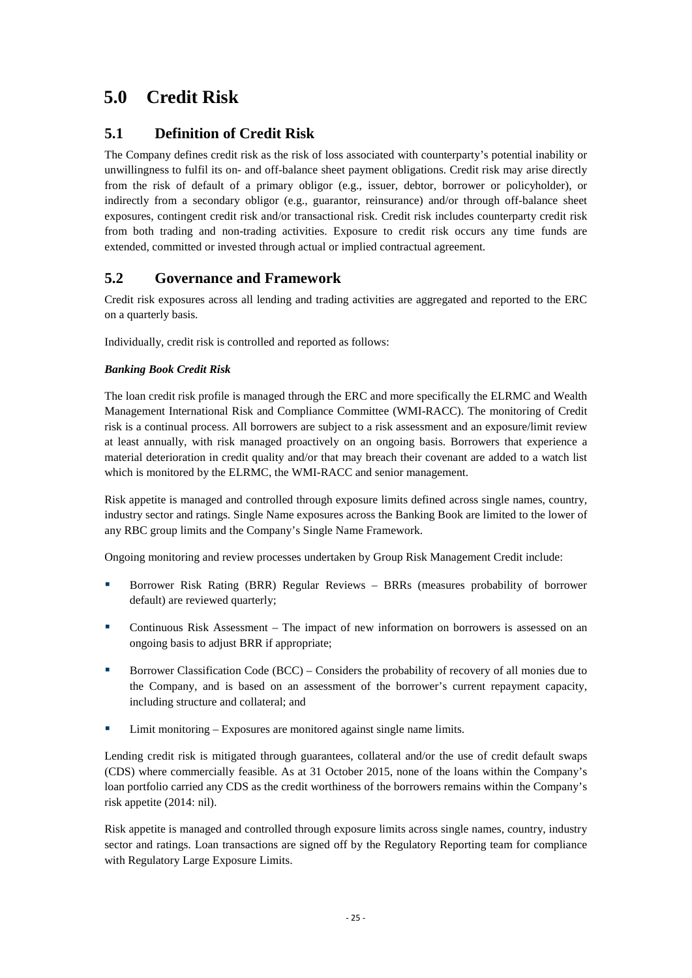# <span id="page-27-0"></span>**5.0 Credit Risk**

# <span id="page-27-1"></span>**5.1 Definition of Credit Risk**

The Company defines credit risk as the risk of loss associated with counterparty's potential inability or unwillingness to fulfil its on- and off-balance sheet payment obligations. Credit risk may arise directly from the risk of default of a primary obligor (e.g., issuer, debtor, borrower or policyholder), or indirectly from a secondary obligor (e.g., guarantor, reinsurance) and/or through off-balance sheet exposures, contingent credit risk and/or transactional risk. Credit risk includes counterparty credit risk from both trading and non-trading activities. Exposure to credit risk occurs any time funds are extended, committed or invested through actual or implied contractual agreement.

# <span id="page-27-2"></span>**5.2 Governance and Framework**

Credit risk exposures across all lending and trading activities are aggregated and reported to the ERC on a quarterly basis.

Individually, credit risk is controlled and reported as follows:

### *Banking Book Credit Risk*

The loan credit risk profile is managed through the ERC and more specifically the ELRMC and Wealth Management International Risk and Compliance Committee (WMI-RACC). The monitoring of Credit risk is a continual process. All borrowers are subject to a risk assessment and an exposure/limit review at least annually, with risk managed proactively on an ongoing basis. Borrowers that experience a material deterioration in credit quality and/or that may breach their covenant are added to a watch list which is monitored by the ELRMC, the WMI-RACC and senior management.

Risk appetite is managed and controlled through exposure limits defined across single names, country, industry sector and ratings. Single Name exposures across the Banking Book are limited to the lower of any RBC group limits and the Company's Single Name Framework.

Ongoing monitoring and review processes undertaken by Group Risk Management Credit include:

- Borrower Risk Rating (BRR) Regular Reviews BRRs (measures probability of borrower default) are reviewed quarterly;
- Continuous Risk Assessment The impact of new information on borrowers is assessed on an ongoing basis to adjust BRR if appropriate;
- **Borrower Classification Code (BCC) Considers the probability of recovery of all monies due to** the Company, and is based on an assessment of the borrower's current repayment capacity, including structure and collateral; and
- Limit monitoring Exposures are monitored against single name limits.

Lending credit risk is mitigated through guarantees, collateral and/or the use of credit default swaps (CDS) where commercially feasible. As at 31 October 2015, none of the loans within the Company's loan portfolio carried any CDS as the credit worthiness of the borrowers remains within the Company's risk appetite (2014: nil).

Risk appetite is managed and controlled through exposure limits across single names, country, industry sector and ratings. Loan transactions are signed off by the Regulatory Reporting team for compliance with Regulatory Large Exposure Limits.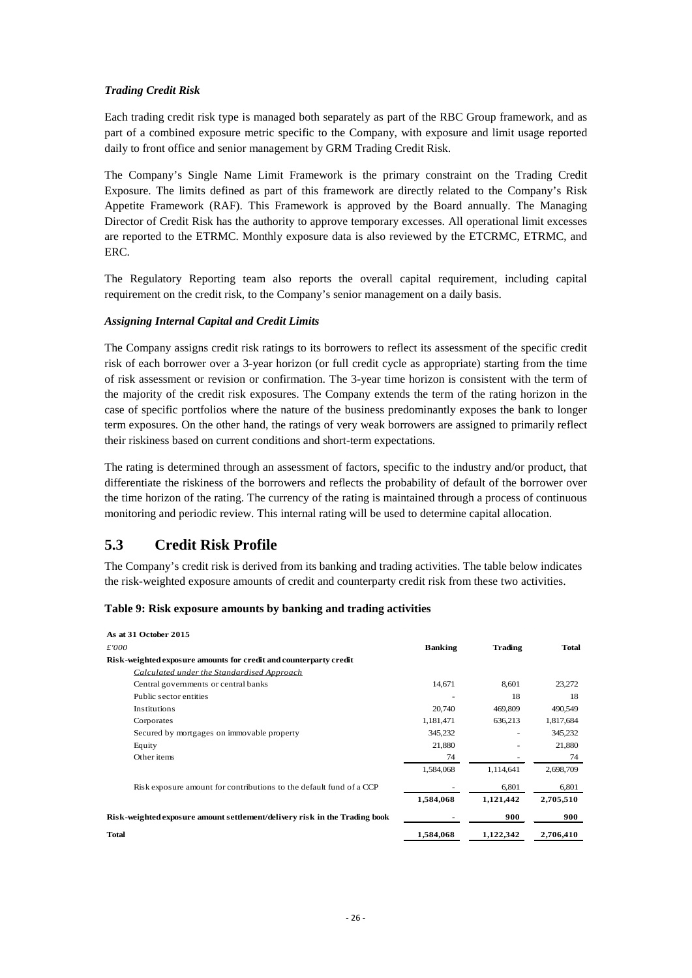#### *Trading Credit Risk*

Each trading credit risk type is managed both separately as part of the RBC Group framework, and as part of a combined exposure metric specific to the Company, with exposure and limit usage reported daily to front office and senior management by GRM Trading Credit Risk.

The Company's Single Name Limit Framework is the primary constraint on the Trading Credit Exposure. The limits defined as part of this framework are directly related to the Company's Risk Appetite Framework (RAF). This Framework is approved by the Board annually. The Managing Director of Credit Risk has the authority to approve temporary excesses. All operational limit excesses are reported to the ETRMC. Monthly exposure data is also reviewed by the ETCRMC, ETRMC, and ERC.

The Regulatory Reporting team also reports the overall capital requirement, including capital requirement on the credit risk, to the Company's senior management on a daily basis.

#### *Assigning Internal Capital and Credit Limits*

The Company assigns credit risk ratings to its borrowers to reflect its assessment of the specific credit risk of each borrower over a 3-year horizon (or full credit cycle as appropriate) starting from the time of risk assessment or revision or confirmation. The 3-year time horizon is consistent with the term of the majority of the credit risk exposures. The Company extends the term of the rating horizon in the case of specific portfolios where the nature of the business predominantly exposes the bank to longer term exposures. On the other hand, the ratings of very weak borrowers are assigned to primarily reflect their riskiness based on current conditions and short-term expectations.

The rating is determined through an assessment of factors, specific to the industry and/or product, that differentiate the riskiness of the borrowers and reflects the probability of default of the borrower over the time horizon of the rating. The currency of the rating is maintained through a process of continuous monitoring and periodic review. This internal rating will be used to determine capital allocation.

# <span id="page-28-0"></span>**5.3 Credit Risk Profile**

The Company's credit risk is derived from its banking and trading activities. The table below indicates the risk-weighted exposure amounts of credit and counterparty credit risk from these two activities.

#### <span id="page-28-1"></span>**Table 9: Risk exposure amounts by banking and trading activities**

| As at 31 October 2015                                                      |                |                          |           |
|----------------------------------------------------------------------------|----------------|--------------------------|-----------|
| £'000                                                                      | <b>Banking</b> | Trading                  | Total     |
| Risk-weighted exposure amounts for credit and counterparty credit          |                |                          |           |
| Calculated under the Standardised Approach                                 |                |                          |           |
| Central governments or central banks                                       | 14,671         | 8,601                    | 23,272    |
| Public sector entities                                                     |                | 18                       | 18        |
| <b>Institutions</b>                                                        | 20,740         | 469,809                  | 490,549   |
| Corporates                                                                 | 1,181,471      | 636,213                  | 1,817,684 |
| Secured by mortgages on immovable property                                 | 345,232        | $\overline{\phantom{a}}$ | 345,232   |
| Equity                                                                     | 21,880         |                          | 21,880    |
| Other items                                                                | 74             |                          | 74        |
|                                                                            | 1,584,068      | 1,114,641                | 2,698,709 |
| Risk exposure amount for contributions to the default fund of a CCP        |                | 6,801                    | 6,801     |
|                                                                            | 1,584,068      | 1,121,442                | 2,705,510 |
| Risk-weighted exposure amount settlement/delivery risk in the Trading book |                | 900                      | 900       |
| <b>Total</b>                                                               | 1,584,068      | 1,122,342                | 2,706,410 |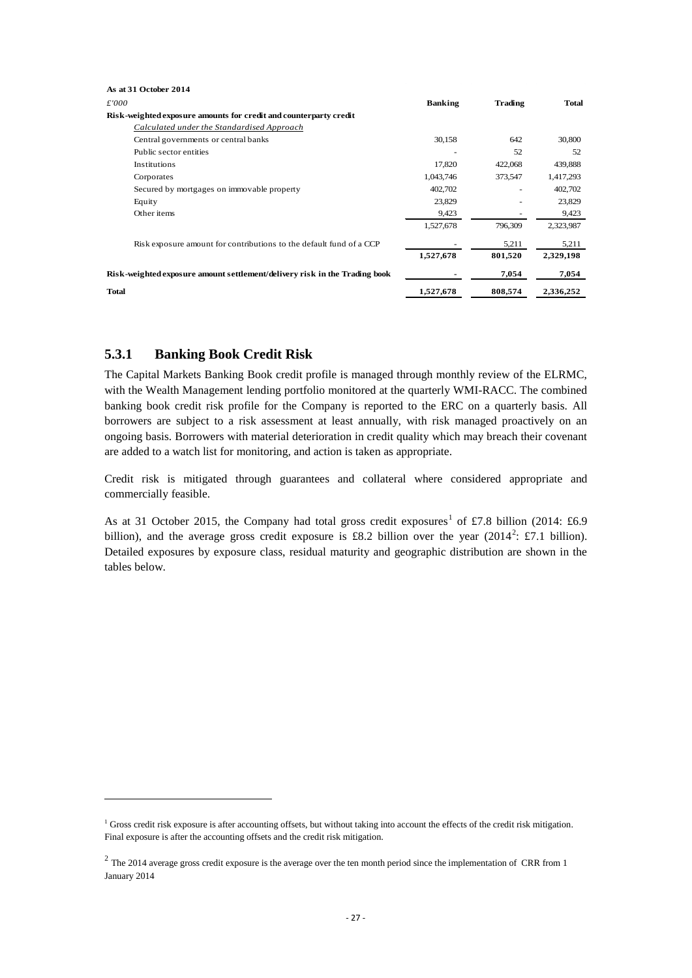| As at 31 October 2014                                                      |                |         |           |
|----------------------------------------------------------------------------|----------------|---------|-----------|
| £'000                                                                      | <b>Banking</b> | Trading | Total     |
| Risk-weighted exposure amounts for credit and counterparty credit          |                |         |           |
| Calculated under the Standardised Approach                                 |                |         |           |
| Central governments or central banks                                       | 30,158         | 642     | 30,800    |
| Public sector entities                                                     |                | 52      | 52        |
| Institutions                                                               | 17,820         | 422,068 | 439,888   |
| Corporates                                                                 | 1,043,746      | 373,547 | 1,417,293 |
| Secured by mortgages on immovable property                                 | 402,702        | ٠       | 402,702   |
| Equity                                                                     | 23,829         |         | 23,829    |
| Other items                                                                | 9,423          |         | 9,423     |
|                                                                            | 1,527,678      | 796,309 | 2,323,987 |
| Risk exposure amount for contributions to the default fund of a CCP        |                | 5,211   | 5,211     |
|                                                                            | 1,527,678      | 801,520 | 2,329,198 |
| Risk-weighted exposure amount settlement/delivery risk in the Trading book |                | 7,054   | 7,054     |
| <b>Total</b>                                                               | 1,527,678      | 808,574 | 2,336,252 |

### <span id="page-29-0"></span>**5.3.1 Banking Book Credit Risk**

**.** 

The Capital Markets Banking Book credit profile is managed through monthly review of the ELRMC, with the Wealth Management lending portfolio monitored at the quarterly WMI-RACC. The combined banking book credit risk profile for the Company is reported to the ERC on a quarterly basis. All borrowers are subject to a risk assessment at least annually, with risk managed proactively on an ongoing basis. Borrowers with material deterioration in credit quality which may breach their covenant are added to a watch list for monitoring, and action is taken as appropriate.

Credit risk is mitigated through guarantees and collateral where considered appropriate and commercially feasible.

As at 3[1](#page-29-1) October 2015, the Company had total gross credit exposures<sup>1</sup> of £7.8 billion (2014: £6.9) billion), and the average gross credit exposure is £8.[2](#page-29-2) billion over the year  $(2014^2; \text{\textsterling}7.1)$  billion). Detailed exposures by exposure class, residual maturity and geographic distribution are shown in the tables below.

<span id="page-29-1"></span><sup>&</sup>lt;sup>1</sup> Gross credit risk exposure is after accounting offsets, but without taking into account the effects of the credit risk mitigation. Final exposure is after the accounting offsets and the credit risk mitigation.

<span id="page-29-2"></span> $2$  The 2014 average gross credit exposure is the average over the ten month period since the implementation of CRR from 1 January 2014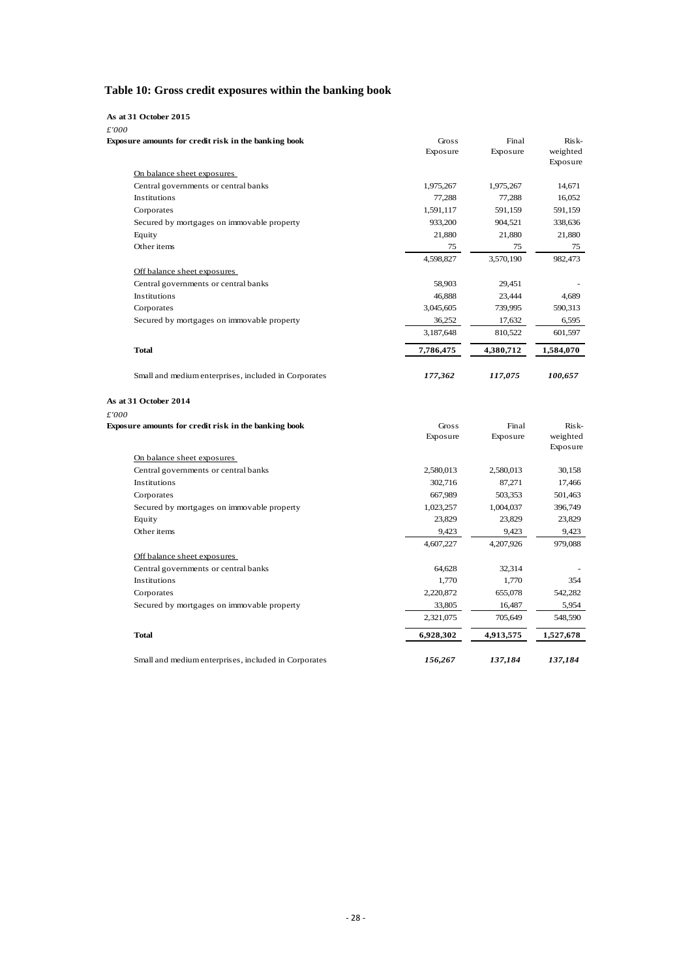# <span id="page-30-0"></span>**Table 10: Gross credit exposures within the banking book**

| As at 31 October 2015                                |           |           |           |
|------------------------------------------------------|-----------|-----------|-----------|
| £'000                                                |           |           |           |
| Exposure amounts for credit risk in the banking book | Gross     | Final     | Risk-     |
|                                                      | Exposure  | Exposure  | weighted  |
| On balance sheet exposures                           |           |           | Exposure  |
| Central governments or central banks                 | 1,975,267 | 1,975,267 | 14,671    |
| Institutions                                         | 77,288    | 77,288    | 16,052    |
| Corporates                                           | 1,591,117 | 591,159   | 591,159   |
| Secured by mortgages on immovable property           | 933,200   | 904,521   | 338,636   |
| Equity                                               | 21,880    | 21,880    | 21,880    |
| Other items                                          | 75        | 75        | 75        |
|                                                      | 4,598,827 | 3,570,190 | 982,473   |
|                                                      |           |           |           |
| Off balance sheet exposures                          |           |           |           |
| Central governments or central banks                 | 58,903    | 29,451    |           |
| Institutions                                         | 46,888    | 23,444    | 4,689     |
| Corporates                                           | 3,045,605 | 739,995   | 590,313   |
| Secured by mortgages on immovable property           | 36,252    | 17,632    | 6,595     |
|                                                      | 3,187,648 | 810,522   | 601,597   |
| <b>Total</b>                                         | 7,786,475 | 4,380,712 | 1,584,070 |
| Small and medium enterprises, included in Corporates | 177,362   | 117,075   | 100,657   |
| As at 31 October 2014                                |           |           |           |
| £'000                                                |           |           |           |
| Exposure amounts for credit risk in the banking book | Gross     | Final     | Risk-     |
|                                                      | Exposure  | Exposure  | weighted  |
|                                                      |           |           | Exposure  |
| On balance sheet exposures                           |           |           |           |
| Central governments or central banks                 | 2,580,013 | 2,580,013 | 30,158    |
| Institutions                                         | 302,716   | 87,271    | 17,466    |
| Corporates                                           | 667,989   | 503,353   | 501,463   |
| Secured by mortgages on immovable property           | 1,023,257 | 1,004,037 | 396,749   |
| Equity                                               | 23,829    | 23,829    | 23,829    |
| Other items                                          | 9,423     | 9,423     | 9,423     |
|                                                      | 4,607,227 | 4,207,926 | 979,088   |
| Off balance sheet exposures                          |           |           |           |
| Central governments or central banks                 | 64,628    | 32,314    |           |
| Institutions                                         | 1,770     | 1,770     | 354       |
| Corporates                                           | 2,220,872 | 655,078   | 542,282   |
| Secured by mortgages on immovable property           | 33,805    | 16,487    | 5,954     |
|                                                      | 2,321,075 | 705,649   | 548,590   |
| <b>Total</b>                                         | 6,928,302 | 4,913,575 | 1,527,678 |
| Small and medium enterprises, included in Corporates | 156,267   | 137,184   | 137,184   |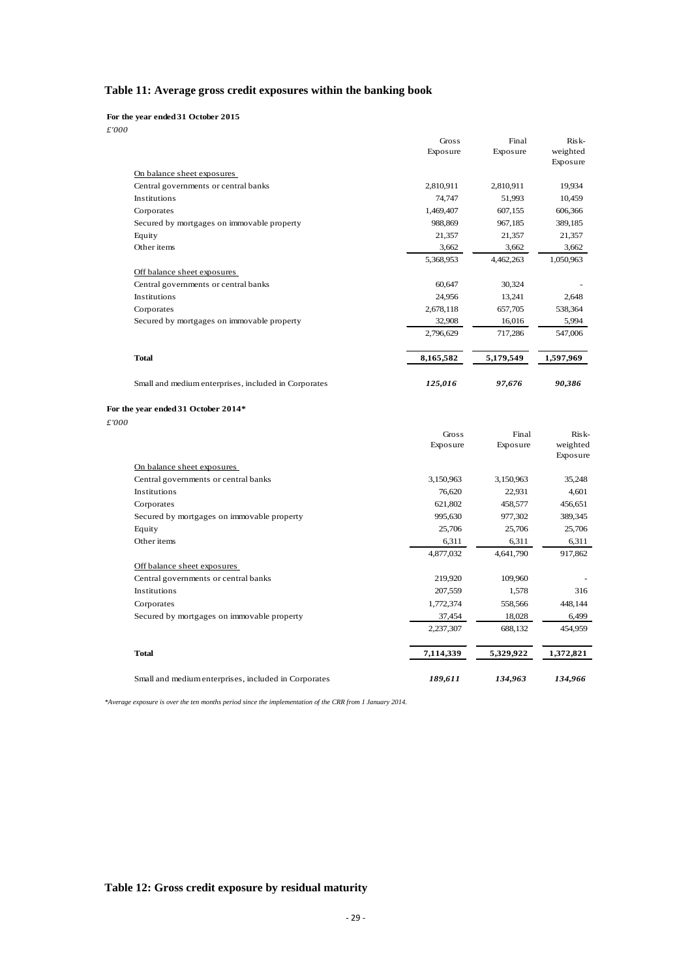# <span id="page-31-0"></span>**Table 11: Average gross credit exposures within the banking book**

**For the year ended 31 October 2015**

*£'000*

| i vvv                                                | Gross<br>Exposure | Final<br>Exposure | Risk-<br>weighted<br>Exposure |
|------------------------------------------------------|-------------------|-------------------|-------------------------------|
| On balance sheet exposures                           |                   |                   |                               |
| Central governments or central banks                 | 2,810,911         | 2,810,911         | 19,934                        |
| Institutions                                         | 74,747            | 51,993            | 10,459                        |
| Corporates                                           | 1,469,407         | 607.155           | 606,366                       |
| Secured by mortgages on immovable property           | 988,869           | 967,185           | 389,185                       |
| Equity                                               | 21,357            | 21,357            | 21,357                        |
| Other items                                          | 3,662             | 3,662             | 3,662                         |
|                                                      | 5,368,953         | 4,462,263         | 1,050,963                     |
| Off balance sheet exposures                          |                   |                   |                               |
| Central governments or central banks                 | 60,647            | 30,324            |                               |
| <b>Institutions</b>                                  | 24,956            | 13,241            | 2,648                         |
| Corporates                                           | 2,678,118         | 657,705           | 538,364                       |
| Secured by mortgages on immovable property           | 32,908            | 16,016            | 5,994                         |
|                                                      | 2,796,629         | 717,286           | 547,006                       |
| <b>Total</b>                                         | 8,165,582         | 5,179,549         | 1,597,969                     |
| Small and medium enterprises, included in Corporates | 125,016           | 97,676            | 90,386                        |
| For the year ended 31 October 2014*<br>.             |                   |                   |                               |

*£'000*

|                                                      | Gross<br>Exposure | Final<br>Exposure | $Risk-$<br>weighted<br>Exposure |
|------------------------------------------------------|-------------------|-------------------|---------------------------------|
| On balance sheet exposures                           |                   |                   |                                 |
| Central governments or central banks                 | 3,150,963         | 3,150,963         | 35,248                          |
| <b>Institutions</b>                                  | 76,620            | 22,931            | 4,601                           |
| Corporates                                           | 621,802           | 458,577           | 456,651                         |
| Secured by mortgages on immovable property           | 995,630           | 977,302           | 389,345                         |
| Equity                                               | 25,706            | 25,706            | 25,706                          |
| Other items                                          | 6,311             | 6,311             | 6,311                           |
|                                                      | 4,877,032         | 4,641,790         | 917,862                         |
| Off balance sheet exposures                          |                   |                   |                                 |
| Central governments or central banks                 | 219,920           | 109,960           |                                 |
| Institutions                                         | 207,559           | 1,578             | 316                             |
| Corporates                                           | 1,772,374         | 558,566           | 448,144                         |
| Secured by mortgages on immovable property           | 37,454            | 18,028            | 6,499                           |
|                                                      | 2,237,307         | 688,132           | 454,959                         |
| <b>Total</b>                                         | 7,114,339         | 5,329,922         | 1,372,821                       |
| Small and medium enterprises, included in Corporates | 189,611           | 134,963           | 134,966                         |

*\*Average exposure is over the ten months period since the implementation of the CRR from 1 January 2014.* 

#### <span id="page-31-1"></span>**Table 12: Gross credit exposure by residual maturity**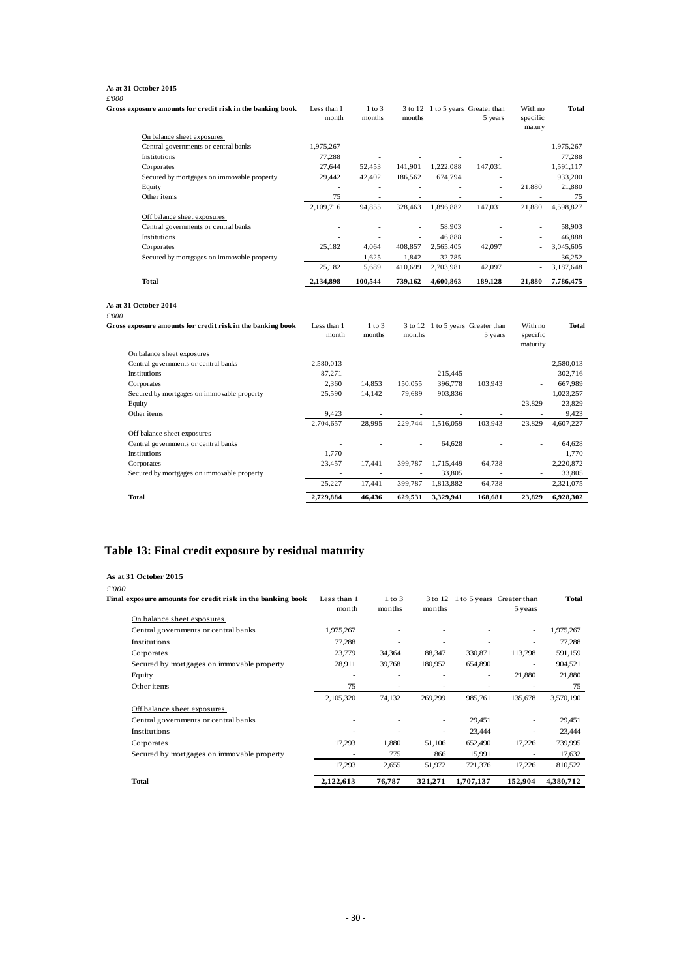#### **As at 31 October 2015**

| £'000                                                                                        |                          |                          |                          |                          |                                              |                                 |                 |
|----------------------------------------------------------------------------------------------|--------------------------|--------------------------|--------------------------|--------------------------|----------------------------------------------|---------------------------------|-----------------|
| Gross exposure amounts for credit risk in the banking book                                   | Less than 1<br>month     | $1$ to $3$<br>months     | months                   |                          | 3 to 12 1 to 5 years Greater than<br>5 years | With no<br>specific<br>matury   | Total           |
| On balance sheet exposures                                                                   |                          |                          |                          |                          |                                              |                                 |                 |
| Central governments or central banks                                                         | 1,975,267                |                          |                          |                          |                                              |                                 | 1,975,267       |
| Institutions                                                                                 | 77,288                   |                          |                          |                          |                                              |                                 | 77,288          |
| Corporates                                                                                   | 27,644                   | 52,453                   | 141,901                  | 1,222,088                | 147,031                                      |                                 | 1,591,117       |
| Secured by mortgages on immovable property                                                   | 29,442                   | 42,402                   | 186,562                  | 674,794                  |                                              |                                 | 933,200         |
| Equity                                                                                       | $\overline{\phantom{a}}$ | ٠                        | $\overline{\phantom{a}}$ |                          | ٠                                            | 21,880                          | 21,880          |
| Other items                                                                                  | 75                       | $\overline{\phantom{a}}$ |                          |                          | $\sim$                                       | $\overline{\phantom{a}}$        | 75              |
|                                                                                              | 2,109,716                | 94.855                   | 328,463                  | 1,896,882                | 147.031                                      | 21.880                          | 4,598,827       |
| Off balance sheet exposures                                                                  |                          |                          |                          |                          |                                              |                                 |                 |
| Central governments or central banks                                                         | ٠                        | ÷                        | $\sim$                   | 58,903                   | ٠                                            | ÷,                              | 58,903          |
| Institutions                                                                                 |                          |                          | $\overline{a}$           | 46,888                   |                                              | $\overline{a}$                  | 46,888          |
| Corporates                                                                                   | 25,182                   | 4,064                    | 408,857                  | 2,565,405                | 42,097                                       | Ĭ.                              | 3,045,605       |
| Secured by mortgages on immovable property                                                   |                          | 1,625                    | 1,842                    | 32,785                   |                                              |                                 | 36,252          |
|                                                                                              | 25,182                   | 5,689                    | 410,699                  | 2,703,981                | 42,097                                       | ÷                               | 3,187,648       |
|                                                                                              |                          |                          |                          |                          |                                              |                                 |                 |
| Total                                                                                        | 2,134,898                | 100,544                  | 739,162                  | 4,600,863                | 189,128                                      | 21,880                          | 7,786,475       |
| As at 31 October 2014<br>£'000<br>Gross exposure amounts for credit risk in the banking book | Less than 1<br>month     | $1$ to $3$<br>months     | months                   |                          | 3 to 12 1 to 5 years Greater than<br>5 years | With no<br>specific<br>maturity | Total           |
| On balance sheet exposures                                                                   |                          |                          |                          |                          |                                              |                                 |                 |
| Central governments or central banks                                                         | 2,580,013                |                          | $\overline{a}$           | $\overline{a}$           |                                              | $\overline{a}$                  | 2,580,013       |
| Institutions                                                                                 | 87,271                   |                          | $\overline{\phantom{a}}$ | 215,445                  |                                              | $\overline{a}$                  | 302,716         |
| Corporates                                                                                   | 2,360                    | 14,853                   | 150,055                  | 396,778                  | 103,943                                      | $\overline{a}$                  | 667,989         |
| Secured by mortgages on immovable property                                                   | 25,590                   | 14,142                   | 79,689                   | 903,836                  | $\overline{a}$                               | $\overline{a}$                  | 1,023,257       |
| Equity                                                                                       | ٠                        | $\sim$                   | ÷,                       | $\overline{\phantom{a}}$ | $\overline{\phantom{a}}$                     | 23,829                          | 23,829          |
| Other items                                                                                  | 9,423                    | $\overline{\phantom{a}}$ | $\overline{\phantom{a}}$ | $\sim$                   | $\sim$                                       | $\overline{\phantom{a}}$        | 9,423           |
|                                                                                              | 2,704,657                | 28,995                   | 229,744                  | 1,516,059                | 103,943                                      | 23,829                          | 4,607,227       |
| Off balance sheet exposures                                                                  |                          |                          |                          |                          |                                              |                                 |                 |
| Central governments or central banks<br><b>Institutions</b>                                  | J.<br>1,770              |                          |                          | 64,628                   |                                              |                                 | 64,628<br>1,770 |

| Total                                      | 2.729.884                | 46.436                   |         | 629.531 3.329.941 | 168.681                  | 23,829                   | 6.928.302 |
|--------------------------------------------|--------------------------|--------------------------|---------|-------------------|--------------------------|--------------------------|-----------|
|                                            | 25.227                   | 17.441                   | 399.787 | 1.813.882         | 64.738                   |                          | 2.321.075 |
| Secured by mortgages on immovable property | $\overline{\phantom{a}}$ | $\overline{\phantom{a}}$ |         | 33,805            | $\overline{\phantom{0}}$ | $\overline{\phantom{a}}$ | 33.805    |
| Corporates                                 | 23.457                   | 17.441                   |         | 399.787 1.715.449 | 64.738                   |                          | 2.220.872 |

### <span id="page-32-0"></span>**Table 13: Final credit exposure by residual maturity**

| As at 31 October 2015                                               |                          |                      |         |                |                                              |           |
|---------------------------------------------------------------------|--------------------------|----------------------|---------|----------------|----------------------------------------------|-----------|
| £'000<br>Final exposure amounts for credit risk in the banking book | Less than 1<br>month     | $1$ to $3$<br>months | months  |                | 3 to 12 1 to 5 years Greater than<br>5 years | Total     |
| On balance sheet exposures                                          |                          |                      |         |                |                                              |           |
| Central governments or central banks                                | 1,975,267                |                      |         |                | $\overline{\phantom{a}}$                     | 1,975,267 |
| <b>Institutions</b>                                                 | 77,288                   |                      |         |                | $\blacksquare$                               | 77,288    |
| Corporates                                                          | 23,779                   | 34,364               | 88,347  | 330,871        | 113,798                                      | 591,159   |
| Secured by mortgages on immovable property                          | 28,911                   | 39,768               | 180,952 | 654,890        | ٠                                            | 904,521   |
| Equity                                                              |                          |                      |         | ۰              | 21,880                                       | 21,880    |
| Other items                                                         | 75                       |                      |         | $\overline{a}$ | ٠                                            | 75        |
|                                                                     | 2,105,320                | 74,132               | 269,299 | 985,761        | 135,678                                      | 3,570,190 |
| Off balance sheet exposures                                         |                          |                      |         |                |                                              |           |
| Central governments or central banks                                |                          |                      | ٠       | 29,451         | ÷                                            | 29,451    |
| Institutions                                                        |                          |                      | ٠       | 23,444         | ٠                                            | 23,444    |
| Corporates                                                          | 17,293                   | 1.880                | 51,106  | 652,490        | 17,226                                       | 739,995   |
| Secured by mortgages on immovable property                          | $\overline{\phantom{a}}$ | 775                  | 866     | 15,991         | $\sim$                                       | 17,632    |
|                                                                     | 17,293                   | 2,655                | 51,972  | 721,376        | 17,226                                       | 810,522   |
| <b>Total</b>                                                        | 2,122,613                | 76.787               | 321,271 | 1,707,137      | 152.904                                      | 4,380,712 |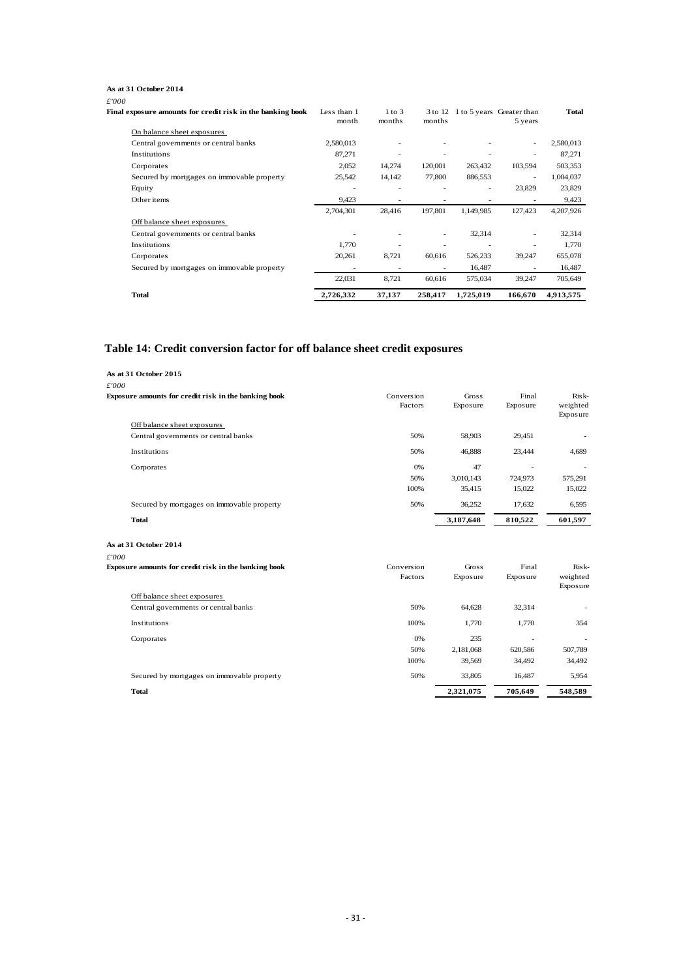#### **As at 31 October 2014**

| £'000                                                      |                      |                      |         |           |                                              |              |
|------------------------------------------------------------|----------------------|----------------------|---------|-----------|----------------------------------------------|--------------|
| Final exposure amounts for credit risk in the banking book | Less than 1<br>month | $1$ to $3$<br>months | months  |           | 3 to 12 1 to 5 years Greater than<br>5 years | <b>Total</b> |
| On balance sheet exposures                                 |                      |                      |         |           |                                              |              |
| Central governments or central banks                       | 2,580,013            |                      |         |           |                                              | 2,580,013    |
| Institutions                                               | 87,271               |                      |         |           |                                              | 87,271       |
| Corporates                                                 | 2,052                | 14,274               | 120,001 | 263,432   | 103,594                                      | 503,353      |
| Secured by mortgages on immovable property                 | 25,542               | 14,142               | 77,800  | 886,553   | ٠                                            | 1,004,037    |
| Equity                                                     | $\sim$               |                      |         | ٠         | 23,829                                       | 23,829       |
| Other items                                                | 9,423                |                      |         |           |                                              | 9,423        |
|                                                            | 2,704,301            | 28,416               | 197,801 | 1,149,985 | 127,423                                      | 4,207,926    |
| Off balance sheet exposures                                |                      |                      |         |           |                                              |              |
| Central governments or central banks                       |                      |                      |         | 32,314    |                                              | 32,314       |
| Institutions                                               | 1.770                |                      | ٠       |           |                                              | 1,770        |
| Corporates                                                 | 20,261               | 8,721                | 60,616  | 526,233   | 39,247                                       | 655,078      |
| Secured by mortgages on immovable property                 |                      |                      |         | 16,487    |                                              | 16,487       |
|                                                            | 22,031               | 8.721                | 60.616  | 575,034   | 39.247                                       | 705,649      |
| <b>Total</b>                                               | 2,726,332            | 37,137               | 258,417 | 1,725,019 | 166,670                                      | 4,913,575    |

#### <span id="page-33-0"></span>**Table 14: Credit conversion factor for off balance sheet credit exposures**

| As at 31 October 2015                                |            |           |                          |                          |
|------------------------------------------------------|------------|-----------|--------------------------|--------------------------|
| £'000                                                |            |           |                          |                          |
| Exposure amounts for credit risk in the banking book | Conversion | Gross     | Final                    | Risk-                    |
|                                                      | Factors    | Exposure  | Exposure                 | weighted                 |
|                                                      |            |           |                          | Exposure                 |
| Off balance sheet exposures                          |            |           |                          |                          |
| Central governments or central banks                 | 50%        | 58,903    | 29,451                   | $\overline{\phantom{a}}$ |
| Institutions                                         | 50%        | 46,888    | 23,444                   | 4,689                    |
| Corporates                                           | 0%         | 47        | $\overline{\phantom{a}}$ |                          |
|                                                      | 50%        | 3,010,143 | 724,973                  | 575,291                  |
|                                                      | 100%       | 35,415    | 15,022                   | 15,022                   |
| Secured by mortgages on immovable property           | 50%        | 36,252    | 17,632                   | 6,595                    |
| <b>Total</b>                                         |            | 3,187,648 | 810,522                  | 601,597                  |
| As at 31 October 2014                                |            |           |                          |                          |
| £'000                                                |            |           |                          |                          |
| Exposure amounts for credit risk in the banking book | Conversion | Gross     | Final                    | Risk-                    |
|                                                      | Factors    | Exposure  | Exposure                 | weighted<br>Exposure     |
| Off balance sheet exposures                          |            |           |                          |                          |
| Central governments or central banks                 | 50%        | 64,628    | 32,314                   |                          |
| Institutions                                         | 100%       | 1,770     | 1,770                    | 354                      |
| Corporates                                           | 0%         | 235       |                          |                          |
|                                                      | 50%        | 2,181,068 | 620,586                  | 507,789                  |
|                                                      | 100%       | 39,569    | 34,492                   | 34,492                   |
| Secured by mortgages on immovable property           | 50%        | 33,805    | 16,487                   | 5,954                    |
| <b>Total</b>                                         |            | 2,321,075 | 705,649                  | 548,589                  |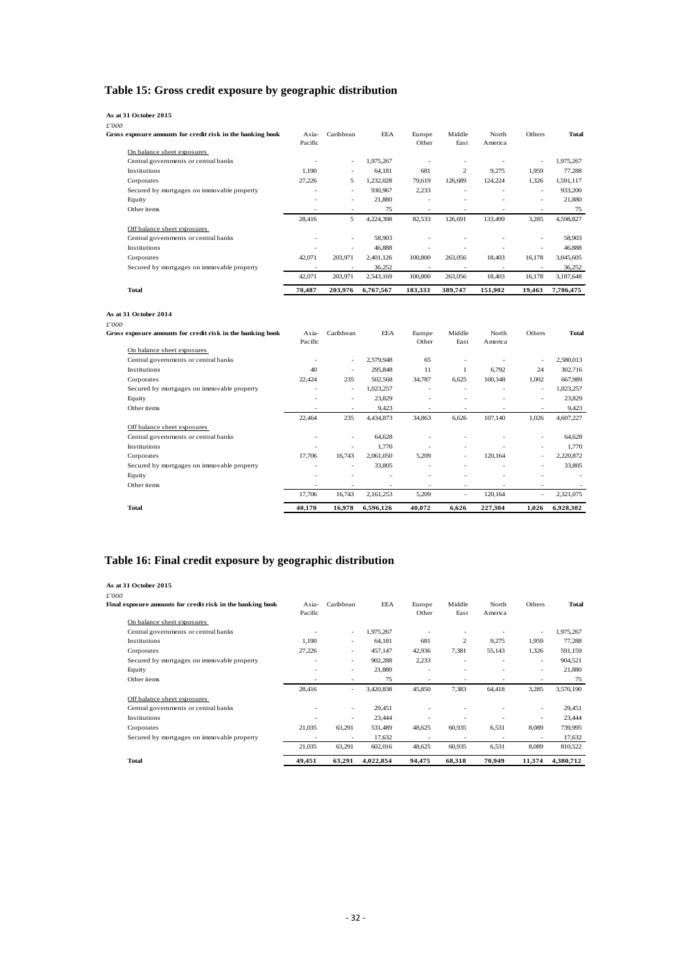# <span id="page-34-0"></span>**Table 15: Gross credit exposure by geographic distribution**

| As at 31 October 2015                                               |                     |                          |            |                          |                          |                  |               |              |
|---------------------------------------------------------------------|---------------------|--------------------------|------------|--------------------------|--------------------------|------------------|---------------|--------------|
| £'000<br>Gross exposure amounts for credit risk in the banking book | $A$ sia-<br>Pacific | Caribbean                | <b>EEA</b> | Europe<br>Other          | Middle<br>East           | North<br>America | <b>Others</b> | <b>Total</b> |
| On balance sheet exposures                                          |                     |                          |            |                          |                          |                  |               |              |
| Central governments or central banks                                |                     | $\overline{\phantom{a}}$ | 1,975,267  |                          | ٠                        |                  | ٠             | 1,975,267    |
| Institutions                                                        | 1.190               | $\overline{\phantom{a}}$ | 64.181     | 681                      | $\overline{c}$           | 9,275            | 1.959         | 77.288       |
| Corporates                                                          | 27,226              | 5                        | 1,232,028  | 79,619                   | 126,689                  | 124,224          | 1,326         | 1,591,117    |
| Secured by mortgages on immovable property                          | ٠                   | $\overline{\phantom{a}}$ | 930,967    | 2,233                    | ٠                        | ٠                | ٠             | 933,200      |
| Equity                                                              | ۰                   | $\overline{\phantom{a}}$ | 21,880     |                          | ٠                        | ٠                | ٠             | 21.880       |
| Other items                                                         |                     | $\overline{\phantom{a}}$ | 75         |                          | ٠                        |                  | ٠             | 75           |
|                                                                     | 28.416              | 5                        | 4,224,398  | 82,533                   | 126,691                  | 133,499          | 3,285         | 4,598,827    |
| Off balance sheet exposures                                         |                     |                          |            |                          |                          |                  |               |              |
| Central governments or central banks                                |                     | $\overline{\phantom{a}}$ | 58,903     |                          |                          |                  | ٠             | 58,903       |
| Institutions                                                        |                     | ٠                        | 46,888     |                          |                          |                  | ٠             | 46,888       |
| Corporates                                                          | 42,071              | 203,971                  | 2,401,126  | 100,800                  | 263,056                  | 18,403           | 16,178        | 3,045,605    |
| Secured by mortgages on immovable property                          | ۰                   | $\overline{\phantom{a}}$ | 36,252     | $\overline{\phantom{a}}$ | $\overline{\phantom{a}}$ | ٠                | ٠             | 36,252       |
|                                                                     | 42,071              | 203,971                  | 2,543,169  | 100,800                  | 263,056                  | 18,403           | 16,178        | 3,187,648    |
| <b>Total</b>                                                        | 70.487              | 203.976                  | 6,767,567  | 183.333                  | 389.747                  | 151.902          | 19.463        | 7,786,475    |

#### **As at 31 October 2014**

| <b>Total</b>                                               | 40,170           | 16,978                   | 6,596,126  | 40,072                   | 6,626                    | 227,304                  | 1,026                    | 6,928,302 |
|------------------------------------------------------------|------------------|--------------------------|------------|--------------------------|--------------------------|--------------------------|--------------------------|-----------|
|                                                            | 17,706           | 16,743                   | 2,161,253  | 5,209                    | ٠                        | 120,164                  |                          | 2,321,075 |
| Other items                                                |                  |                          |            |                          |                          |                          |                          |           |
| Equity                                                     |                  |                          |            |                          |                          |                          |                          | ٠         |
| Secured by mortgages on immovable property                 | ٠                | $\overline{\phantom{a}}$ | 33,805     | $\overline{\phantom{a}}$ | $\overline{\phantom{a}}$ | $\overline{\phantom{a}}$ | ٠                        | 33,805    |
| Corporates                                                 | 17,706           | 16,743                   | 2,061,050  | 5,209                    | ٠                        | 120,164                  | ٠                        | 2,220,872 |
| Institutions                                               |                  | $\overline{\phantom{a}}$ | 1,770      |                          | ٠                        |                          | ٠                        | 1.770     |
| Central governments or central banks                       |                  | $\overline{\phantom{a}}$ | 64,628     |                          |                          |                          | ٠                        | 64,628    |
| Off balance sheet exposures                                |                  |                          |            |                          |                          |                          |                          |           |
|                                                            | 22.464           | 235                      | 4,434,873  | 34,863                   | 6.626                    | 107,140                  | 1,026                    | 4,607,227 |
| Other items                                                |                  | $\overline{\phantom{a}}$ | 9,423      |                          |                          |                          |                          | 9,423     |
| Equity                                                     | ٠                | $\overline{\phantom{a}}$ | 23,829     |                          |                          |                          | ٠                        | 23,829    |
| Secured by mortgages on immovable property                 | ٠                | $\overline{\phantom{a}}$ | 1,023,257  | ٠                        | ٠                        |                          | $\overline{\phantom{a}}$ | 1,023,257 |
| Corporates                                                 | 22,424           | 235                      | 502,568    | 34,787                   | 6,625                    | 100,348                  | 1,002                    | 667,989   |
| Institutions                                               | 40               | $\overline{\phantom{a}}$ | 295,848    | 11                       |                          | 6,792                    | 24                       | 302,716   |
| Central governments or central banks                       |                  | $\overline{\phantom{a}}$ | 2,579,948  | 65                       |                          |                          |                          | 2,580,013 |
| On balance sheet exposures                                 |                  |                          |            |                          |                          |                          |                          |           |
| Gross exposure amounts for credit risk in the banking book | Asia-<br>Pacific | Caribbean                | <b>EEA</b> | Europe<br>Other          | Middle<br>East           | North<br>America         | Others                   | Total     |
| £'000                                                      |                  |                          |            |                          |                          |                          |                          |           |
|                                                            |                  |                          |            |                          |                          |                          |                          |           |

# <span id="page-34-1"></span>**Table 16: Final credit exposure by geographic distribution**

| As at 31 October 2015                                      |                  |                          |            |                 |                |                  |        |              |
|------------------------------------------------------------|------------------|--------------------------|------------|-----------------|----------------|------------------|--------|--------------|
| £'000                                                      |                  |                          |            |                 |                |                  |        |              |
| Final exposure amounts for credit risk in the banking book | Asia-<br>Pacific | Caribbean                | <b>EEA</b> | Europe<br>Other | Middle<br>East | North<br>America | Others | <b>Total</b> |
| On balance sheet exposures                                 |                  |                          |            |                 |                |                  |        |              |
| Central governments or central banks                       |                  | $\overline{\phantom{a}}$ | 1,975,267  |                 |                |                  | ٠      | 1,975,267    |
| Institutions                                               | 1,190            |                          | 64,181     | 681             | $\overline{c}$ | 9,275            | 1,959  | 77,288       |
| Corporates                                                 | 27,226           | ٠                        | 457,147    | 42,936          | 7,381          | 55,143           | 1,326  | 591,159      |
| Secured by mortgages on immovable property                 |                  | ٠                        | 902,288    | 2,233           |                |                  | ٠      | 904,521      |
| Equity                                                     |                  | ٠                        | 21,880     |                 |                |                  | ٠      | 21,880       |
| Other items                                                |                  |                          | 75         | ۰               |                |                  |        | 75           |
|                                                            | 28,416           | $\overline{\phantom{a}}$ | 3,420,838  | 45,850          | 7,383          | 64,418           | 3,285  | 3,570,190    |
| Off balance sheet exposures                                |                  |                          |            |                 |                |                  |        |              |
| Central governments or central banks                       |                  | ٠                        | 29,451     |                 |                |                  | ٠      | 29,451       |
| Institutions                                               |                  |                          | 23,444     |                 |                |                  | ٠      | 23,444       |
| Corporates                                                 | 21,035           | 63,291                   | 531,489    | 48,625          | 60,935         | 6,531            | 8,089  | 739,995      |
| Secured by mortgages on immovable property                 |                  |                          | 17,632     |                 |                |                  | ٠      | 17,632       |
|                                                            | 21,035           | 63,291                   | 602,016    | 48,625          | 60,935         | 6,531            | 8,089  | 810,522      |
| <b>Total</b>                                               | 49.451           | 63,291                   | 4,022,854  | 94.475          | 68,318         | 70.949           | 11,374 | 4,380,712    |
|                                                            |                  |                          |            |                 |                |                  |        |              |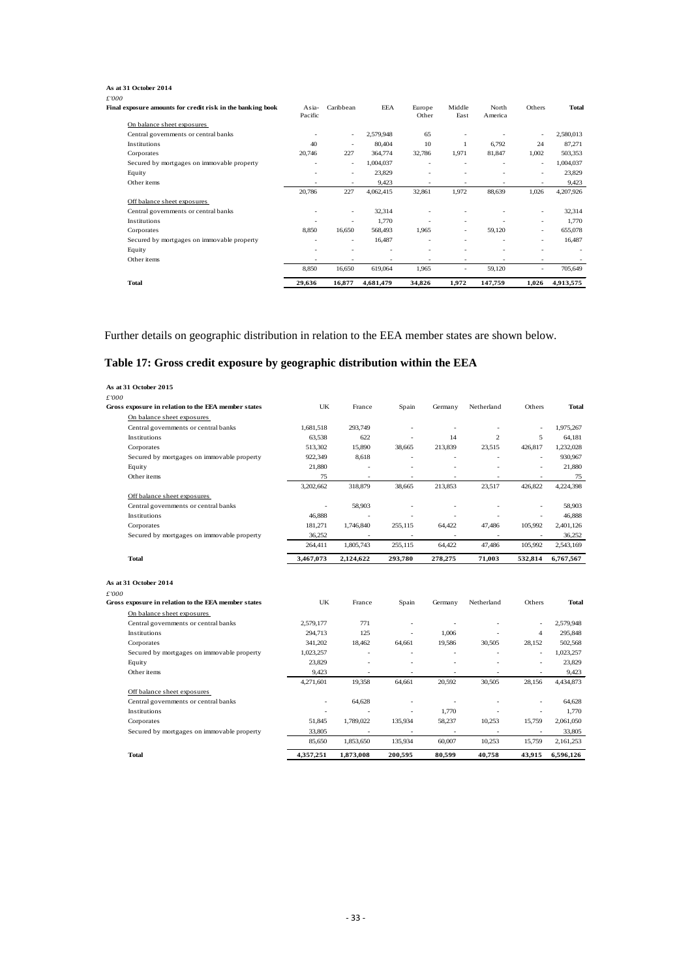#### **As at 31 October 2014**

| <b>Total</b>                                               | 29,636                   | 16,877                   | 4,681,479  | 34,826                   | 1,972                    | 147,759 | 1,026                    | 4,913,575 |
|------------------------------------------------------------|--------------------------|--------------------------|------------|--------------------------|--------------------------|---------|--------------------------|-----------|
|                                                            | 8,850                    | 16,650                   | 619,064    | 1,965                    |                          | 59,120  |                          | 705,649   |
| Other items                                                | $\overline{\phantom{a}}$ |                          |            |                          | ٠                        |         | ٠                        |           |
| Equity                                                     | ٠                        | ٠                        |            | $\overline{\phantom{a}}$ | $\overline{\phantom{a}}$ |         | ٠                        |           |
| Secured by mortgages on immovable property                 | ٠                        | $\overline{\phantom{a}}$ | 16,487     | $\overline{\phantom{a}}$ | ٠                        |         | ٠                        | 16,487    |
| Corporates                                                 | 8,850                    | 16,650                   | 568,493    | 1,965                    | ٠                        | 59,120  | ٠                        | 655,078   |
| Institutions                                               |                          | $\overline{\phantom{a}}$ | 1,770      |                          | ٠                        |         | ٠                        | 1,770     |
| Central governments or central banks                       |                          | $\overline{\phantom{a}}$ | 32,314     |                          |                          |         | ٠                        | 32,314    |
| Off balance sheet exposures                                |                          |                          |            |                          |                          |         |                          |           |
|                                                            | 20,786                   | 227                      | 4,062,415  | 32,861                   | 1.972                    | 88,639  | 1,026                    | 4,207,926 |
| Other items                                                | ٠                        | $\overline{\phantom{a}}$ | 9,423      | $\overline{\phantom{a}}$ | ٠                        |         | ٠                        | 9,423     |
| Equity                                                     |                          | $\overline{\phantom{a}}$ | 23,829     |                          | ٠                        |         | ٠                        | 23,829    |
| Secured by mortgages on immovable property                 | ٠                        | $\overline{\phantom{a}}$ | 1,004,037  | ٠                        | ٠                        |         | $\overline{\phantom{a}}$ | 1,004,037 |
| Corporates                                                 | 20,746                   | 227                      | 364,774    | 32,786                   | 1,971                    | 81,847  | 1,002                    | 503,353   |
| Institutions                                               | 40                       | $\overline{\phantom{a}}$ | 80,404     | 10                       |                          | 6,792   | 24                       | 87,271    |
| Central governments or central banks                       |                          | $\overline{\phantom{a}}$ | 2,579,948  | 65                       |                          |         |                          | 2,580,013 |
| On balance sheet exposures                                 |                          |                          |            |                          |                          |         |                          |           |
|                                                            | Pacific                  |                          |            | Other                    | East                     | America |                          |           |
| Final exposure amounts for credit risk in the banking book | Asia-                    | Caribbean                | <b>EEA</b> | Europe                   | Middle                   | North   | Others                   | Total     |
| £'000                                                      |                          |                          |            |                          |                          |         |                          |           |

Further details on geographic distribution in relation to the EEA member states are shown below.

### <span id="page-35-0"></span>**Table 17: Gross credit exposure by geographic distribution within the EEA**

|       | As at 31 October 2015                               |           |                          |                |                          |                          |                          |              |
|-------|-----------------------------------------------------|-----------|--------------------------|----------------|--------------------------|--------------------------|--------------------------|--------------|
| £'000 |                                                     |           |                          |                |                          |                          |                          |              |
|       | Gross exposure in relation to the EEA member states | UK        | France                   | Spain          | Germany                  | Netherland               | Others                   | Total        |
|       | On balance sheet exposures                          |           |                          |                |                          |                          |                          |              |
|       | Central governments or central banks                | 1,681,518 | 293,749                  | $\sim$         | $\overline{\phantom{a}}$ | $\overline{\phantom{a}}$ | $\sim$                   | 1.975.267    |
|       | Institutions                                        | 63,538    | 622                      |                | 14                       | $\overline{2}$           | 5                        | 64,181       |
|       | Corporates                                          | 513,302   | 15,890                   | 38,665         | 213,839                  | 23,515                   | 426,817                  | 1,232,028    |
|       | Secured by mortgages on immovable property          | 922,349   | 8,618                    | ÷.             |                          | ÷                        |                          | 930,967      |
|       | Equity                                              | 21,880    |                          |                |                          | ÷.                       |                          | 21,880       |
|       | Other items                                         | 75        |                          |                |                          |                          |                          | 75           |
|       |                                                     | 3,202,662 | 318,879                  | 38.665         | 213.853                  | 23,517                   | 426,822                  | 4,224,398    |
|       | Off balance sheet exposures                         |           |                          |                |                          |                          |                          |              |
|       | Central governments or central banks                | ä,        | 58,903                   |                | ä,                       | ä,                       |                          | 58,903       |
|       | Institutions                                        | 46,888    | $\sim$                   | $\overline{a}$ | $\overline{\phantom{a}}$ | ÷,                       | ÷.                       | 46,888       |
|       | Corporates                                          | 181,271   | 1,746,840                | 255,115        | 64,422                   | 47,486                   | 105,992                  | 2,401,126    |
|       | Secured by mortgages on immovable property          | 36,252    | $\overline{\phantom{a}}$ | $\sim$         | $\sim$                   | ÷.                       | $\sim$                   | 36,252       |
|       |                                                     | 264,411   | 1,805,743                | 255,115        | 64,422                   | 47,486                   | 105,992                  | 2,543,169    |
|       | <b>Total</b>                                        | 3,467,073 | 2,124,622                | 293.780        | 278,275                  | 71.003                   | 532,814                  | 6,767,567    |
|       |                                                     |           |                          |                |                          |                          |                          |              |
|       | As at 31 October 2014                               |           |                          |                |                          |                          |                          |              |
| £'000 |                                                     |           |                          |                |                          |                          |                          |              |
|       | Gross exposure in relation to the EEA member states | UK        | France                   | Spain          | Germany                  | Netherland               | Others                   | <b>Total</b> |
|       | On balance sheet exposures                          |           |                          |                |                          |                          |                          |              |
|       | Central governments or central banks                | 2,579,177 | 771                      | $\sim$         | ÷,                       | $\sim$                   | $\overline{\phantom{a}}$ | 2,579,948    |
|       | <b>Institutions</b>                                 | 294,713   | 125                      | ÷.             | 1,006                    | ä,                       | $\overline{4}$           | 295,848      |
|       | Corporates                                          | 341,202   | 18,462                   | 64,661         | 19,586                   | 30,505                   | 28,152                   | 502,568      |
|       | Secured by mortgages on immovable property          | 1,023,257 | $\sim$                   |                | ÷,                       | $\overline{a}$           | $\sim$                   | 1,023,257    |
|       | Equity                                              | 23,829    | $\bar{a}$                | ä,             | ÷,                       | $\overline{a}$           | $\overline{\phantom{a}}$ | 23,829       |
|       | Other items                                         | 9,423     |                          |                | ÷,                       | ÷.                       |                          | 9,423        |
|       |                                                     | 4,271,601 | 19,358                   | 64,661         | 20,592                   | 30,505                   | 28,156                   | 4,434,873    |
|       | Off balance sheet exposures                         |           |                          |                |                          |                          |                          |              |
|       | Central governments or central banks                | ÷.        | 64.628                   | ÷              | ÷,                       | $\overline{a}$           |                          | 64,628       |
|       | <b>Institutions</b>                                 |           |                          |                | 1,770                    | L.                       | $\overline{\phantom{a}}$ | 1.770        |
|       | Corporates                                          | 51,845    | 1,789,022                | 135,934        | 58,237                   | 10,253                   | 15,759                   | 2,061,050    |
|       | Secured by mortgages on immovable property          | 33,805    |                          |                |                          |                          |                          | 33,805       |
|       |                                                     | 85,650    | 1,853,650                | 135,934        | 60,007                   | 10,253                   | 15,759                   | 2,161,253    |
|       | <b>Total</b>                                        | 4,357,251 | 1,873,008                | 200,595        | 80,599                   | 40,758                   | 43,915                   | 6,596,126    |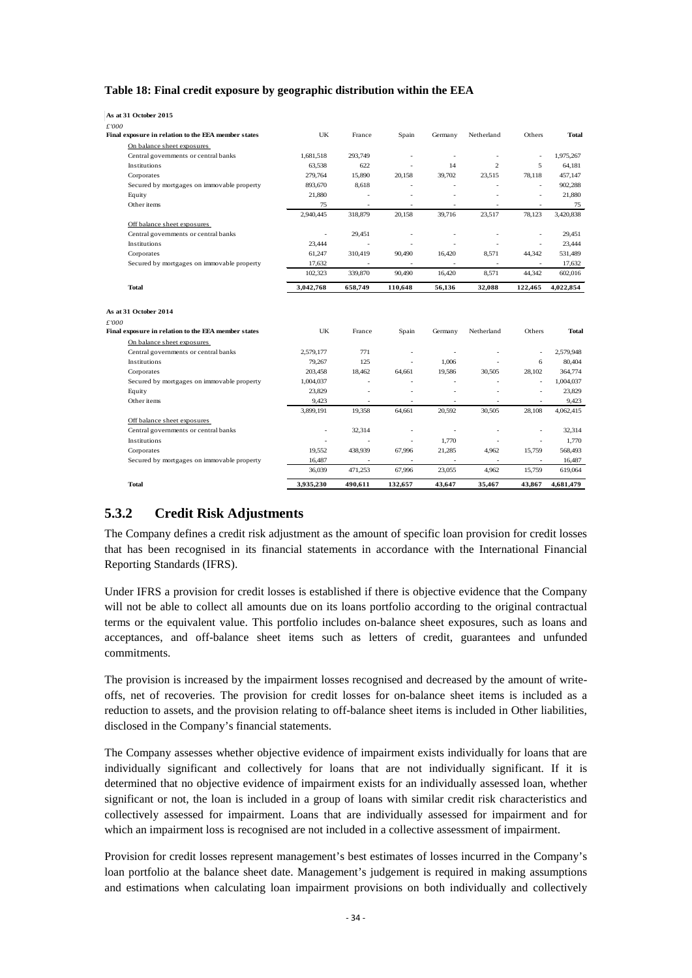#### <span id="page-36-1"></span>**Table 18: Final credit exposure by geographic distribution within the EEA**

| As at 31 October 2015          |                                                     |           |                          |                          |         |                          |         |              |
|--------------------------------|-----------------------------------------------------|-----------|--------------------------|--------------------------|---------|--------------------------|---------|--------------|
| £'000                          |                                                     |           |                          |                          |         |                          |         |              |
|                                | Final exposure in relation to the EEA member states | UK        | France                   | Spain                    | Germany | Netherland               | Others  | Total        |
|                                | On balance sheet exposures                          |           |                          |                          |         |                          |         |              |
|                                | Central governments or central banks                | 1,681,518 | 293,749                  | $\sim$                   | $\sim$  | ä,                       | $\sim$  | 1,975,267    |
| Institutions                   |                                                     | 63,538    | 622                      | ÷.                       | 14      | $\overline{c}$           | 5       | 64,181       |
| Corporates                     |                                                     | 279,764   | 15,890                   | 20,158                   | 39,702  | 23,515                   | 78,118  | 457,147      |
|                                | Secured by mortgages on immovable property          | 893,670   | 8,618                    |                          | $\sim$  | $\overline{\phantom{a}}$ | $\sim$  | 902,288      |
| Equity                         |                                                     | 21,880    | $\overline{\phantom{a}}$ | ÷,                       |         | $\overline{\phantom{a}}$ | ÷,      | 21,880       |
| Other items                    |                                                     | 75        | $\overline{\phantom{a}}$ | $\overline{\phantom{a}}$ | ٠       | $\overline{\phantom{a}}$ | $\sim$  | 75           |
|                                |                                                     | 2,940,445 | 318,879                  | 20,158                   | 39,716  | 23,517                   | 78,123  | 3,420,838    |
|                                | Off balance sheet exposures                         |           |                          |                          |         |                          |         |              |
|                                | Central governments or central banks                | $\sim$    | 29,451                   | ÷,                       | $\sim$  | $\overline{a}$           | $\sim$  | 29,451       |
| Institutions                   |                                                     | 23,444    | ÷                        | $\overline{\phantom{a}}$ | ٠       | ä,                       | $\sim$  | 23,444       |
| Corporates                     |                                                     | 61,247    | 310,419                  | 90,490                   | 16,420  | 8,571                    | 44,342  | 531,489      |
|                                | Secured by mortgages on immovable property          | 17,632    | $\sim$                   |                          | $\sim$  | $\sim$                   |         | 17,632       |
|                                |                                                     | 102,323   | 339,870                  | 90,490                   | 16,420  | 8.571                    | 44,342  | 602,016      |
| <b>Total</b>                   |                                                     | 3,042,768 | 658,749                  | 110,648                  | 56,136  | 32,088                   | 122,465 | 4,022,854    |
| As at 31 October 2014<br>£'000 |                                                     |           |                          |                          |         |                          |         |              |
|                                | Final exposure in relation to the EEA member states | UK        | France                   | Spain                    | Germany | Netherland               | Others  | <b>Total</b> |
|                                | On balance sheet exposures                          |           |                          |                          |         |                          |         |              |
|                                | Central governments or central banks                | 2,579,177 | 771                      | $\sim$                   | $\sim$  | $\overline{\phantom{a}}$ | $\sim$  | 2.579.948    |
| <b>Institutions</b>            |                                                     | 79,267    | 125                      | ÷                        | 1,006   | L.                       | 6       | 80,404       |
| Corporates                     |                                                     | 203,458   | 18,462                   | 64,661                   | 19,586  | 30,505                   | 28,102  | 364,774      |
|                                | Secured by mortgages on immovable property          | 1,004,037 | $\sim$                   |                          |         | $\overline{\phantom{a}}$ | $\sim$  | 1,004,037    |
| Equity                         |                                                     | 23,829    | ÷,                       |                          | ÷.      | ä,                       | $\sim$  | 23,829       |
| Other items                    |                                                     | 9,423     | $\sim$                   | $\sim$                   | $\sim$  | $\overline{\phantom{a}}$ | $\sim$  | 9,423        |
|                                |                                                     | 3,899,191 | 19,358                   | 64,661                   | 20,592  | 30,505                   | 28,108  | 4,062,415    |
|                                | Off balance sheet exposures                         |           |                          |                          |         |                          |         |              |
|                                | Central governments or central banks                | $\bar{a}$ | 32.314                   | $\sim$                   | $\sim$  | ä,                       | $\sim$  | 32.314       |
| <b>Institutions</b>            |                                                     |           |                          | ÷                        | 1.770   | ÷                        | $\sim$  | 1.770        |
| Corporates                     |                                                     | 19,552    | 438,939                  | 67.996                   | 21,285  | 4.962                    | 15.759  | 568,493      |
|                                | Secured by mortgages on immovable property          | 16,487    | $\omega$                 | $\omega$                 | $\sim$  | $\omega$                 | $\sim$  | 16,487       |
|                                |                                                     | 36,039    | 471,253                  | 67,996                   | 23,055  | 4,962                    | 15,759  | 619,064      |
| <b>Total</b>                   |                                                     | 3,935,230 | 490.611                  | 132,657                  | 43,647  | 35,467                   | 43,867  | 4,681,479    |

### <span id="page-36-0"></span>**5.3.2 Credit Risk Adjustments**

The Company defines a credit risk adjustment as the amount of specific loan provision for credit losses that has been recognised in its financial statements in accordance with the International Financial Reporting Standards (IFRS).

Under IFRS a provision for credit losses is established if there is objective evidence that the Company will not be able to collect all amounts due on its loans portfolio according to the original contractual terms or the equivalent value. This portfolio includes on-balance sheet exposures, such as loans and acceptances, and off-balance sheet items such as letters of credit, guarantees and unfunded commitments.

The provision is increased by the impairment losses recognised and decreased by the amount of writeoffs, net of recoveries. The provision for credit losses for on-balance sheet items is included as a reduction to assets, and the provision relating to off-balance sheet items is included in Other liabilities, disclosed in the Company's financial statements.

The Company assesses whether objective evidence of impairment exists individually for loans that are individually significant and collectively for loans that are not individually significant. If it is determined that no objective evidence of impairment exists for an individually assessed loan, whether significant or not, the loan is included in a group of loans with similar credit risk characteristics and collectively assessed for impairment. Loans that are individually assessed for impairment and for which an impairment loss is recognised are not included in a collective assessment of impairment.

Provision for credit losses represent management's best estimates of losses incurred in the Company's loan portfolio at the balance sheet date. Management's judgement is required in making assumptions and estimations when calculating loan impairment provisions on both individually and collectively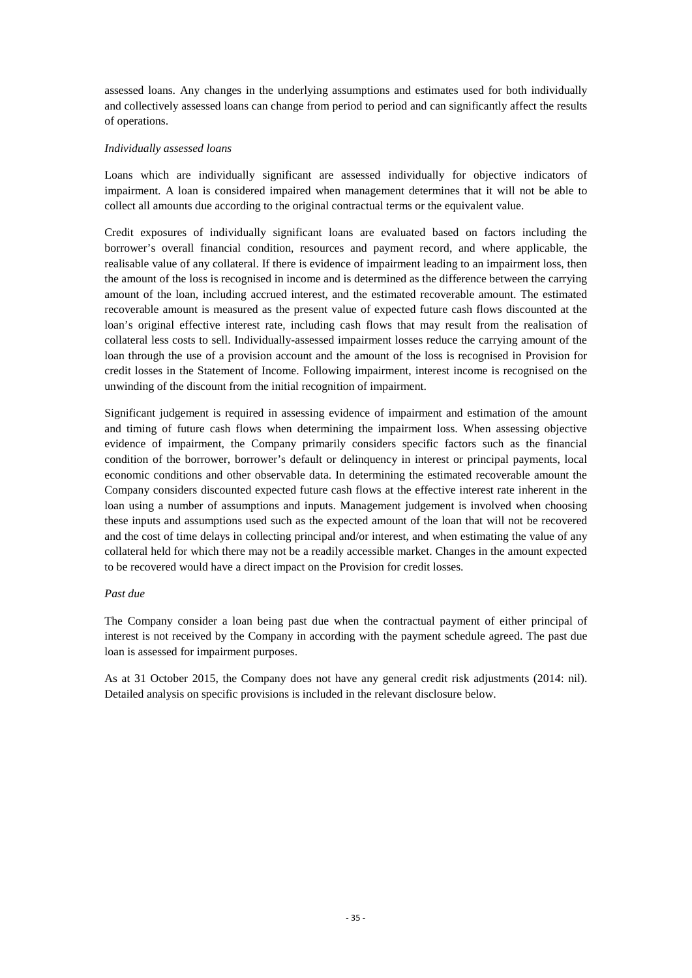assessed loans. Any changes in the underlying assumptions and estimates used for both individually and collectively assessed loans can change from period to period and can significantly affect the results of operations.

#### *Individually assessed loans*

Loans which are individually significant are assessed individually for objective indicators of impairment. A loan is considered impaired when management determines that it will not be able to collect all amounts due according to the original contractual terms or the equivalent value.

Credit exposures of individually significant loans are evaluated based on factors including the borrower's overall financial condition, resources and payment record, and where applicable, the realisable value of any collateral. If there is evidence of impairment leading to an impairment loss, then the amount of the loss is recognised in income and is determined as the difference between the carrying amount of the loan, including accrued interest, and the estimated recoverable amount. The estimated recoverable amount is measured as the present value of expected future cash flows discounted at the loan's original effective interest rate, including cash flows that may result from the realisation of collateral less costs to sell. Individually-assessed impairment losses reduce the carrying amount of the loan through the use of a provision account and the amount of the loss is recognised in Provision for credit losses in the Statement of Income. Following impairment, interest income is recognised on the unwinding of the discount from the initial recognition of impairment.

Significant judgement is required in assessing evidence of impairment and estimation of the amount and timing of future cash flows when determining the impairment loss. When assessing objective evidence of impairment, the Company primarily considers specific factors such as the financial condition of the borrower, borrower's default or delinquency in interest or principal payments, local economic conditions and other observable data. In determining the estimated recoverable amount the Company considers discounted expected future cash flows at the effective interest rate inherent in the loan using a number of assumptions and inputs. Management judgement is involved when choosing these inputs and assumptions used such as the expected amount of the loan that will not be recovered and the cost of time delays in collecting principal and/or interest, and when estimating the value of any collateral held for which there may not be a readily accessible market. Changes in the amount expected to be recovered would have a direct impact on the Provision for credit losses.

#### *Past due*

The Company consider a loan being past due when the contractual payment of either principal of interest is not received by the Company in according with the payment schedule agreed. The past due loan is assessed for impairment purposes.

As at 31 October 2015, the Company does not have any general credit risk adjustments (2014: nil). Detailed analysis on specific provisions is included in the relevant disclosure below.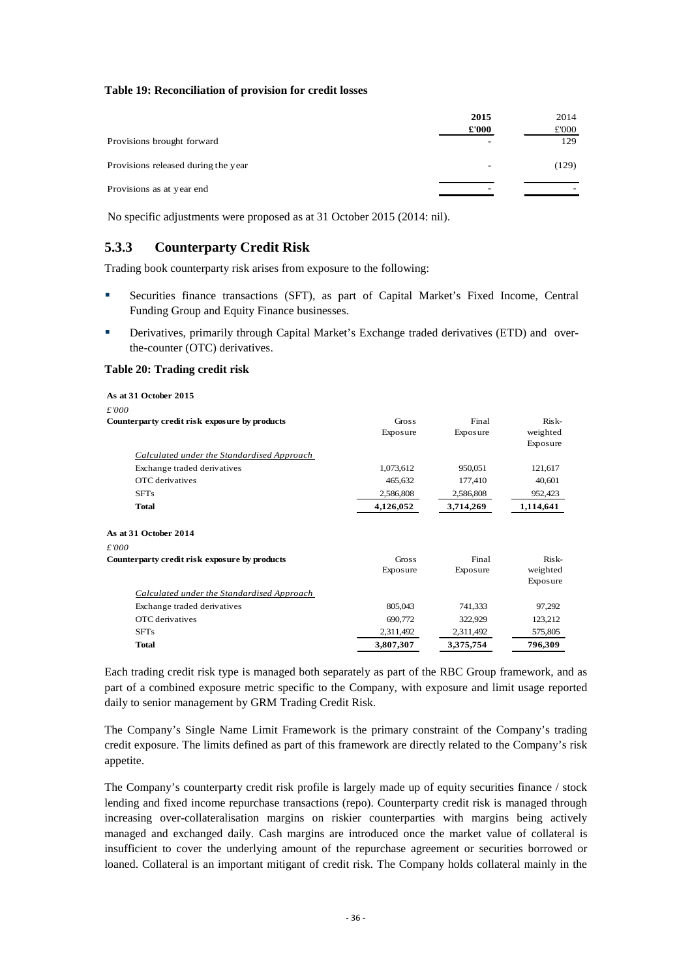#### <span id="page-38-1"></span>**Table 19: Reconciliation of provision for credit losses**

|                                     | 2015<br>£'000            | 2014<br>£000 |
|-------------------------------------|--------------------------|--------------|
| Provisions brought forward          | $\overline{\phantom{0}}$ | 129          |
| Provisions released during the year | ٠                        | (129)        |
| Provisions as at year end           | -                        |              |

No specific adjustments were proposed as at 31 October 2015 (2014: nil).

### <span id="page-38-0"></span>**5.3.3 Counterparty Credit Risk**

Trading book counterparty risk arises from exposure to the following:

- Securities finance transactions (SFT), as part of Capital Market's Fixed Income, Central Funding Group and Equity Finance businesses.
- Derivatives, primarily through Capital Market's Exchange traded derivatives (ETD) and overthe-counter (OTC) derivatives.

#### <span id="page-38-2"></span>**Table 20: Trading credit risk**

| As at 31 October 2015                             |           |           |           |
|---------------------------------------------------|-----------|-----------|-----------|
| £'000                                             |           |           |           |
| Counterparty credit risk exposure by products     | Gross     | Final     | Risk-     |
|                                                   | Exposure  | Exposure  | weighted  |
|                                                   |           |           | Exposure  |
| <b>Calculated under the Standardised Approach</b> |           |           |           |
| Exchange traded derivatives                       | 1,073,612 | 950,051   | 121,617   |
| OTC derivatives                                   | 465,632   | 177,410   | 40,601    |
| <b>SFTs</b>                                       | 2,586,808 | 2,586,808 | 952,423   |
| <b>Total</b>                                      | 4,126,052 | 3,714,269 | 1,114,641 |
| As at 31 October 2014                             |           |           |           |
| £'000                                             |           |           |           |
| Counterparty credit risk exposure by products     | Gross     | Final     | $Risk-$   |
|                                                   | Exposure  | Exposure  | weighted  |
|                                                   |           |           | Exposure  |
| Calculated under the Standardised Approach        |           |           |           |
| Exchange traded derivatives                       | 805,043   | 741,333   | 97,292    |
| OTC derivatives                                   | 690,772   | 322,929   | 123,212   |
| <b>SFTs</b>                                       | 2,311,492 | 2,311,492 | 575,805   |
| <b>Total</b>                                      | 3,807,307 | 3,375,754 | 796,309   |

Each trading credit risk type is managed both separately as part of the RBC Group framework, and as part of a combined exposure metric specific to the Company, with exposure and limit usage reported daily to senior management by GRM Trading Credit Risk.

The Company's Single Name Limit Framework is the primary constraint of the Company's trading credit exposure. The limits defined as part of this framework are directly related to the Company's risk appetite.

The Company's counterparty credit risk profile is largely made up of equity securities finance / stock lending and fixed income repurchase transactions (repo). Counterparty credit risk is managed through increasing over-collateralisation margins on riskier counterparties with margins being actively managed and exchanged daily. Cash margins are introduced once the market value of collateral is insufficient to cover the underlying amount of the repurchase agreement or securities borrowed or loaned. Collateral is an important mitigant of credit risk. The Company holds collateral mainly in the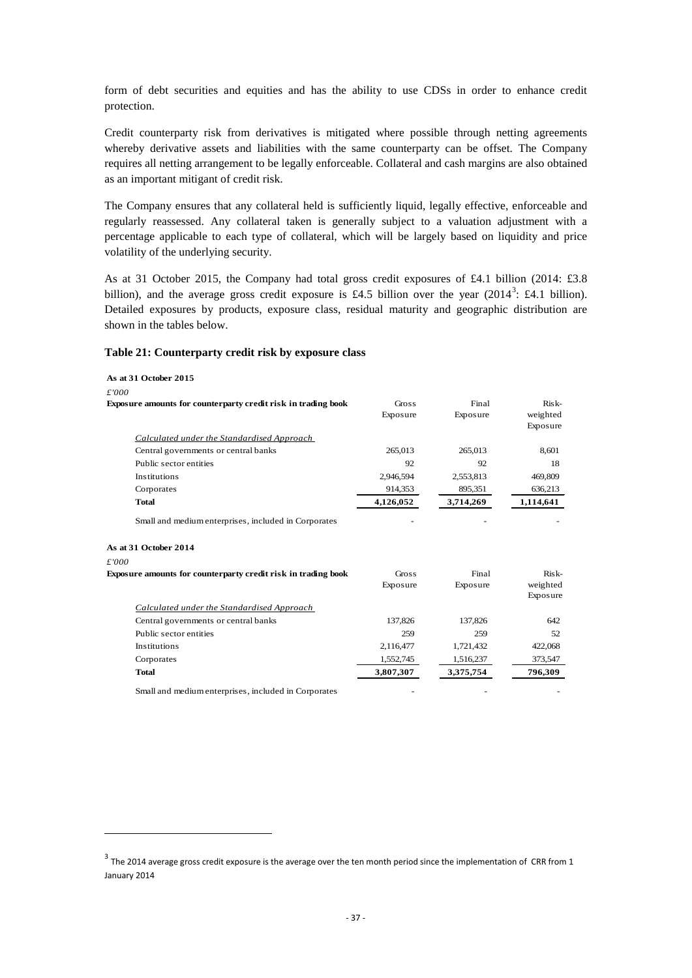form of debt securities and equities and has the ability to use CDSs in order to enhance credit protection.

Credit counterparty risk from derivatives is mitigated where possible through netting agreements whereby derivative assets and liabilities with the same counterparty can be offset. The Company requires all netting arrangement to be legally enforceable. Collateral and cash margins are also obtained as an important mitigant of credit risk.

The Company ensures that any collateral held is sufficiently liquid, legally effective, enforceable and regularly reassessed. Any collateral taken is generally subject to a valuation adjustment with a percentage applicable to each type of collateral, which will be largely based on liquidity and price volatility of the underlying security.

As at 31 October 2015, the Company had total gross credit exposures of £4.1 billion (2014: £3.8 billion), and the average gross credit exposure is £4.5 billion over the year  $(2014^3; \, \text{\textsterling}4.1 \, \text{billion})$  $(2014^3; \, \text{\textsterling}4.1 \, \text{billion})$  $(2014^3; \, \text{\textsterling}4.1 \, \text{billion})$ . Detailed exposures by products, exposure class, residual maturity and geographic distribution are shown in the tables below.

#### <span id="page-39-0"></span>**Table 21: Counterparty credit risk by exposure class**

**.** 

| As at 31 October 2015                                         |              |           |                      |
|---------------------------------------------------------------|--------------|-----------|----------------------|
| £'000                                                         |              |           |                      |
| Exposure amounts for counterparty credit risk in trading book | <b>Gross</b> | Final     | $Risk-$              |
|                                                               | Exposure     | Exposure  | weighted             |
|                                                               |              |           | Exposure             |
| Calculated under the Standardised Approach                    |              |           |                      |
| Central governments or central banks                          | 265,013      | 265,013   | 8,601                |
| Public sector entities                                        | 92           | 92        | 18                   |
| Institutions                                                  | 2,946,594    | 2,553,813 | 469,809              |
| Corporates                                                    | 914,353      | 895,351   | 636,213              |
| Total                                                         | 4,126,052    | 3,714,269 | 1,114,641            |
| Small and medium enterprises, included in Corporates          |              |           |                      |
| As at 31 October 2014                                         |              |           |                      |
| £'000                                                         |              |           |                      |
| Exposure amounts for counterparty credit risk in trading book | Gross        | Final     | $Risk-$              |
|                                                               | Exposure     | Exposure  | weighted<br>Exposure |
| Calculated under the Standardised Approach                    |              |           |                      |
| Central governments or central banks                          | 137,826      | 137,826   | 642                  |
| Public sector entities                                        | 259          | 259       | 52                   |
| <b>Institutions</b>                                           | 2,116,477    | 1,721,432 | 422,068              |
| Corporates                                                    | 1,552,745    | 1,516,237 | 373,547              |
| <b>Total</b>                                                  | 3,807,307    | 3,375,754 | 796,309              |
| Small and medium enterprises, included in Corporates          |              |           |                      |

<span id="page-39-1"></span> $3$  The 2014 average gross credit exposure is the average over the ten month period since the implementation of CRR from 1 January 2014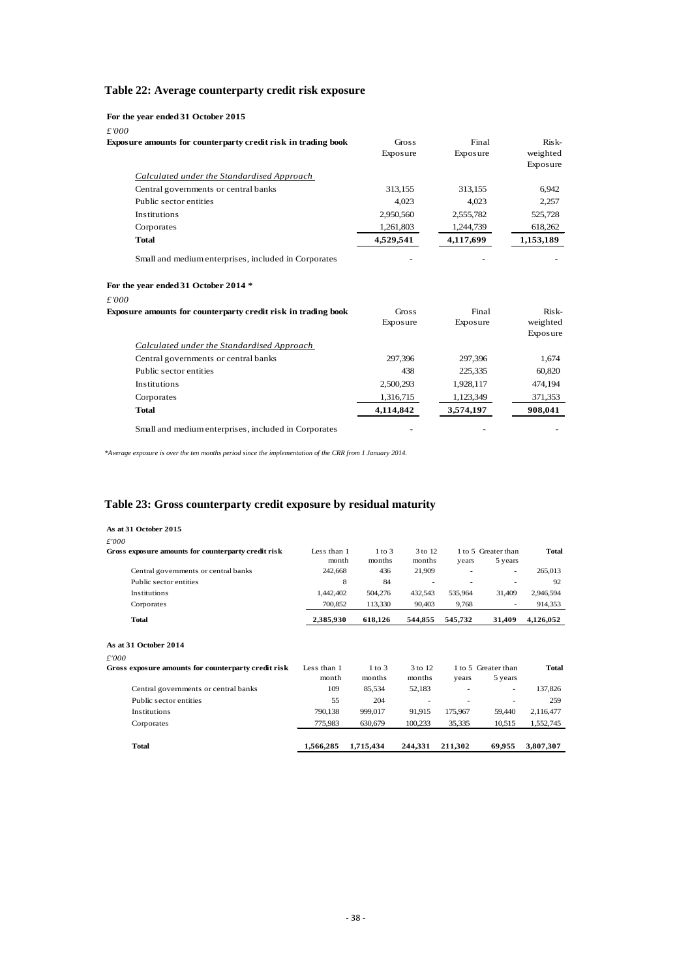### <span id="page-40-0"></span>**Table 22: Average counterparty credit risk exposure**

|  |  | For the year ended 31 October 2015 |  |  |
|--|--|------------------------------------|--|--|
|--|--|------------------------------------|--|--|

*£'000*

| Exposure amounts for counterparty credit risk in trading book | Gross<br>Exposure | Final<br>Exposure | Risk-<br>weighted<br>Exposure |
|---------------------------------------------------------------|-------------------|-------------------|-------------------------------|
| Calculated under the Standardised Approach                    |                   |                   |                               |
| Central governments or central banks                          | 313,155           | 313,155           | 6,942                         |
| Public sector entities                                        | 4.023             | 4.023             | 2,257                         |
| Institutions                                                  | 2,950,560         | 2,555,782         | 525,728                       |
| Corporates                                                    | 1,261,803         | 1,244,739         | 618,262                       |
| Total                                                         | 4,529,541         | 4,117,699         | 1,153,189                     |
| Small and medium enterprises, included in Corporates          |                   |                   |                               |
| For the year ended 31 October 2014 *                          |                   |                   |                               |
| £'000                                                         |                   |                   |                               |
| Exposure amounts for counterparty credit risk in trading book | Gross             | Final             | Risk-                         |
|                                                               | Exposure          | Exposure          | weighted                      |
|                                                               |                   |                   | Exposure                      |
| Calculated under the Standardised Approach                    |                   |                   |                               |
| Central governments or central banks                          | 297,396           | 297,396           | 1,674                         |
| Public sector entities                                        | 438               | 225,335           | 60,820                        |
| Institutions                                                  | 2,500,293         | 1,928,117         | 474,194                       |
| Corporates                                                    | 1,316,715         | 1,123,349         | 371,353                       |
| <b>Total</b>                                                  | 4,114,842         | 3,574,197         | 908,041                       |
| Small and medium enterprises, included in Corporates          |                   |                   |                               |

*\*Average exposure is over the ten months period since the implementation of the CRR from 1 January 2014.*

### <span id="page-40-1"></span>**Table 23: Gross counterparty credit exposure by residual maturity**

| As at 31 October 2015                               |                      |                      |                   |         |                                |              |
|-----------------------------------------------------|----------------------|----------------------|-------------------|---------|--------------------------------|--------------|
| £'000                                               |                      |                      |                   |         |                                |              |
| Gross exposure amounts for counterparty credit risk | Less than 1<br>month | $1$ to $3$<br>months | 3 to 12<br>months | years   | 1 to 5 Greater than<br>5 years | <b>Total</b> |
| Central governments or central banks                | 242,668              | 436                  | 21,909            |         |                                | 265,013      |
| Public sector entities                              | 8                    | 84                   |                   |         |                                | 92           |
| Institutions                                        | 1,442,402            | 504,276              | 432,543           | 535,964 | 31,409                         | 2,946,594    |
| Corporates                                          | 700,852              | 113,330              | 90,403            | 9,768   |                                | 914,353      |
| <b>Total</b>                                        | 2,385,930            | 618,126              | 544,855           | 545,732 | 31,409                         | 4,126,052    |
| As at 31 October 2014                               |                      |                      |                   |         |                                |              |
| £'000                                               |                      |                      |                   |         |                                |              |
| Gross exposure amounts for counterparty credit risk | Less than 1<br>month | $1$ to $3$<br>months | 3 to 12<br>months | years   | 1 to 5 Greater than<br>5 years | <b>Total</b> |
| Central governments or central banks                | 109                  | 85,534               | 52,183            | ٠       | ٠                              | 137,826      |
| Public sector entities                              | 55                   | 204                  | ٠                 | ٠       |                                | 259          |
| Institutions                                        | 790,138              | 999,017              | 91,915            | 175,967 | 59,440                         | 2,116,477    |
| Corporates                                          | 775,983              | 630,679              | 100,233           | 35,335  | 10,515                         | 1,552,745    |
| <b>Total</b>                                        | 1,566,285            | 1,715,434            | 244,331           | 211,302 | 69,955                         | 3,807,307    |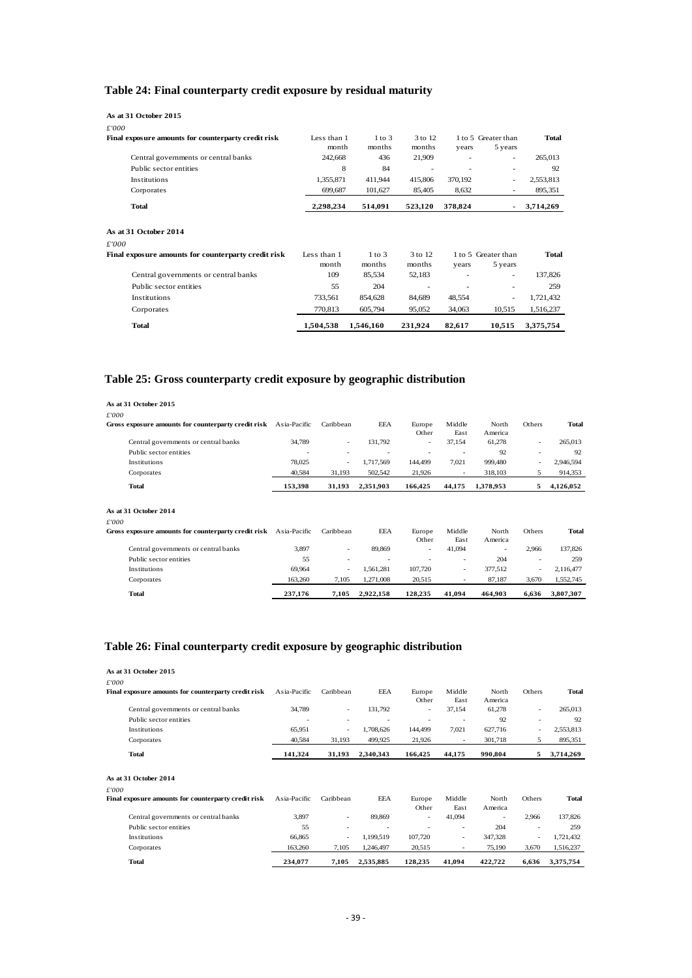### <span id="page-41-0"></span>**Table 24: Final counterparty credit exposure by residual maturity**

| As at 31 October 2015                               |             |            |         |                |                          |              |
|-----------------------------------------------------|-------------|------------|---------|----------------|--------------------------|--------------|
| £'000                                               |             |            |         |                |                          |              |
| Final exposure amounts for counterparty credit risk | Less than 1 | $1$ to $3$ | 3 to 12 |                | 1 to 5 Greater than      | <b>Total</b> |
|                                                     | month       | months     | months  | years          | 5 years                  |              |
| Central governments or central banks                | 242,668     | 436        | 21,909  |                | ٠                        | 265,013      |
| Public sector entities                              | 8           | 84         | ۰       | $\overline{a}$ | ۰                        | 92           |
| Institutions                                        | 1,355,871   | 411,944    | 415,806 | 370,192        | ۰.                       | 2,553,813    |
| Corporates                                          | 699,687     | 101,627    | 85,405  | 8,632          |                          | 895,351      |
| <b>Total</b>                                        | 2,298,234   | 514,091    | 523,120 | 378,824        | $\sim$                   | 3,714,269    |
| As at 31 October 2014                               |             |            |         |                |                          |              |
| £'000                                               |             |            |         |                |                          |              |
| Final exposure amounts for counterparty credit risk | Less than 1 | $1$ to $3$ | 3 to 12 |                | 1 to 5 Greater than      | <b>Total</b> |
|                                                     | month       | months     | months  | years          | 5 years                  |              |
| Central governments or central banks                | 109         | 85,534     | 52,183  | ٠              | $\overline{\phantom{a}}$ | 137,826      |
| Public sector entities                              | 55          | 204        | ۰       | ٠              |                          | 259          |
| Institutions                                        | 733,561     | 854,628    | 84,689  | 48,554         | $\overline{\phantom{a}}$ | 1,721,432    |
| Corporates                                          | 770,813     | 605,794    | 95,052  | 34,063         | 10,515                   | 1,516,237    |
| <b>Total</b>                                        | 1,504,538   | 1,546,160  | 231,924 | 82,617         | 10,515                   | 3,375,754    |

### <span id="page-41-1"></span>**Table 25: Gross counterparty credit exposure by geographic distribution**

| As at 31 October 2015<br>£'000                                   |              |           |           |                 |                          |                  |                          |              |
|------------------------------------------------------------------|--------------|-----------|-----------|-----------------|--------------------------|------------------|--------------------------|--------------|
| Gross exposure amounts for counterparty credit risk              | Asia-Pacific | Caribbean | EEA       | Europe<br>Other | Middle<br>East           | North<br>America | Others                   | Total        |
| Central governments or central banks                             | 34,789       | ٠         | 131,792   | ٠               | 37,154                   | 61,278           | $\overline{\phantom{a}}$ | 265,013      |
| Public sector entities                                           |              | ۰         |           |                 | $\overline{\phantom{a}}$ | 92               | ٠                        | 92           |
| Institutions                                                     | 78,025       | ۰         | 1,717,569 | 144,499         | 7,021                    | 999,480          | ٠                        | 2,946,594    |
| Corporates                                                       | 40,584       | 31,193    | 502,542   | 21,926          | ٠                        | 318,103          | 5                        | 914,353      |
| <b>Total</b>                                                     | 153,398      | 31,193    | 2,351,903 | 166,425         | 44,175                   | 1,378,953        | 5                        | 4,126,052    |
| As at 31 October 2014<br>£'000                                   |              |           |           |                 |                          |                  |                          |              |
| Gross exposure amounts for counterparty credit risk Asia-Pacific |              | Caribbean | EEA       | Europe<br>Other | Middle<br>East           | North<br>America | Others                   | <b>Total</b> |
| Central governments or central banks                             | 3,897        | $\sim$    | 89,869    | $\sim$          | 41,094                   | ٠                | 2,966                    | 137,826      |
| Public sector entities                                           | 55           |           |           |                 | ٠                        | 204              |                          | 259          |
| Institutions                                                     | 69,964       | $\sim$    | 1,561,281 | 107,720         | ٠                        | 377,512          | ٠                        | 2,116,477    |
| Corporates                                                       | 163,260      | 7,105     | 1,271,008 | 20,515          | ٠                        | 87,187           | 3,670                    | 1,552,745    |
| <b>Total</b>                                                     | 237,176      | 7,105     | 2,922,158 | 128,235         | 41.094                   | 464.903          | 6.636                    | 3,807,307    |

### <span id="page-41-2"></span>**Table 26: Final counterparty credit exposure by geographic distribution**

| As at 31 October 2015                               |              |           |            |                          |                |                  |        |              |
|-----------------------------------------------------|--------------|-----------|------------|--------------------------|----------------|------------------|--------|--------------|
| £'000                                               |              |           |            |                          |                |                  |        |              |
| Final exposure amounts for counterparty credit risk | Asia-Pacific | Caribbean | EEA        | Europe                   | Middle         | North            | Others | Total        |
|                                                     |              |           |            | Other                    | East           | America          |        |              |
| Central governments or central banks                | 34,789       | $\sim$    | 131,792    | $\overline{\phantom{a}}$ | 37,154         | 61,278           | ٠      | 265,013      |
| Public sector entities                              |              | ٠         |            | ٠                        |                | 92               | ٠      | 92           |
| Institutions                                        | 65,951       | ٠         | 1,708,626  | 144,499                  | 7,021          | 627,716          |        | 2,553,813    |
| Corporates                                          | 40,584       | 31,193    | 499,925    | 21,926                   | ٠              | 301,718          | 5      | 895,351      |
| <b>Total</b>                                        | 141,324      | 31,193    | 2,340,343  | 166,425                  | 44,175         | 990,804          | 5      | 3,714,269    |
| As at 31 October 2014                               |              |           |            |                          |                |                  |        |              |
| £'000                                               |              |           |            |                          |                |                  |        |              |
| Final exposure amounts for counterparty credit risk | Asia-Pacific | Caribbean | <b>EEA</b> | Europe<br>Other          | Middle<br>East | North<br>America | Others | <b>Total</b> |
| Central governments or central banks                | 3,897        | $\sim$    | 89,869     | ٠                        | 41,094         | ٠                | 2,966  | 137,826      |
| Public sector entities                              | 55           | ۰         |            |                          |                | 204              | ٠      | 259          |
| Institutions                                        | 66,865       | ٠         | 1,199,519  | 107,720                  | $\sim$         | 347,328          | ٠      | 1,721,432    |
| Corporates                                          | 163,260      | 7,105     | 1,246,497  | 20,515                   |                | 75,190           | 3,670  | 1,516,237    |
| <b>Total</b>                                        | 234.077      | 7,105     | 2,535,885  | 128,235                  | 41,094         | 422,722          | 6,636  | 3,375,754    |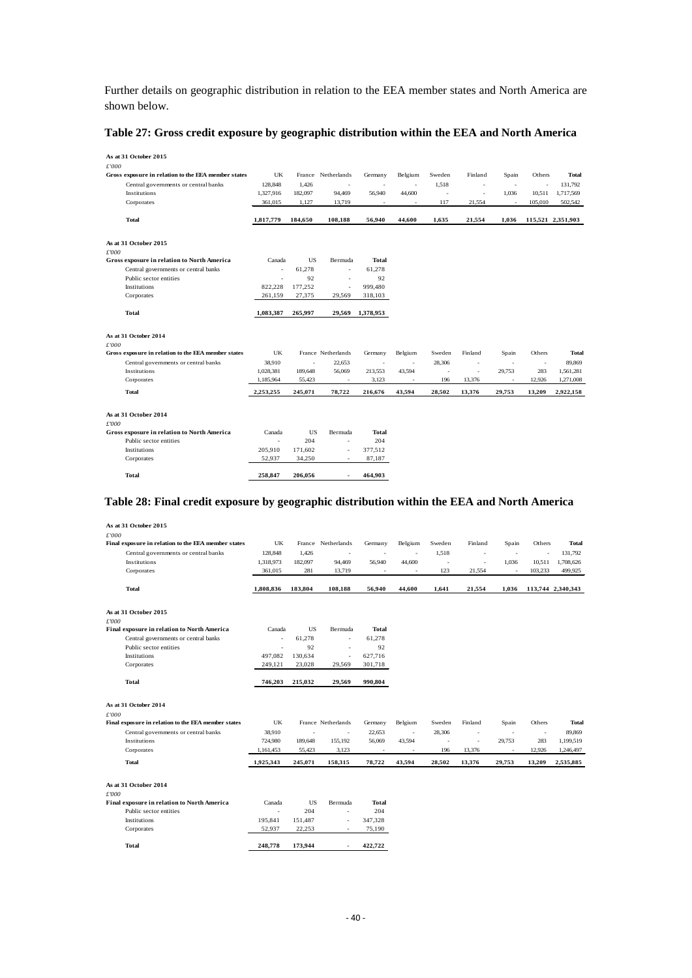Further details on geographic distribution in relation to the EEA member states and North America are shown below.

#### <span id="page-42-0"></span>**Table 27: Gross credit exposure by geographic distribution within the EEA and North America**

| As at 31 October 2015                               |           |           |                          |              |                          |                          |                          |                          |         |                   |
|-----------------------------------------------------|-----------|-----------|--------------------------|--------------|--------------------------|--------------------------|--------------------------|--------------------------|---------|-------------------|
| £'000                                               |           |           |                          |              |                          |                          |                          |                          |         |                   |
| Gross exposure in relation to the EEA member states | UK        |           | France Netherlands       | Germany      | Belgium                  | Sweden                   | Finland                  | Spain                    | Others  | Total             |
| Central governments or central banks                | 128,848   | 1,426     | $\overline{\phantom{a}}$ | ٠            | $\overline{\phantom{a}}$ | 1,518                    | $\overline{\phantom{a}}$ | $\overline{\phantom{a}}$ | ٠       | 131.792           |
| Institutions                                        | 1,327,916 | 182,097   | 94,469                   | 56,940       | 44,600                   | $\overline{\phantom{a}}$ | $\overline{\phantom{a}}$ | 1,036                    | 10,511  | 1,717,569         |
| Corporates                                          | 361,015   | 1,127     | 13,719                   | ×            | $\overline{\phantom{a}}$ | 117                      | 21,554                   | $\overline{\phantom{a}}$ | 105,010 | 502,542           |
| <b>Total</b>                                        | 1,817,779 | 184,650   | 108,188                  | 56,940       | 44,600                   | 1,635                    | 21,554                   | 1,036                    |         | 115,521 2,351,903 |
| As at 31 October 2015                               |           |           |                          |              |                          |                          |                          |                          |         |                   |
| f000                                                |           |           |                          |              |                          |                          |                          |                          |         |                   |
| Gross exposure in relation to North America         | Canada    | <b>US</b> | Bermuda                  | <b>Total</b> |                          |                          |                          |                          |         |                   |
| Central governments or central banks                | ÷.        | 61.278    | $\sim$                   | 61,278       |                          |                          |                          |                          |         |                   |
| Public sector entities                              |           | 92        |                          | 92           |                          |                          |                          |                          |         |                   |
| Institutions                                        | 822.228   | 177,252   | $\sim$                   | 999,480      |                          |                          |                          |                          |         |                   |
| Corporates                                          | 261,159   | 27,375    | 29,569                   | 318,103      |                          |                          |                          |                          |         |                   |
| <b>Total</b>                                        | 1,083,387 | 265,997   | 29,569                   | 1,378,953    |                          |                          |                          |                          |         |                   |
| As at 31 October 2014                               |           |           |                          |              |                          |                          |                          |                          |         |                   |
| £'000                                               |           |           |                          |              |                          |                          |                          |                          |         |                   |
| Gross exposure in relation to the EEA member states | UK        |           | France Netherlands       | Germany      | Belgium                  | Sweden                   | Finland                  | Spain                    | Others  | <b>Total</b>      |
| Central governments or central banks                | 38,910    | ×,        | 22,653                   | ٠            | $\overline{\phantom{a}}$ | 28,306                   | ä,                       | ٠                        | $\sim$  | 89,869            |
| Institutions                                        | 1,028,381 | 189,648   | 56,069                   | 213,553      | 43,594                   | i,                       | ÷,                       | 29,753                   | 283     | 1,561,281         |
| Corporates                                          | 1,185,964 | 55,423    | ٠                        | 3,123        | $\overline{\phantom{a}}$ | 196                      | 13,376                   | ×,                       | 12,926  | 1,271,008         |
| <b>Total</b>                                        | 2,253,255 | 245,071   | 78,722                   | 216,676      | 43,594                   | 28,502                   | 13,376                   | 29,753                   | 13,209  | 2,922,158         |
| As at 31 October 2014<br>£'000                      |           |           |                          |              |                          |                          |                          |                          |         |                   |
| <b>Gross exposure in relation to North America</b>  | Canada    | <b>US</b> | Bermuda                  | Total        |                          |                          |                          |                          |         |                   |
| Public sector entities                              |           | 204       | ä,                       | 204          |                          |                          |                          |                          |         |                   |
| <b>Institutions</b>                                 | 205,910   | 171,602   | ä,                       | 377,512      |                          |                          |                          |                          |         |                   |
| Corporates                                          | 52,937    | 34,250    |                          | 87,187       |                          |                          |                          |                          |         |                   |
| <b>Total</b>                                        | 258.847   | 206.056   |                          | 464.903      |                          |                          |                          |                          |         |                   |

#### <span id="page-42-1"></span>**Table 28: Final credit exposure by geographic distribution within the EEA and North America**

| As at 31 October 2015<br>£'000                      |           |           |                          |                          |                          |        |         |                          |                          |                   |
|-----------------------------------------------------|-----------|-----------|--------------------------|--------------------------|--------------------------|--------|---------|--------------------------|--------------------------|-------------------|
| Final exposure in relation to the EEA member states | UK        |           | France Netherlands       | Germany                  | Belgium                  | Sweden | Finland | Spain                    | Others                   | Total             |
| Central governments or central banks                | 128,848   | 1,426     | $\overline{\phantom{a}}$ | $\overline{\phantom{a}}$ | $\sim$                   | 1,518  | ×       | $\overline{\phantom{a}}$ | $\overline{\phantom{a}}$ | 131,792           |
| Institutions                                        | 1,318,973 | 182,097   | 94,469                   | 56,940                   | 44,600                   | ×,     | ×       | 1,036                    | 10,511                   | 1,708,626         |
| Corporates                                          | 361,015   | 281       | 13,719                   | $\sim$                   | $\sim$                   | 123    | 21,554  | $\sim$                   | 103,233                  | 499,925           |
| Total                                               | 1,808,836 | 183,804   | 108,188                  | 56,940                   | 44,600                   | 1,641  | 21,554  | 1,036                    |                          | 113,744 2,340,343 |
| As at 31 October 2015                               |           |           |                          |                          |                          |        |         |                          |                          |                   |
| £'000                                               |           |           |                          |                          |                          |        |         |                          |                          |                   |
| Final exposure in relation to North America         | Canada    | <b>US</b> | Bermuda                  | <b>Total</b>             |                          |        |         |                          |                          |                   |
| Central governments or central banks                |           | 61.278    | ä,                       | 61,278                   |                          |        |         |                          |                          |                   |
| Public sector entities                              |           | 92        | ä,                       | 92                       |                          |        |         |                          |                          |                   |
| Institutions                                        | 497,082   | 130,634   | $\sim$                   | 627,716                  |                          |        |         |                          |                          |                   |
| Corporates                                          | 249,121   | 23,028    | 29,569                   | 301,718                  |                          |        |         |                          |                          |                   |
| <b>Total</b>                                        | 746,203   | 215,032   | 29,569                   | 990,804                  |                          |        |         |                          |                          |                   |
| As at 31 October 2014                               |           |           |                          |                          |                          |        |         |                          |                          |                   |
| £'000                                               |           |           |                          |                          |                          |        |         |                          |                          |                   |
| Final exposure in relation to the EEA member states | UK        |           | France Netherlands       | Germany                  | Belgium                  | Sweden | Finland | Spain                    | Others                   | <b>Total</b>      |
| Central governments or central banks                | 38,910    |           | ä,                       | 22,653                   | $\overline{\phantom{a}}$ | 28,306 | ÷,      | $\sim$                   | $\sim$                   | 89,869            |
| Institutions                                        | 724,980   | 189,648   | 155,192                  | 56,069                   | 43,594                   | ×      | ÷,      | 29,753                   | 283                      | 1,199,519         |
| Corporates                                          | 1,161,453 | 55,423    | 3,123                    | ٠                        | ٠                        | 196    | 13,376  | $\sim$                   | 12,926                   | 1,246,497         |
| <b>Total</b>                                        | 1,925,343 | 245,071   | 158,315                  | 78,722                   | 43,594                   | 28,502 | 13,376  | 29,753                   | 13,209                   | 2,535,885         |
| As at 31 October 2014                               |           |           |                          |                          |                          |        |         |                          |                          |                   |
| £'000                                               |           |           |                          |                          |                          |        |         |                          |                          |                   |
| Final exposure in relation to North America         | Canada    | <b>US</b> | Bermuda                  | <b>Total</b>             |                          |        |         |                          |                          |                   |
| Public sector entities                              | ÷,        | 204       | ä,                       | 204                      |                          |        |         |                          |                          |                   |
| Institutions                                        | 195,841   | 151,487   | ä,                       | 347,328                  |                          |        |         |                          |                          |                   |
| Corporates                                          | 52,937    | 22,253    | $\overline{\phantom{a}}$ | 75,190                   |                          |        |         |                          |                          |                   |
| <b>Total</b>                                        | 248,778   | 173,944   | $\blacksquare$           | 422,722                  |                          |        |         |                          |                          |                   |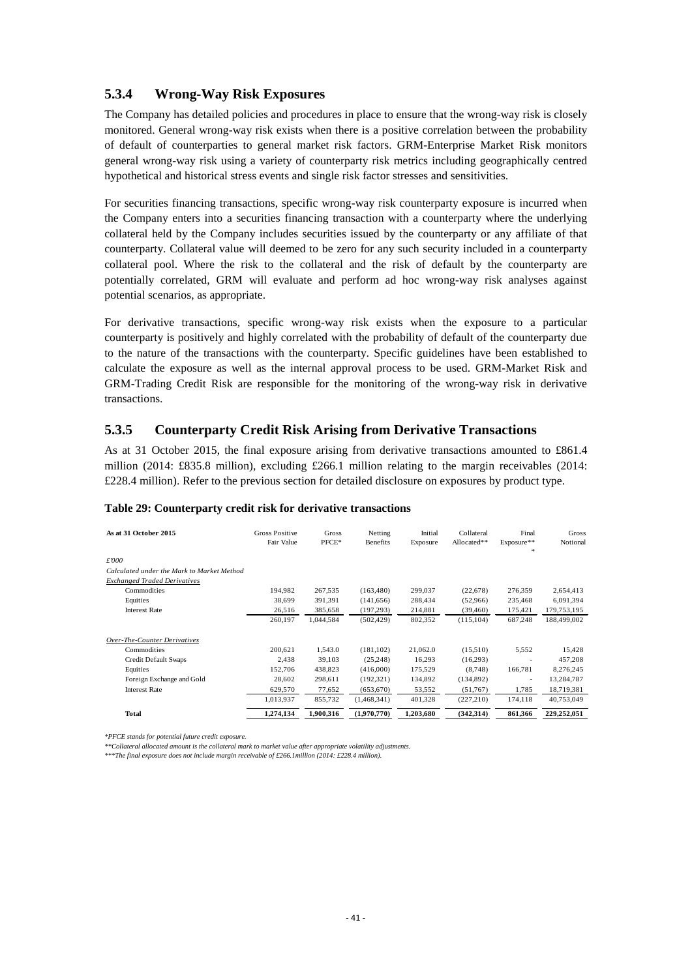### <span id="page-43-0"></span>**5.3.4 Wrong-Way Risk Exposures**

The Company has detailed policies and procedures in place to ensure that the wrong-way risk is closely monitored. General wrong-way risk exists when there is a positive correlation between the probability of default of counterparties to general market risk factors. GRM-Enterprise Market Risk monitors general wrong-way risk using a variety of counterparty risk metrics including geographically centred hypothetical and historical stress events and single risk factor stresses and sensitivities.

For securities financing transactions, specific wrong-way risk counterparty exposure is incurred when the Company enters into a securities financing transaction with a counterparty where the underlying collateral held by the Company includes securities issued by the counterparty or any affiliate of that counterparty. Collateral value will deemed to be zero for any such security included in a counterparty collateral pool. Where the risk to the collateral and the risk of default by the counterparty are potentially correlated, GRM will evaluate and perform ad hoc wrong-way risk analyses against potential scenarios, as appropriate.

For derivative transactions, specific wrong-way risk exists when the exposure to a particular counterparty is positively and highly correlated with the probability of default of the counterparty due to the nature of the transactions with the counterparty. Specific guidelines have been established to calculate the exposure as well as the internal approval process to be used. GRM-Market Risk and GRM-Trading Credit Risk are responsible for the monitoring of the wrong-way risk in derivative transactions.

### <span id="page-43-1"></span>**5.3.5 Counterparty Credit Risk Arising from Derivative Transactions**

As at 31 October 2015, the final exposure arising from derivative transactions amounted to £861.4 million (2014: £835.8 million), excluding £266.1 million relating to the margin receivables (2014: £228.4 million). Refer to the previous section for detailed disclosure on exposures by product type.

<span id="page-43-2"></span>

| As at 31 October 2015                      | <b>Gross Positive</b><br>Fair Value | Gross<br>PFCE* | Netting<br><b>Benefits</b> | Initial<br>Exposure | Collateral<br>Allocated** | Final<br>Exposure**<br>* | Gross<br>Notional |
|--------------------------------------------|-------------------------------------|----------------|----------------------------|---------------------|---------------------------|--------------------------|-------------------|
| £'000                                      |                                     |                |                            |                     |                           |                          |                   |
| Calculated under the Mark to Market Method |                                     |                |                            |                     |                           |                          |                   |
| <b>Exchanged Traded Derivatives</b>        |                                     |                |                            |                     |                           |                          |                   |
| Commodities                                | 194.982                             | 267.535        | (163, 480)                 | 299.037             | (22,678)                  | 276,359                  | 2,654,413         |
| Equities                                   | 38,699                              | 391,391        | (141, 656)                 | 288,434             | (52,966)                  | 235,468                  | 6,091,394         |
| <b>Interest Rate</b>                       | 26,516                              | 385,658        | (197, 293)                 | 214,881             | (39, 460)                 | 175,421                  | 179,753,195       |
|                                            | 260,197                             | 1,044,584      | (502, 429)                 | 802,352             | (115, 104)                | 687,248                  | 188,499,002       |
| Over-The-Counter Derivatives               |                                     |                |                            |                     |                           |                          |                   |
| Commodities                                | 200,621                             | 1,543.0        | (181, 102)                 | 21,062.0            | (15,510)                  | 5,552                    | 15,428            |
| Credit Default Swaps                       | 2,438                               | 39,103         | (25, 248)                  | 16,293              | (16,293)                  | $\overline{\phantom{a}}$ | 457,208           |
| Equities                                   | 152,706                             | 438,823        | (416,000)                  | 175,529             | (8,748)                   | 166,781                  | 8,276,245         |
| Foreign Exchange and Gold                  | 28,602                              | 298,611        | (192, 321)                 | 134,892             | (134,892)                 | -                        | 13,284,787        |
| <b>Interest Rate</b>                       | 629,570                             | 77,652         | (653,670)                  | 53,552              | (51,767)                  | 1,785                    | 18,719,381        |
|                                            | 1,013,937                           | 855,732        | (1,468,341)                | 401,328             | (227,210)                 | 174,118                  | 40,753,049        |
| Total                                      | 1,274,134                           | 1,900,316      | (1,970,770)                | 1,203,680           | (342, 314)                | 861,366                  | 229,252,051       |

*\*PFCE stands for potential future credit exposure.* 

*\*\*Collateral allocated amount is the collateral mark to market value after appropriate volatility adjustments.*

*\*\*\*The final exposure does not include margin receivable of £266.1million (2014: £228.4 million).*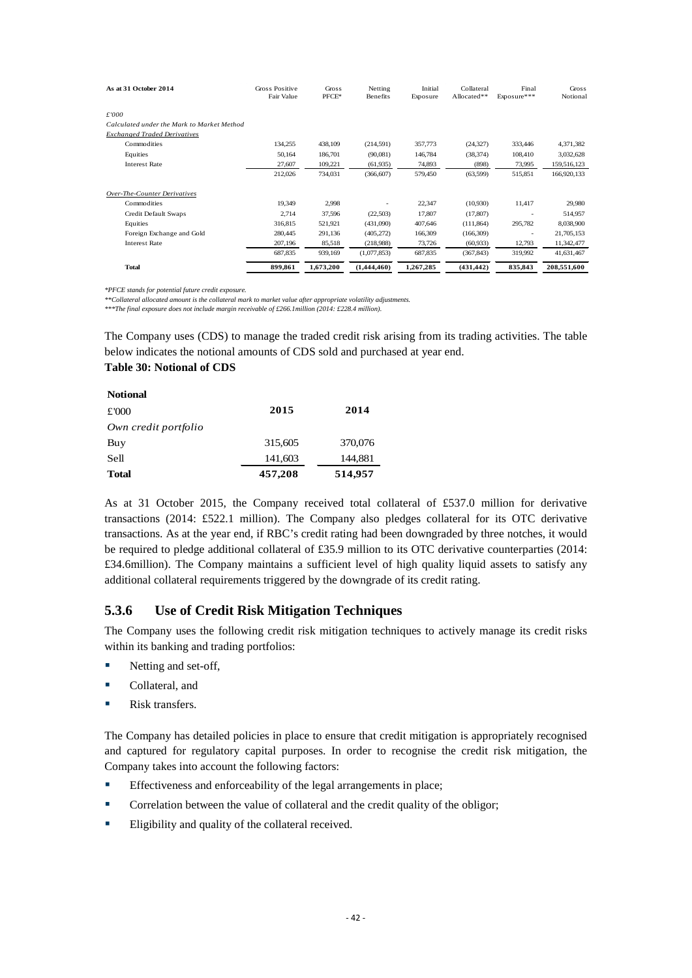| As at 31 October 2014                      | Gross Positive<br>Fair Value | Gross<br>$PFCE*$ | Netting<br>Benefits | Initial<br>Exposure | Collateral<br>Allocated** | Final<br>Exposure***     | Gross<br>Notional |
|--------------------------------------------|------------------------------|------------------|---------------------|---------------------|---------------------------|--------------------------|-------------------|
| £'000                                      |                              |                  |                     |                     |                           |                          |                   |
| Calculated under the Mark to Market Method |                              |                  |                     |                     |                           |                          |                   |
| <b>Exchanged Traded Derivatives</b>        |                              |                  |                     |                     |                           |                          |                   |
| Commodities                                | 134,255                      | 438,109          | (214, 591)          | 357,773             | (24, 327)                 | 333,446                  | 4,371,382         |
| Equities                                   | 50,164                       | 186,701          | (90,081)            | 146,784             | (38, 374)                 | 108,410                  | 3,032,628         |
| <b>Interest Rate</b>                       | 27,607                       | 109,221          | (61,935)            | 74,893              | (898)                     | 73,995                   | 159,516,123       |
|                                            | 212,026                      | 734,031          | (366, 607)          | 579,450             | (63, 599)                 | 515,851                  | 166,920,133       |
| Over-The-Counter Derivatives               |                              |                  |                     |                     |                           |                          |                   |
| Commodities                                | 19,349                       | 2,998            |                     | 22,347              | (10,930)                  | 11,417                   | 29,980            |
| Credit Default Swaps                       | 2,714                        | 37,596           | (22,503)            | 17,807              | (17, 807)                 | ٠                        | 514,957           |
| Equities                                   | 316,815                      | 521,921          | (431,090)           | 407,646             | (111, 864)                | 295,782                  | 8,038,900         |
| Foreign Exchange and Gold                  | 280,445                      | 291,136          | (405, 272)          | 166,309             | (166, 309)                | $\overline{\phantom{a}}$ | 21,705,153        |
| <b>Interest Rate</b>                       | 207,196                      | 85,518           | (218,988)           | 73,726              | (60, 933)                 | 12,793                   | 11,342,477        |
|                                            | 687,835                      | 939,169          | (1,077,853)         | 687,835             | (367, 843)                | 319,992                  | 41,631,467        |
| Total                                      | 899.861                      | 1,673,200        | (1.444.460)         | 1,267,285           | (431, 442)                | 835.843                  | 208,551,600       |

*\*PFCE stands for potential future credit exposure.* 

*\*\*Collateral allocated amount is the collateral mark to market value after appropriate volatility adjustments.*

*\*\*\*The final exposure does not include margin receivable of £266.1million (2014: £228.4 million).* 

The Company uses (CDS) to manage the traded credit risk arising from its trading activities. The table below indicates the notional amounts of CDS sold and purchased at year end.

### <span id="page-44-1"></span>**Table 30: Notional of CDS**

| <b>Notional</b>      |         |         |
|----------------------|---------|---------|
| £'000                | 2015    | 2014    |
| Own credit portfolio |         |         |
| Buy                  | 315,605 | 370,076 |
| Sell                 | 141,603 | 144,881 |
| <b>Total</b>         | 457,208 | 514,957 |

As at 31 October 2015, the Company received total collateral of £537.0 million for derivative transactions (2014: £522.1 million). The Company also pledges collateral for its OTC derivative transactions. As at the year end, if RBC's credit rating had been downgraded by three notches, it would be required to pledge additional collateral of £35.9 million to its OTC derivative counterparties (2014: £34.6million). The Company maintains a sufficient level of high quality liquid assets to satisfy any additional collateral requirements triggered by the downgrade of its credit rating.

### <span id="page-44-0"></span>**5.3.6 Use of Credit Risk Mitigation Techniques**

The Company uses the following credit risk mitigation techniques to actively manage its credit risks within its banking and trading portfolios:

- Netting and set-off,
- **Collateral**, and
- Risk transfers.

The Company has detailed policies in place to ensure that credit mitigation is appropriately recognised and captured for regulatory capital purposes. In order to recognise the credit risk mitigation, the Company takes into account the following factors:

- **Effectiveness and enforceability of the legal arrangements in place;**
- **Correlation between the value of collateral and the credit quality of the obligor;**
- Eligibility and quality of the collateral received.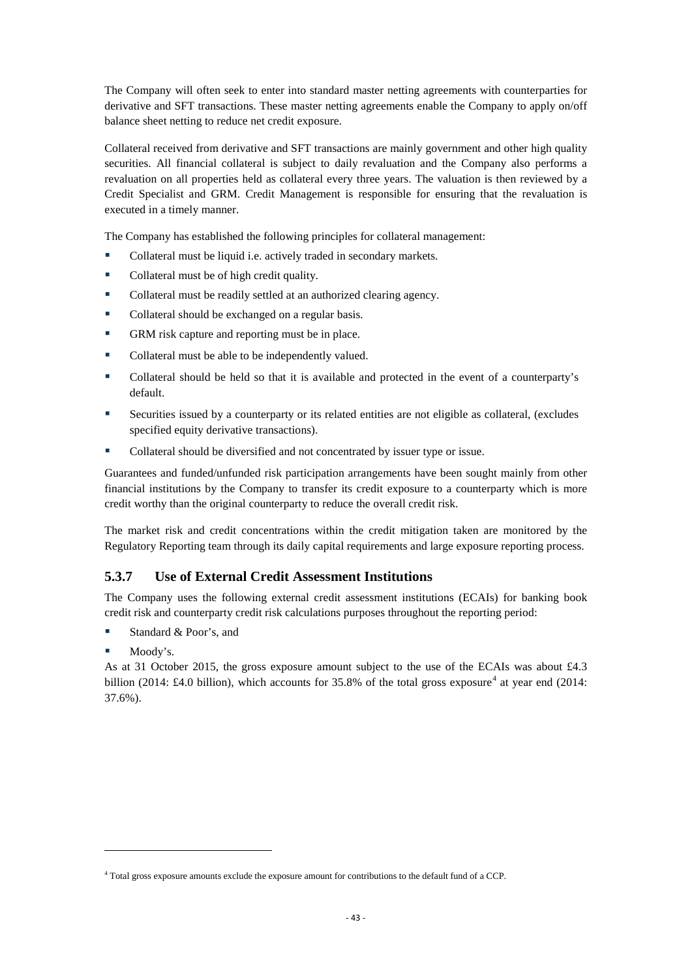The Company will often seek to enter into standard master netting agreements with counterparties for derivative and SFT transactions. These master netting agreements enable the Company to apply on/off balance sheet netting to reduce net credit exposure.

Collateral received from derivative and SFT transactions are mainly government and other high quality securities. All financial collateral is subject to daily revaluation and the Company also performs a revaluation on all properties held as collateral every three years. The valuation is then reviewed by a Credit Specialist and GRM. Credit Management is responsible for ensuring that the revaluation is executed in a timely manner.

The Company has established the following principles for collateral management:

- Collateral must be liquid i.e. actively traded in secondary markets.
- Collateral must be of high credit quality.
- Collateral must be readily settled at an authorized clearing agency.
- Collateral should be exchanged on a regular basis.
- GRM risk capture and reporting must be in place.
- Collateral must be able to be independently valued.
- Collateral should be held so that it is available and protected in the event of a counterparty's default.
- Securities issued by a counterparty or its related entities are not eligible as collateral, (excludes specified equity derivative transactions).
- Collateral should be diversified and not concentrated by issuer type or issue.

Guarantees and funded/unfunded risk participation arrangements have been sought mainly from other financial institutions by the Company to transfer its credit exposure to a counterparty which is more credit worthy than the original counterparty to reduce the overall credit risk.

The market risk and credit concentrations within the credit mitigation taken are monitored by the Regulatory Reporting team through its daily capital requirements and large exposure reporting process.

### <span id="page-45-0"></span>**5.3.7 Use of External Credit Assessment Institutions**

The Company uses the following external credit assessment institutions (ECAIs) for banking book credit risk and counterparty credit risk calculations purposes throughout the reporting period:

- Standard & Poor's, and
- **Moody's.**

 $\overline{a}$ 

As at 31 October 2015, the gross exposure amount subject to the use of the ECAIs was about £4.3 billion (201[4](#page-45-1): £4.0 billion), which accounts for  $35.8\%$  of the total gross exposure<sup>4</sup> at year end (2014: 37.6%).

<span id="page-45-1"></span><sup>4</sup> Total gross exposure amounts exclude the exposure amount for contributions to the default fund of a CCP.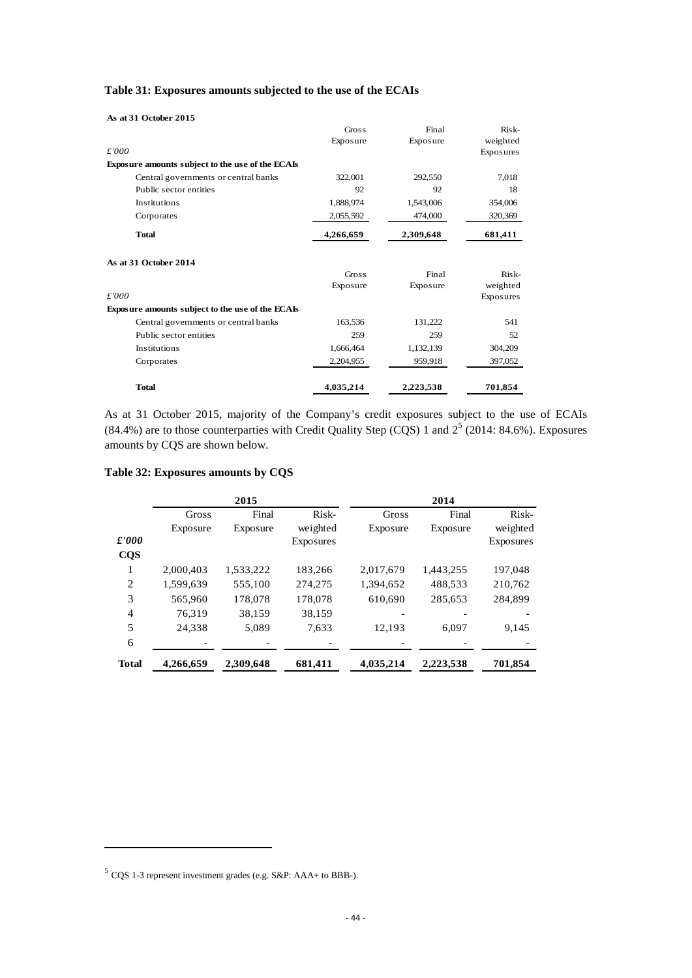| As at 31 October 2015                            |           |           |           |
|--------------------------------------------------|-----------|-----------|-----------|
|                                                  | Gross     | Final     | Risk-     |
|                                                  | Exposure  | Exposure  | weighted  |
| £'000                                            |           |           | Exposures |
| Exposure amounts subject to the use of the ECAIs |           |           |           |
| Central governments or central banks             | 322,001   | 292,550   | 7,018     |
| Public sector entities                           | 92        | 92        | 18        |
| Institutions                                     | 1,888,974 | 1,543,006 | 354,006   |
| Corporates                                       | 2,055,592 | 474,000   | 320,369   |
| <b>Total</b>                                     | 4,266,659 | 2,309,648 | 681,411   |
| As at 31 October 2014                            |           |           |           |
|                                                  | Gross     | Final     | Risk-     |
|                                                  | Exposure  | Exposure  | weighted  |
| £'000                                            |           |           | Exposures |
| Exposure amounts subject to the use of the ECAIs |           |           |           |
| Central governments or central banks             | 163,536   | 131,222   | 541       |
| Public sector entities                           | 259       | 259       | 52        |
| Institutions                                     | 1,666,464 | 1,132,139 | 304,209   |
| Corporates                                       | 2,204,955 | 959,918   | 397,052   |
| <b>Total</b>                                     | 4,035,214 | 2,223,538 | 701,854   |

#### <span id="page-46-0"></span>**Table 31: Exposures amounts subjected to the use of the ECAIs**

As at 31 October 2015, majority of the Company's credit exposures subject to the use of ECAIs (84.4%) are to those counterparties with Credit Quality Step (CQS) 1 and  $2^5$  $2^5$  (2014: 84.6%). Exposures amounts by CQS are shown below.

### <span id="page-46-1"></span>**Table 32: Exposures amounts by CQS**

|               |           | 2015      |           |           | 2014      |           |
|---------------|-----------|-----------|-----------|-----------|-----------|-----------|
|               | Gross     | Final     | Risk-     | Gross     | Final     | Risk-     |
|               | Exposure  | Exposure  | weighted  | Exposure  | Exposure  | weighted  |
| $\pounds'000$ |           |           | Exposures |           |           | Exposures |
| <b>CQS</b>    |           |           |           |           |           |           |
| 1             | 2,000,403 | 1,533,222 | 183,266   | 2,017,679 | 1,443,255 | 197,048   |
| 2             | 1.599.639 | 555,100   | 274,275   | 1,394,652 | 488,533   | 210,762   |
| 3             | 565,960   | 178,078   | 178,078   | 610,690   | 285,653   | 284,899   |
| 4             | 76.319    | 38,159    | 38.159    |           |           |           |
| 5             | 24,338    | 5,089     | 7,633     | 12,193    | 6,097     | 9,145     |
| 6             |           |           |           |           |           |           |
| <b>Total</b>  | 4,266,659 | 2,309,648 | 681,411   | 4,035,214 | 2,223,538 | 701,854   |

 $\overline{a}$ 

<span id="page-46-2"></span><sup>5</sup> CQS 1-3 represent investment grades (e.g. S&P: AAA+ to BBB-).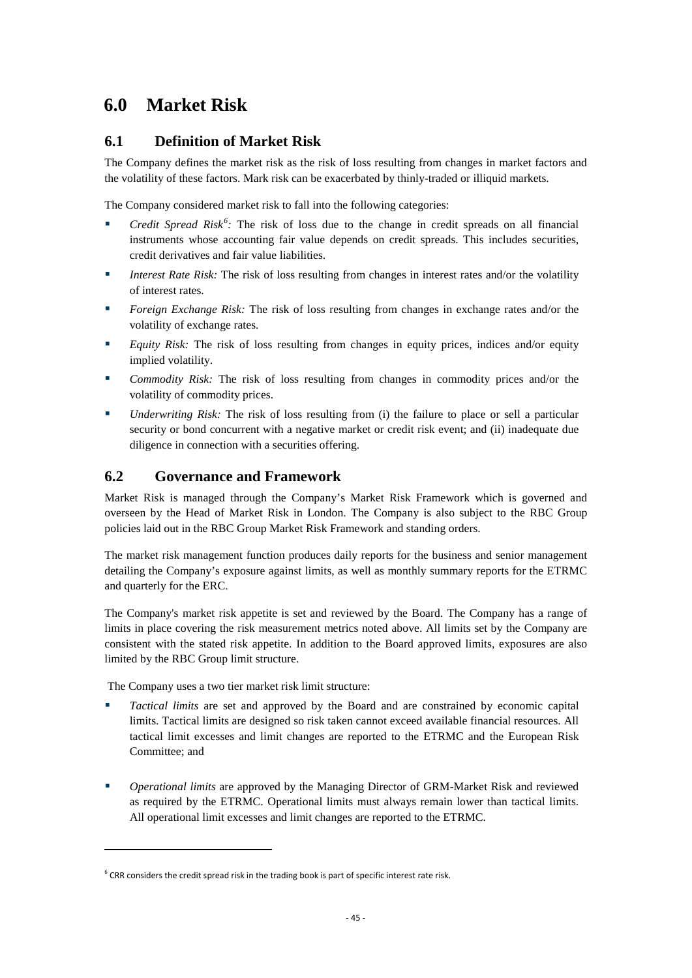# <span id="page-47-0"></span>**6.0 Market Risk**

# <span id="page-47-1"></span>**6.1 Definition of Market Risk**

The Company defines the market risk as the risk of loss resulting from changes in market factors and the volatility of these factors. Mark risk can be exacerbated by thinly-traded or illiquid markets.

The Company considered market risk to fall into the following categories:

- *Credit Spread Risk<sup>[6](#page-47-3)</sup>*: The risk of loss due to the change in credit spreads on all financial instruments whose accounting fair value depends on credit spreads. This includes securities, credit derivatives and fair value liabilities.
- *Interest Rate Risk:* The risk of loss resulting from changes in interest rates and/or the volatility of interest rates.
- **Foreign Exchange Risk:** The risk of loss resulting from changes in exchange rates and/or the volatility of exchange rates.
- **Equity Risk:** The risk of loss resulting from changes in equity prices, indices and/or equity implied volatility.
- *Commodity Risk:* The risk of loss resulting from changes in commodity prices and/or the volatility of commodity prices.
- *Underwriting Risk:* The risk of loss resulting from (i) the failure to place or sell a particular security or bond concurrent with a negative market or credit risk event; and (ii) inadequate due diligence in connection with a securities offering.

# <span id="page-47-2"></span>**6.2 Governance and Framework**

Market Risk is managed through the Company's Market Risk Framework which is governed and overseen by the Head of Market Risk in London. The Company is also subject to the RBC Group policies laid out in the RBC Group Market Risk Framework and standing orders.

The market risk management function produces daily reports for the business and senior management detailing the Company's exposure against limits, as well as monthly summary reports for the ETRMC and quarterly for the ERC.

The Company's market risk appetite is set and reviewed by the Board. The Company has a range of limits in place covering the risk measurement metrics noted above. All limits set by the Company are consistent with the stated risk appetite. In addition to the Board approved limits, exposures are also limited by the RBC Group limit structure.

The Company uses a two tier market risk limit structure:

 $\overline{a}$ 

- *Tactical limits* are set and approved by the Board and are constrained by economic capital limits. Tactical limits are designed so risk taken cannot exceed available financial resources. All tactical limit excesses and limit changes are reported to the ETRMC and the European Risk Committee; and
- *Operational limits* are approved by the Managing Director of GRM-Market Risk and reviewed as required by the ETRMC. Operational limits must always remain lower than tactical limits. All operational limit excesses and limit changes are reported to the ETRMC.

<span id="page-47-3"></span> $6$  CRR considers the credit spread risk in the trading book is part of specific interest rate risk.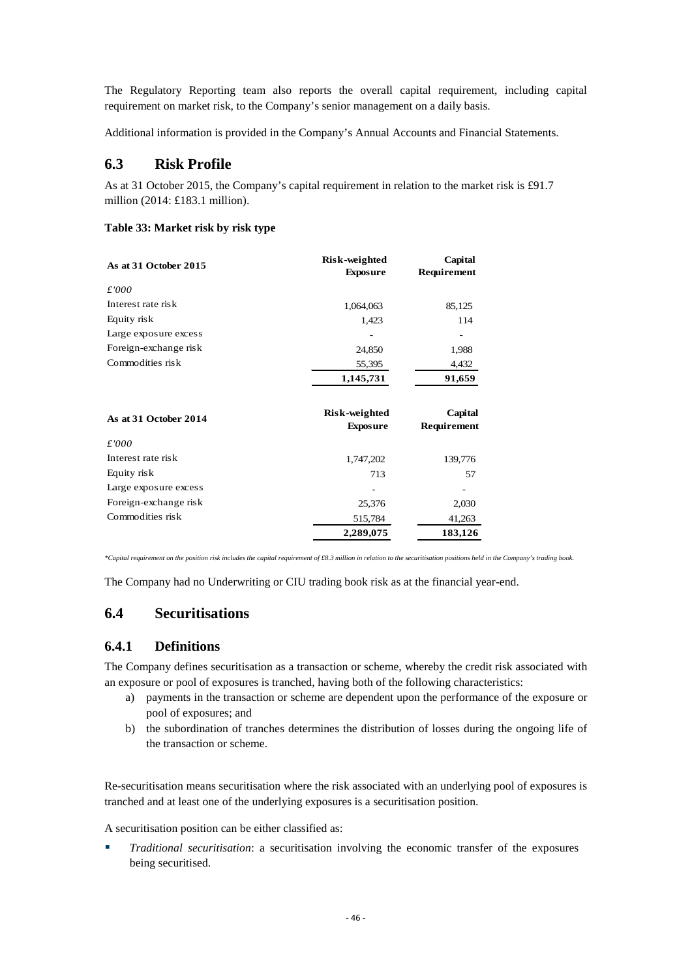The Regulatory Reporting team also reports the overall capital requirement, including capital requirement on market risk, to the Company's senior management on a daily basis.

Additional information is provided in the Company's Annual Accounts and Financial Statements.

# <span id="page-48-0"></span>**6.3 Risk Profile**

As at 31 October 2015, the Company's capital requirement in relation to the market risk is £91.7 million (2014: £183.1 million).

### <span id="page-48-3"></span>**Table 33: Market risk by risk type**

| As at 31 October 2015 | Risk-weighted<br><b>Exposure</b> | Capital<br>Requirement |
|-----------------------|----------------------------------|------------------------|
| £'000                 |                                  |                        |
| Interest rate risk    | 1,064,063                        | 85,125                 |
| Equity risk           | 1,423                            | 114                    |
| Large exposure excess |                                  | -                      |
| Foreign-exchange risk | 24,850                           | 1,988                  |
| Commodities risk      | 55,395                           | 4,432                  |
|                       | 1,145,731                        | 91,659                 |
| As at 31 October 2014 | Risk-weighted<br><b>Exposure</b> | Capital<br>Requirement |
| £'000                 |                                  |                        |
| Interest rate risk    | 1,747,202                        | 139,776                |
| Equity risk           | 713                              | 57                     |
| Large exposure excess |                                  |                        |
| Foreign-exchange risk | 25,376                           | 2,030                  |
| Commodities risk      | 515,784                          | 41,263                 |
|                       | 2,289,075                        | 183,126                |

*\*Capital requirement on the position risk includes the capital requirement of £8.3 million in relation to the securitisation positions held in the Company's trading book.* 

The Company had no Underwriting or CIU trading book risk as at the financial year-end.

# <span id="page-48-1"></span>**6.4 Securitisations**

### <span id="page-48-2"></span>**6.4.1 Definitions**

The Company defines securitisation as a transaction or scheme, whereby the credit risk associated with an exposure or pool of exposures is tranched, having both of the following characteristics:

- a) payments in the transaction or scheme are dependent upon the performance of the exposure or pool of exposures; and
- b) the subordination of tranches determines the distribution of losses during the ongoing life of the transaction or scheme.

Re-securitisation means securitisation where the risk associated with an underlying pool of exposures is tranched and at least one of the underlying exposures is a securitisation position.

A securitisation position can be either classified as:

 *Traditional securitisation*: a securitisation involving the economic transfer of the exposures being securitised.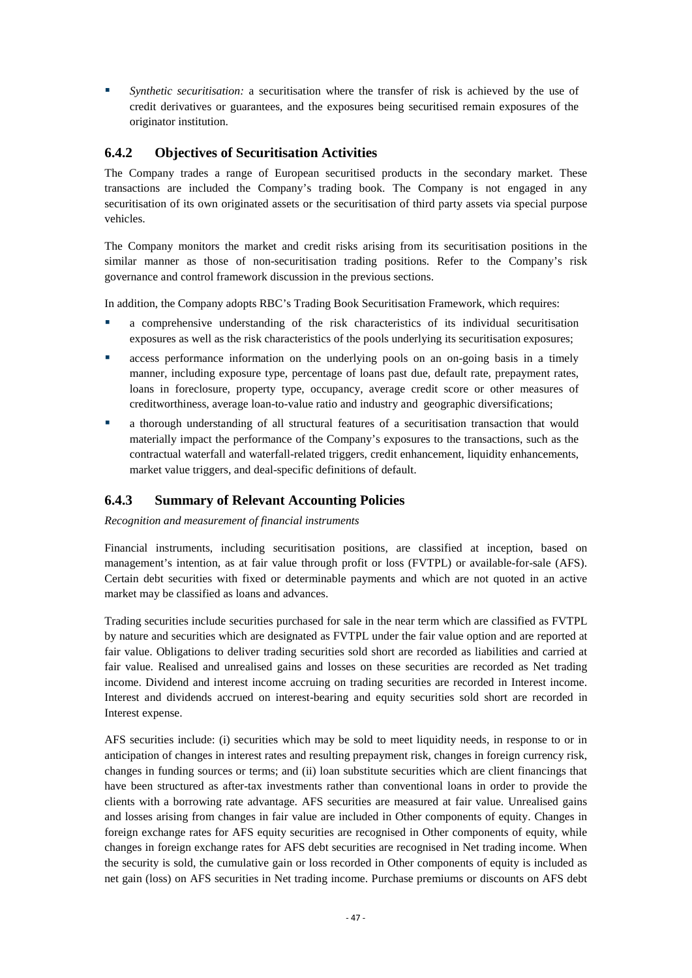*Synthetic securitisation:* a securitisation where the transfer of risk is achieved by the use of credit derivatives or guarantees, and the exposures being securitised remain exposures of the originator institution.

### <span id="page-49-0"></span>**6.4.2 Objectives of Securitisation Activities**

The Company trades a range of European securitised products in the secondary market. These transactions are included the Company's trading book. The Company is not engaged in any securitisation of its own originated assets or the securitisation of third party assets via special purpose vehicles.

The Company monitors the market and credit risks arising from its securitisation positions in the similar manner as those of non-securitisation trading positions. Refer to the Company's risk governance and control framework discussion in the previous sections.

In addition, the Company adopts RBC's Trading Book Securitisation Framework, which requires:

- a comprehensive understanding of the risk characteristics of its individual securitisation exposures as well as the risk characteristics of the pools underlying its securitisation exposures;
- **Exercise is experiment information** on the underlying pools on an on-going basis in a timely manner, including exposure type, percentage of loans past due, default rate, prepayment rates, loans in foreclosure, property type, occupancy, average credit score or other measures of creditworthiness, average loan-to-value ratio and industry and geographic diversifications;
- a thorough understanding of all structural features of a securitisation transaction that would materially impact the performance of the Company's exposures to the transactions, such as the contractual waterfall and waterfall-related triggers, credit enhancement, liquidity enhancements, market value triggers, and deal-specific definitions of default.

## <span id="page-49-1"></span>**6.4.3 Summary of Relevant Accounting Policies**

*Recognition and measurement of financial instruments*

Financial instruments, including securitisation positions, are classified at inception, based on management's intention, as at fair value through profit or loss (FVTPL) or available-for-sale (AFS). Certain debt securities with fixed or determinable payments and which are not quoted in an active market may be classified as loans and advances.

Trading securities include securities purchased for sale in the near term which are classified as FVTPL by nature and securities which are designated as FVTPL under the fair value option and are reported at fair value. Obligations to deliver trading securities sold short are recorded as liabilities and carried at fair value. Realised and unrealised gains and losses on these securities are recorded as Net trading income. Dividend and interest income accruing on trading securities are recorded in Interest income. Interest and dividends accrued on interest-bearing and equity securities sold short are recorded in Interest expense.

AFS securities include: (i) securities which may be sold to meet liquidity needs, in response to or in anticipation of changes in interest rates and resulting prepayment risk, changes in foreign currency risk, changes in funding sources or terms; and (ii) loan substitute securities which are client financings that have been structured as after-tax investments rather than conventional loans in order to provide the clients with a borrowing rate advantage. AFS securities are measured at fair value. Unrealised gains and losses arising from changes in fair value are included in Other components of equity. Changes in foreign exchange rates for AFS equity securities are recognised in Other components of equity, while changes in foreign exchange rates for AFS debt securities are recognised in Net trading income. When the security is sold, the cumulative gain or loss recorded in Other components of equity is included as net gain (loss) on AFS securities in Net trading income. Purchase premiums or discounts on AFS debt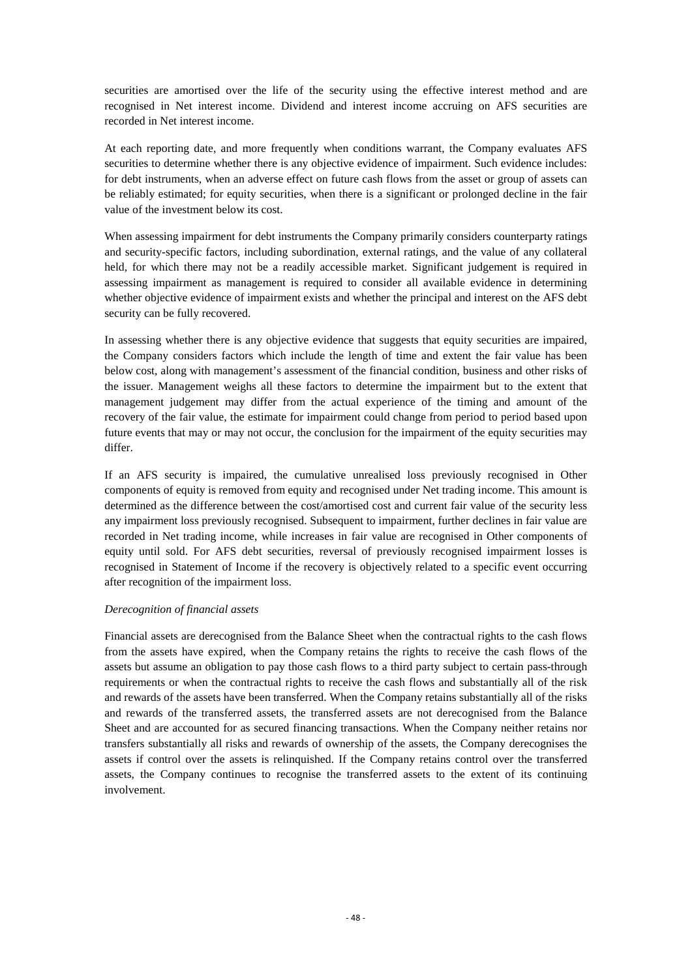securities are amortised over the life of the security using the effective interest method and are recognised in Net interest income. Dividend and interest income accruing on AFS securities are recorded in Net interest income.

At each reporting date, and more frequently when conditions warrant, the Company evaluates AFS securities to determine whether there is any objective evidence of impairment. Such evidence includes: for debt instruments, when an adverse effect on future cash flows from the asset or group of assets can be reliably estimated; for equity securities, when there is a significant or prolonged decline in the fair value of the investment below its cost.

When assessing impairment for debt instruments the Company primarily considers counterparty ratings and security-specific factors, including subordination, external ratings, and the value of any collateral held, for which there may not be a readily accessible market. Significant judgement is required in assessing impairment as management is required to consider all available evidence in determining whether objective evidence of impairment exists and whether the principal and interest on the AFS debt security can be fully recovered.

In assessing whether there is any objective evidence that suggests that equity securities are impaired, the Company considers factors which include the length of time and extent the fair value has been below cost, along with management's assessment of the financial condition, business and other risks of the issuer. Management weighs all these factors to determine the impairment but to the extent that management judgement may differ from the actual experience of the timing and amount of the recovery of the fair value, the estimate for impairment could change from period to period based upon future events that may or may not occur, the conclusion for the impairment of the equity securities may differ.

If an AFS security is impaired, the cumulative unrealised loss previously recognised in Other components of equity is removed from equity and recognised under Net trading income. This amount is determined as the difference between the cost/amortised cost and current fair value of the security less any impairment loss previously recognised. Subsequent to impairment, further declines in fair value are recorded in Net trading income, while increases in fair value are recognised in Other components of equity until sold. For AFS debt securities, reversal of previously recognised impairment losses is recognised in Statement of Income if the recovery is objectively related to a specific event occurring after recognition of the impairment loss.

#### *Derecognition of financial assets*

Financial assets are derecognised from the Balance Sheet when the contractual rights to the cash flows from the assets have expired, when the Company retains the rights to receive the cash flows of the assets but assume an obligation to pay those cash flows to a third party subject to certain pass-through requirements or when the contractual rights to receive the cash flows and substantially all of the risk and rewards of the assets have been transferred. When the Company retains substantially all of the risks and rewards of the transferred assets, the transferred assets are not derecognised from the Balance Sheet and are accounted for as secured financing transactions. When the Company neither retains nor transfers substantially all risks and rewards of ownership of the assets, the Company derecognises the assets if control over the assets is relinquished. If the Company retains control over the transferred assets, the Company continues to recognise the transferred assets to the extent of its continuing involvement.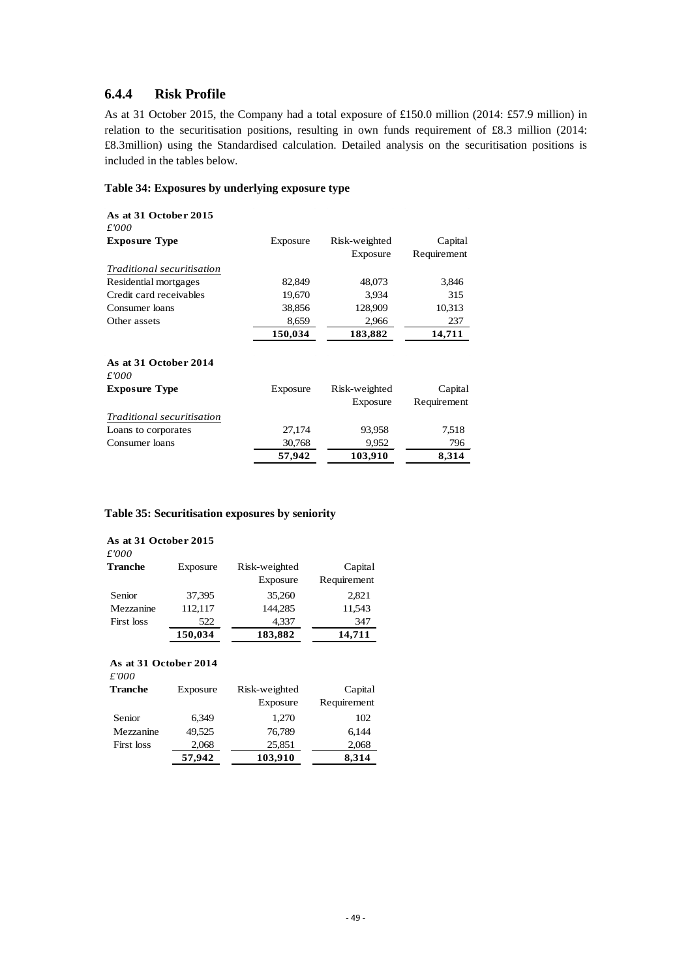### <span id="page-51-0"></span>**6.4.4 Risk Profile**

As at 31 October 2015, the Company had a total exposure of £150.0 million (2014: £57.9 million) in relation to the securitisation positions, resulting in own funds requirement of £8.3 million (2014: £8.3million) using the Standardised calculation. Detailed analysis on the securitisation positions is included in the tables below.

#### <span id="page-51-1"></span>**Table 34: Exposures by underlying exposure type**

| As at 31 October 2015<br>£'000 |          |               |             |
|--------------------------------|----------|---------------|-------------|
| <b>Exposure Type</b>           | Exposure | Risk-weighted | Capital     |
|                                |          | Exposure      | Requirement |
| Traditional securitisation     |          |               |             |
| Residential mortgages          | 82,849   | 48,073        | 3,846       |
| Credit card receivables        | 19,670   | 3,934         | 315         |
| Consumer loans                 | 38,856   | 128,909       | 10,313      |
| Other assets                   | 8,659    | 2,966         | 237         |
|                                | 150,034  | 183,882       | 14,711      |
| As at 31 October 2014<br>£'000 |          |               |             |
| <b>Exposure Type</b>           | Exposure | Risk-weighted | Capital     |
|                                |          | Exposure      | Requirement |
| Traditional securitisation     |          |               |             |
| Loans to corporates            | 27,174   | 93,958        | 7,518       |
| Consumer loans                 | 30,768   | 9,952         | 796         |
|                                | 57,942   | 103,910       | 8,314       |

#### <span id="page-51-2"></span>**Table 35: Securitisation exposures by seniority**

| As at 31 October 2015<br>£'000 |          |               |             |
|--------------------------------|----------|---------------|-------------|
| <b>Tranche</b>                 | Exposure | Risk-weighted | Capital     |
|                                |          | Exposure      | Requirement |
| Senior                         | 37.395   | 35,260        | 2,821       |
| Mezzanine                      | 112.117  | 144.285       | 11,543      |
| First loss                     | 522      | 4,337         | 347         |
|                                | 150,034  | 183,882       | 14,711      |

### **As at 31 October 2014**

| £'000          |          |                           |                        |
|----------------|----------|---------------------------|------------------------|
| <b>Tranche</b> | Exposure | Risk-weighted<br>Exposure | Capital<br>Requirement |
| Senior         | 6.349    | 1,270                     | 102                    |
| Mezzanine      | 49.525   | 76.789                    | 6.144                  |
| First loss     | 2,068    | 25,851                    | 2,068                  |
|                | 57,942   | 103,910                   | 8,314                  |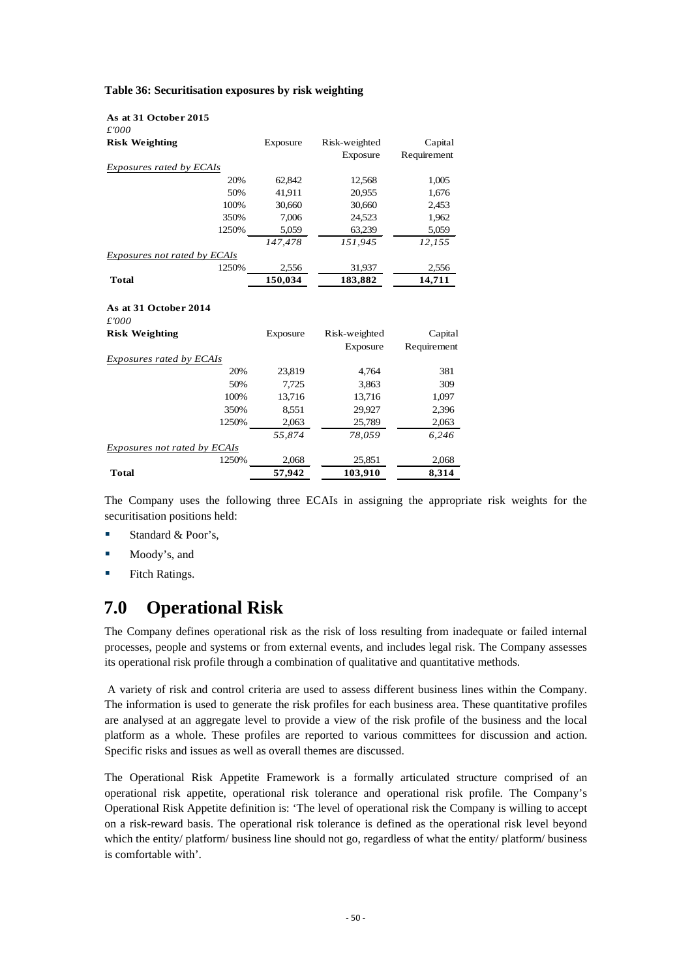<span id="page-52-1"></span>

|  | Table 36: Securitisation exposures by risk weighting |  |  |  |  |
|--|------------------------------------------------------|--|--|--|--|
|--|------------------------------------------------------|--|--|--|--|

| £'000<br><b>Risk Weighting</b><br>Exposure<br>Risk-weighted<br>Capital<br>Exposure<br>Requirement<br>Exposures rated by ECAIs<br>62,842<br>20%<br>12,568<br>1,005<br>50%<br>41,911<br>20,955<br>1,676<br>30,660<br>30,660<br>100%<br>2,453<br>7,006<br>24,523<br>350%<br>1,962<br>1250%<br>5,059<br>5,059<br>63,239<br>147,478<br>151,945<br>12,155<br>Exposures not rated by ECAIs<br>1250%<br>2,556<br>31,937<br>2,556<br>150,034<br>183,882<br>14,711<br><b>Total</b><br>As at 31 October 2014<br>£'000<br><b>Risk Weighting</b><br>Risk-weighted<br>Capital<br>Exposure<br>Exposure<br>Requirement<br>Exposures rated by ECAIs<br>20%<br>23,819<br>4,764<br>381<br>50%<br>7,725<br>3,863<br>309<br>100%<br>13,716<br>13,716<br>1,097<br>350%<br>8.551<br>29,927<br>2,396<br>2,063<br>2,063<br>1250%<br>25,789<br>55,874<br>78,059<br>6,246<br>Exposures not rated by ECAIs<br>1250%<br>2,068<br>25,851<br>2,068<br>57,942<br>103,910<br>8,314<br>Total | As at 31 October 2015 |  |  |
|------------------------------------------------------------------------------------------------------------------------------------------------------------------------------------------------------------------------------------------------------------------------------------------------------------------------------------------------------------------------------------------------------------------------------------------------------------------------------------------------------------------------------------------------------------------------------------------------------------------------------------------------------------------------------------------------------------------------------------------------------------------------------------------------------------------------------------------------------------------------------------------------------------------------------------------------------------|-----------------------|--|--|
|                                                                                                                                                                                                                                                                                                                                                                                                                                                                                                                                                                                                                                                                                                                                                                                                                                                                                                                                                            |                       |  |  |
|                                                                                                                                                                                                                                                                                                                                                                                                                                                                                                                                                                                                                                                                                                                                                                                                                                                                                                                                                            |                       |  |  |
|                                                                                                                                                                                                                                                                                                                                                                                                                                                                                                                                                                                                                                                                                                                                                                                                                                                                                                                                                            |                       |  |  |
|                                                                                                                                                                                                                                                                                                                                                                                                                                                                                                                                                                                                                                                                                                                                                                                                                                                                                                                                                            |                       |  |  |
|                                                                                                                                                                                                                                                                                                                                                                                                                                                                                                                                                                                                                                                                                                                                                                                                                                                                                                                                                            |                       |  |  |
|                                                                                                                                                                                                                                                                                                                                                                                                                                                                                                                                                                                                                                                                                                                                                                                                                                                                                                                                                            |                       |  |  |
|                                                                                                                                                                                                                                                                                                                                                                                                                                                                                                                                                                                                                                                                                                                                                                                                                                                                                                                                                            |                       |  |  |
|                                                                                                                                                                                                                                                                                                                                                                                                                                                                                                                                                                                                                                                                                                                                                                                                                                                                                                                                                            |                       |  |  |
|                                                                                                                                                                                                                                                                                                                                                                                                                                                                                                                                                                                                                                                                                                                                                                                                                                                                                                                                                            |                       |  |  |
|                                                                                                                                                                                                                                                                                                                                                                                                                                                                                                                                                                                                                                                                                                                                                                                                                                                                                                                                                            |                       |  |  |
|                                                                                                                                                                                                                                                                                                                                                                                                                                                                                                                                                                                                                                                                                                                                                                                                                                                                                                                                                            |                       |  |  |
|                                                                                                                                                                                                                                                                                                                                                                                                                                                                                                                                                                                                                                                                                                                                                                                                                                                                                                                                                            |                       |  |  |
|                                                                                                                                                                                                                                                                                                                                                                                                                                                                                                                                                                                                                                                                                                                                                                                                                                                                                                                                                            |                       |  |  |
|                                                                                                                                                                                                                                                                                                                                                                                                                                                                                                                                                                                                                                                                                                                                                                                                                                                                                                                                                            |                       |  |  |
|                                                                                                                                                                                                                                                                                                                                                                                                                                                                                                                                                                                                                                                                                                                                                                                                                                                                                                                                                            |                       |  |  |
|                                                                                                                                                                                                                                                                                                                                                                                                                                                                                                                                                                                                                                                                                                                                                                                                                                                                                                                                                            |                       |  |  |
|                                                                                                                                                                                                                                                                                                                                                                                                                                                                                                                                                                                                                                                                                                                                                                                                                                                                                                                                                            |                       |  |  |
|                                                                                                                                                                                                                                                                                                                                                                                                                                                                                                                                                                                                                                                                                                                                                                                                                                                                                                                                                            |                       |  |  |
|                                                                                                                                                                                                                                                                                                                                                                                                                                                                                                                                                                                                                                                                                                                                                                                                                                                                                                                                                            |                       |  |  |
|                                                                                                                                                                                                                                                                                                                                                                                                                                                                                                                                                                                                                                                                                                                                                                                                                                                                                                                                                            |                       |  |  |
|                                                                                                                                                                                                                                                                                                                                                                                                                                                                                                                                                                                                                                                                                                                                                                                                                                                                                                                                                            |                       |  |  |
|                                                                                                                                                                                                                                                                                                                                                                                                                                                                                                                                                                                                                                                                                                                                                                                                                                                                                                                                                            |                       |  |  |
|                                                                                                                                                                                                                                                                                                                                                                                                                                                                                                                                                                                                                                                                                                                                                                                                                                                                                                                                                            |                       |  |  |
|                                                                                                                                                                                                                                                                                                                                                                                                                                                                                                                                                                                                                                                                                                                                                                                                                                                                                                                                                            |                       |  |  |
|                                                                                                                                                                                                                                                                                                                                                                                                                                                                                                                                                                                                                                                                                                                                                                                                                                                                                                                                                            |                       |  |  |
|                                                                                                                                                                                                                                                                                                                                                                                                                                                                                                                                                                                                                                                                                                                                                                                                                                                                                                                                                            |                       |  |  |
|                                                                                                                                                                                                                                                                                                                                                                                                                                                                                                                                                                                                                                                                                                                                                                                                                                                                                                                                                            |                       |  |  |
|                                                                                                                                                                                                                                                                                                                                                                                                                                                                                                                                                                                                                                                                                                                                                                                                                                                                                                                                                            |                       |  |  |

The Company uses the following three ECAIs in assigning the appropriate risk weights for the securitisation positions held:

- Standard  $& Poor's$ ,
- **Moody's, and**
- <span id="page-52-0"></span>**Fitch Ratings.**

# **7.0 Operational Risk**

The Company defines operational risk as the risk of loss resulting from inadequate or failed internal processes, people and systems or from external events, and includes legal risk. The Company assesses its operational risk profile through a combination of qualitative and quantitative methods.

A variety of risk and control criteria are used to assess different business lines within the Company. The information is used to generate the risk profiles for each business area. These quantitative profiles are analysed at an aggregate level to provide a view of the risk profile of the business and the local platform as a whole. These profiles are reported to various committees for discussion and action. Specific risks and issues as well as overall themes are discussed.

The Operational Risk Appetite Framework is a formally articulated structure comprised of an operational risk appetite, operational risk tolerance and operational risk profile. The Company's Operational Risk Appetite definition is: 'The level of operational risk the Company is willing to accept on a risk-reward basis. The operational risk tolerance is defined as the operational risk level beyond which the entity/ platform/ business line should not go, regardless of what the entity/ platform/ business is comfortable with'.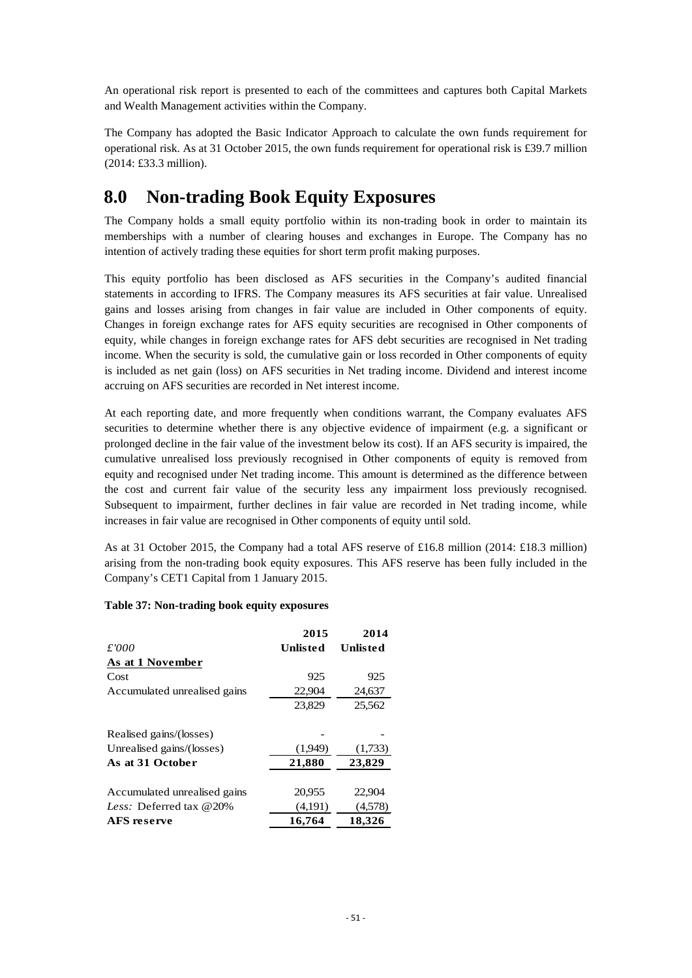An operational risk report is presented to each of the committees and captures both Capital Markets and Wealth Management activities within the Company.

The Company has adopted the Basic Indicator Approach to calculate the own funds requirement for operational risk. As at 31 October 2015, the own funds requirement for operational risk is £39.7 million (2014: £33.3 million).

# <span id="page-53-0"></span>**8.0 Non-trading Book Equity Exposures**

The Company holds a small equity portfolio within its non-trading book in order to maintain its memberships with a number of clearing houses and exchanges in Europe. The Company has no intention of actively trading these equities for short term profit making purposes.

This equity portfolio has been disclosed as AFS securities in the Company's audited financial statements in according to IFRS. The Company measures its AFS securities at fair value. Unrealised gains and losses arising from changes in fair value are included in Other components of equity. Changes in foreign exchange rates for AFS equity securities are recognised in Other components of equity, while changes in foreign exchange rates for AFS debt securities are recognised in Net trading income. When the security is sold, the cumulative gain or loss recorded in Other components of equity is included as net gain (loss) on AFS securities in Net trading income. Dividend and interest income accruing on AFS securities are recorded in Net interest income.

At each reporting date, and more frequently when conditions warrant, the Company evaluates AFS securities to determine whether there is any objective evidence of impairment (e.g. a significant or prolonged decline in the fair value of the investment below its cost). If an AFS security is impaired, the cumulative unrealised loss previously recognised in Other components of equity is removed from equity and recognised under Net trading income. This amount is determined as the difference between the cost and current fair value of the security less any impairment loss previously recognised. Subsequent to impairment, further declines in fair value are recorded in Net trading income, while increases in fair value are recognised in Other components of equity until sold.

As at 31 October 2015, the Company had a total AFS reserve of £16.8 million (2014: £18.3 million) arising from the non-trading book equity exposures. This AFS reserve has been fully included in the Company's CET1 Capital from 1 January 2015.

#### <span id="page-53-1"></span>**Table 37: Non-trading book equity exposures**

|                                   | 2015     | 2014     |
|-----------------------------------|----------|----------|
| £'000                             | Unlisted | Unlisted |
| As at 1 November                  |          |          |
| Cost                              | 925      | 925      |
| Accumulated unrealised gains      | 22,904   | 24,637   |
|                                   | 23,829   | 25,562   |
| Realised gains/(losses)           |          |          |
| Unrealised gains/(losses)         | (1,949)  | (1,733)  |
| As at 31 October                  | 21,880   | 23,829   |
| Accumulated unrealised gains      | 20,955   | 22,904   |
| <i>Less:</i> Deferred tax $@20\%$ | (4,191)  | (4,578)  |
| <b>AFS</b> reserve                | 16,764   | 18,326   |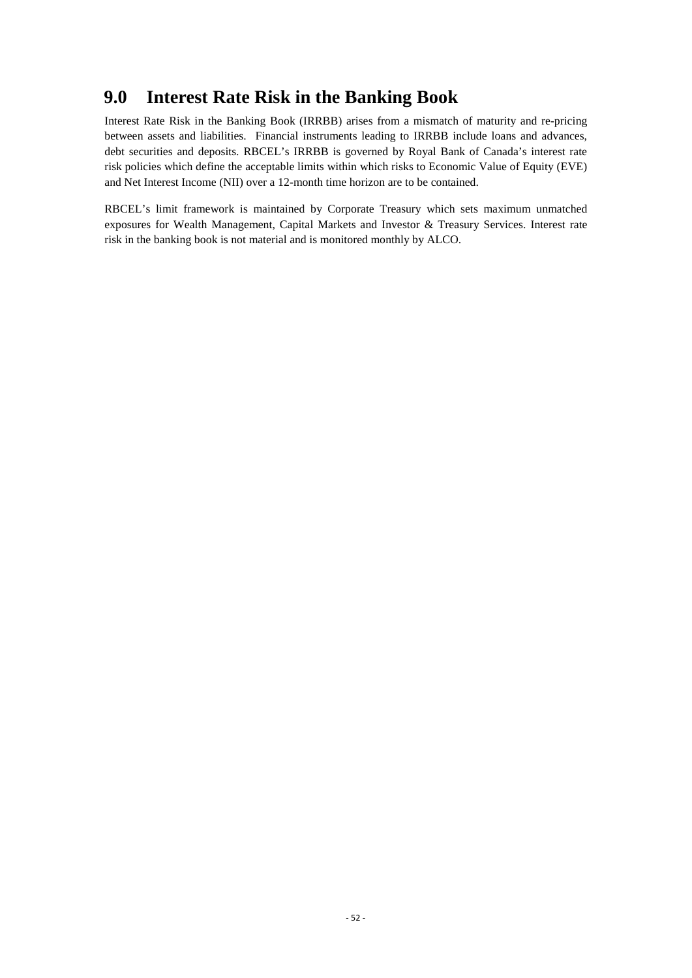# <span id="page-54-0"></span>**9.0 Interest Rate Risk in the Banking Book**

Interest Rate Risk in the Banking Book (IRRBB) arises from a mismatch of maturity and re-pricing between assets and liabilities. Financial instruments leading to IRRBB include loans and advances, debt securities and deposits. RBCEL's IRRBB is governed by Royal Bank of Canada's interest rate risk policies which define the acceptable limits within which risks to Economic Value of Equity (EVE) and Net Interest Income (NII) over a 12-month time horizon are to be contained.

RBCEL's limit framework is maintained by Corporate Treasury which sets maximum unmatched exposures for Wealth Management, Capital Markets and Investor & Treasury Services. Interest rate risk in the banking book is not material and is monitored monthly by ALCO.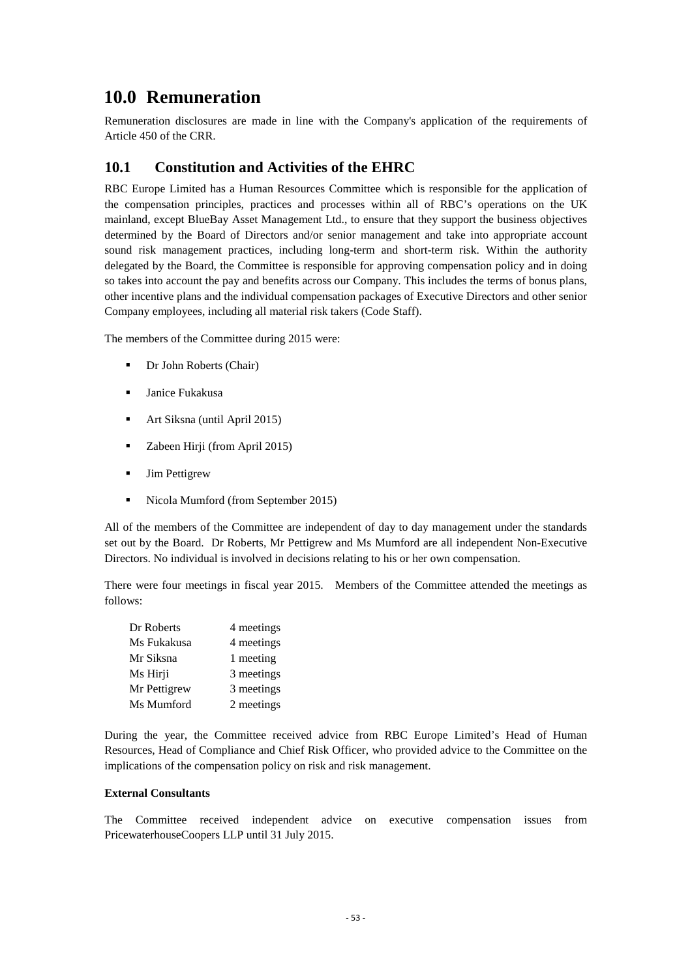# <span id="page-55-0"></span>**10.0 Remuneration**

Remuneration disclosures are made in line with the Company's application of the requirements of Article 450 of the CRR.

## <span id="page-55-1"></span>**10.1 Constitution and Activities of the EHRC**

RBC Europe Limited has a Human Resources Committee which is responsible for the application of the compensation principles, practices and processes within all of RBC's operations on the UK mainland, except BlueBay Asset Management Ltd., to ensure that they support the business objectives determined by the Board of Directors and/or senior management and take into appropriate account sound risk management practices, including long-term and short-term risk. Within the authority delegated by the Board, the Committee is responsible for approving compensation policy and in doing so takes into account the pay and benefits across our Company. This includes the terms of bonus plans, other incentive plans and the individual compensation packages of Executive Directors and other senior Company employees, including all material risk takers (Code Staff).

The members of the Committee during 2015 were:

- Dr John Roberts (Chair)
- Janice Fukakusa
- Art Siksna (until April 2015)
- **EXECUTE:** Zabeen Hirji (from April 2015)
- Jim Pettigrew
- Nicola Mumford (from September 2015)

All of the members of the Committee are independent of day to day management under the standards set out by the Board. Dr Roberts, Mr Pettigrew and Ms Mumford are all independent Non-Executive Directors. No individual is involved in decisions relating to his or her own compensation.

There were four meetings in fiscal year 2015. Members of the Committee attended the meetings as follows:

| Dr Roberts   | 4 meetings |
|--------------|------------|
| Ms Fukakusa  | 4 meetings |
| Mr Siksna    | 1 meeting  |
| Ms Hirji     | 3 meetings |
| Mr Pettigrew | 3 meetings |
| Ms Mumford   | 2 meetings |

During the year, the Committee received advice from RBC Europe Limited's Head of Human Resources, Head of Compliance and Chief Risk Officer, who provided advice to the Committee on the implications of the compensation policy on risk and risk management.

#### **External Consultants**

The Committee received independent advice on executive compensation issues from PricewaterhouseCoopers LLP until 31 July 2015.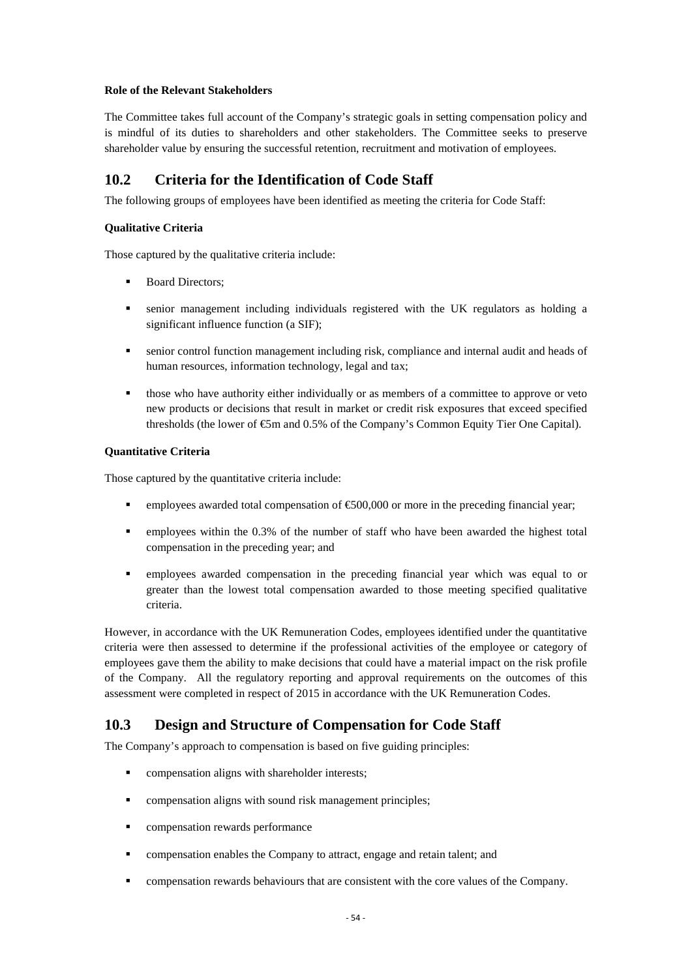#### **Role of the Relevant Stakeholders**

The Committee takes full account of the Company's strategic goals in setting compensation policy and is mindful of its duties to shareholders and other stakeholders. The Committee seeks to preserve shareholder value by ensuring the successful retention, recruitment and motivation of employees.

## <span id="page-56-0"></span>**10.2 Criteria for the Identification of Code Staff**

The following groups of employees have been identified as meeting the criteria for Code Staff:

#### **Qualitative Criteria**

Those captured by the qualitative criteria include:

- Board Directors;
- senior management including individuals registered with the UK regulators as holding a significant influence function (a SIF);
- senior control function management including risk, compliance and internal audit and heads of human resources, information technology, legal and tax;
- those who have authority either individually or as members of a committee to approve or veto new products or decisions that result in market or credit risk exposures that exceed specified thresholds (the lower of  $\mathfrak{S}m$  and 0.5% of the Company's Common Equity Tier One Capital).

#### **Quantitative Criteria**

Those captured by the quantitative criteria include:

- employees awarded total compensation of  $\epsilon$ 500,000 or more in the preceding financial year;
- employees within the 0.3% of the number of staff who have been awarded the highest total compensation in the preceding year; and
- employees awarded compensation in the preceding financial year which was equal to or greater than the lowest total compensation awarded to those meeting specified qualitative criteria.

However, in accordance with the UK Remuneration Codes, employees identified under the quantitative criteria were then assessed to determine if the professional activities of the employee or category of employees gave them the ability to make decisions that could have a material impact on the risk profile of the Company. All the regulatory reporting and approval requirements on the outcomes of this assessment were completed in respect of 2015 in accordance with the UK Remuneration Codes.

## <span id="page-56-1"></span>**10.3 Design and Structure of Compensation for Code Staff**

The Company's approach to compensation is based on five guiding principles:

- compensation aligns with shareholder interests;
- compensation aligns with sound risk management principles;
- compensation rewards performance
- compensation enables the Company to attract, engage and retain talent; and
- compensation rewards behaviours that are consistent with the core values of the Company.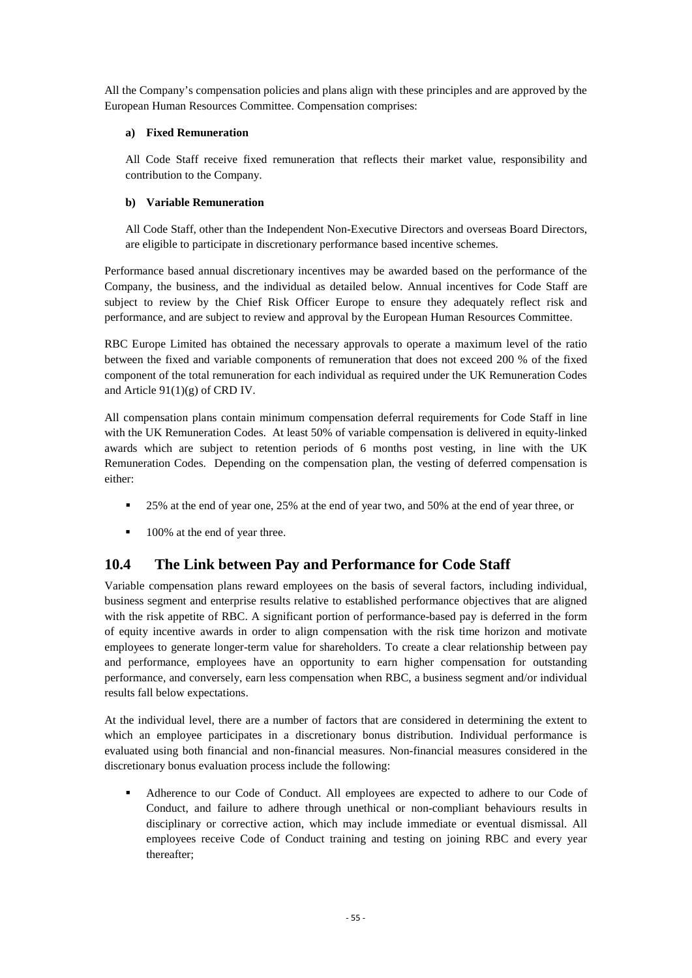All the Company's compensation policies and plans align with these principles and are approved by the European Human Resources Committee. Compensation comprises:

#### **a) Fixed Remuneration**

All Code Staff receive fixed remuneration that reflects their market value, responsibility and contribution to the Company.

#### **b) Variable Remuneration**

All Code Staff, other than the Independent Non-Executive Directors and overseas Board Directors, are eligible to participate in discretionary performance based incentive schemes.

Performance based annual discretionary incentives may be awarded based on the performance of the Company, the business, and the individual as detailed below. Annual incentives for Code Staff are subject to review by the Chief Risk Officer Europe to ensure they adequately reflect risk and performance, and are subject to review and approval by the European Human Resources Committee.

RBC Europe Limited has obtained the necessary approvals to operate a maximum level of the ratio between the fixed and variable components of remuneration that does not exceed 200 % of the fixed component of the total remuneration for each individual as required under the UK Remuneration Codes and Article 91(1)(g) of CRD IV.

All compensation plans contain minimum compensation deferral requirements for Code Staff in line with the UK Remuneration Codes. At least 50% of variable compensation is delivered in equity-linked awards which are subject to retention periods of 6 months post vesting, in line with the UK Remuneration Codes. Depending on the compensation plan, the vesting of deferred compensation is either:

- 25% at the end of year one, 25% at the end of year two, and 50% at the end of year three, or
- 100% at the end of year three.

# <span id="page-57-0"></span>**10.4 The Link between Pay and Performance for Code Staff**

Variable compensation plans reward employees on the basis of several factors, including individual, business segment and enterprise results relative to established performance objectives that are aligned with the risk appetite of RBC. A significant portion of performance-based pay is deferred in the form of equity incentive awards in order to align compensation with the risk time horizon and motivate employees to generate longer-term value for shareholders. To create a clear relationship between pay and performance, employees have an opportunity to earn higher compensation for outstanding performance, and conversely, earn less compensation when RBC, a business segment and/or individual results fall below expectations.

At the individual level, there are a number of factors that are considered in determining the extent to which an employee participates in a discretionary bonus distribution. Individual performance is evaluated using both financial and non-financial measures. Non-financial measures considered in the discretionary bonus evaluation process include the following:

 Adherence to our Code of Conduct. All employees are expected to adhere to our Code of Conduct, and failure to adhere through unethical or non-compliant behaviours results in disciplinary or corrective action, which may include immediate or eventual dismissal. All employees receive Code of Conduct training and testing on joining RBC and every year thereafter;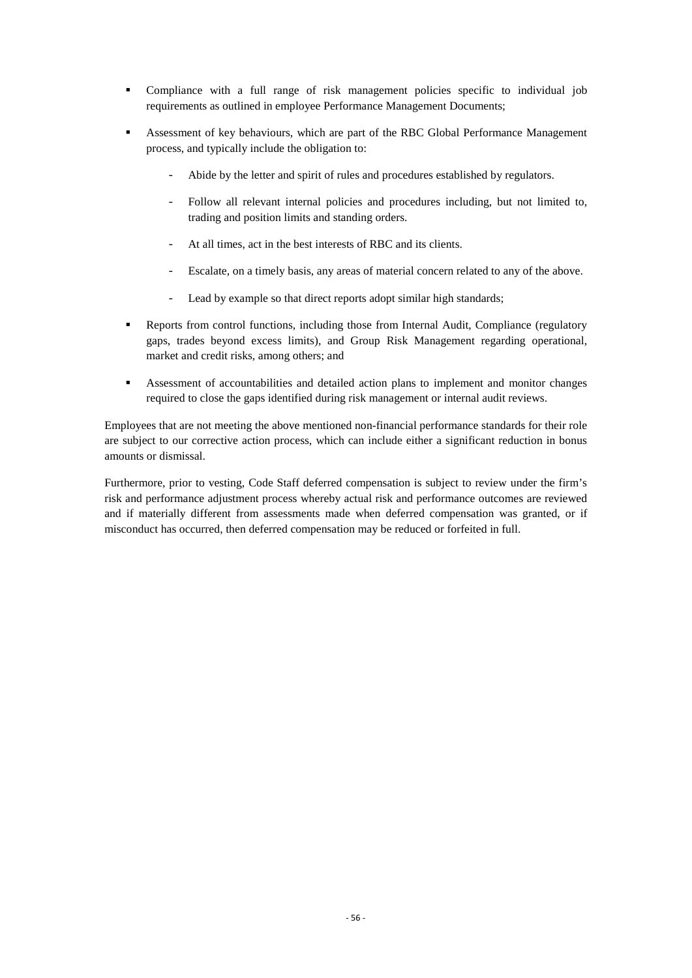- Compliance with a full range of risk management policies specific to individual job requirements as outlined in employee Performance Management Documents;
- Assessment of key behaviours, which are part of the RBC Global Performance Management process, and typically include the obligation to:
	- Abide by the letter and spirit of rules and procedures established by regulators.
	- Follow all relevant internal policies and procedures including, but not limited to, trading and position limits and standing orders.
	- At all times, act in the best interests of RBC and its clients.
	- Escalate, on a timely basis, any areas of material concern related to any of the above.
	- Lead by example so that direct reports adopt similar high standards;
- Reports from control functions, including those from Internal Audit, Compliance (regulatory gaps, trades beyond excess limits), and Group Risk Management regarding operational, market and credit risks, among others; and
- Assessment of accountabilities and detailed action plans to implement and monitor changes required to close the gaps identified during risk management or internal audit reviews.

Employees that are not meeting the above mentioned non-financial performance standards for their role are subject to our corrective action process, which can include either a significant reduction in bonus amounts or dismissal.

Furthermore, prior to vesting, Code Staff deferred compensation is subject to review under the firm's risk and performance adjustment process whereby actual risk and performance outcomes are reviewed and if materially different from assessments made when deferred compensation was granted, or if misconduct has occurred, then deferred compensation may be reduced or forfeited in full.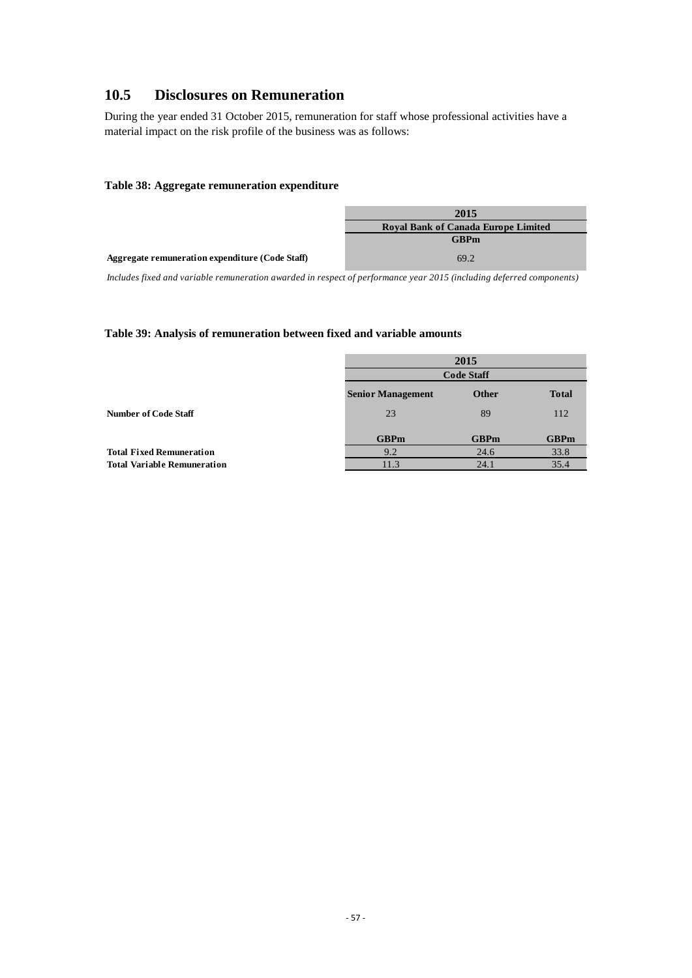# <span id="page-59-0"></span>**10.5 Disclosures on Remuneration**

During the year ended 31 October 2015, remuneration for staff whose professional activities have a material impact on the risk profile of the business was as follows:

#### <span id="page-59-1"></span>**Table 38: Aggregate remuneration expenditure**

|                                                 | 2015                                       |
|-------------------------------------------------|--------------------------------------------|
|                                                 | <b>Royal Bank of Canada Europe Limited</b> |
|                                                 | <b>GBPm</b>                                |
| Aggregate remuneration expenditure (Code Staff) | 69.2                                       |

*Includes fixed and variable remuneration awarded in respect of performance year 2015 (including deferred components)*

#### <span id="page-59-2"></span>**Table 39: Analysis of remuneration between fixed and variable amounts**

|                                    |                          | 2015         |              |
|------------------------------------|--------------------------|--------------|--------------|
|                                    | <b>Code Staff</b>        |              |              |
|                                    | <b>Senior Management</b> | <b>Other</b> | <b>Total</b> |
| <b>Number of Code Staff</b>        | 23                       | 89           | 112          |
|                                    | <b>GBPm</b>              | <b>GBPm</b>  | <b>GBPm</b>  |
| <b>Total Fixed Remuneration</b>    | 9.2                      | 24.6         | 33.8         |
| <b>Total Variable Remuneration</b> | 11.3                     | 24.1         | 35.4         |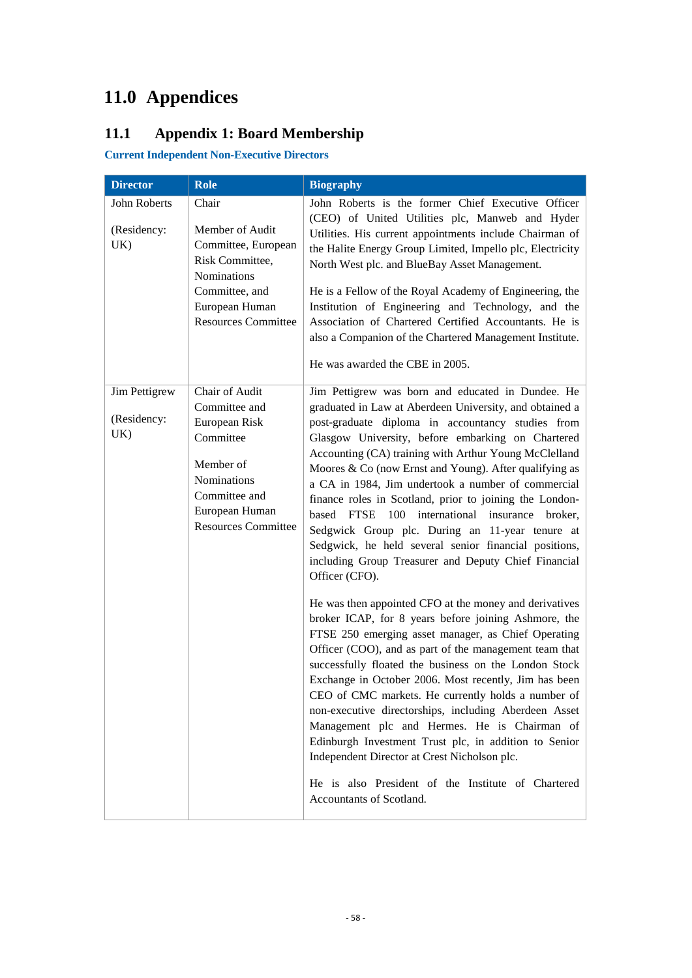# <span id="page-60-0"></span>**11.0 Appendices**

# <span id="page-60-1"></span>**11.1 Appendix 1: Board Membership**

**Current Independent Non-Executive Directors**

| <b>Director</b>                     | Role                                                                                                                                                       | <b>Biography</b>                                                                                                                                                                                                                                                                                                                                                                                                                                                                                                                                                                                                                                                                                                                                                                                                                                                                                                                                                                                                                                                                                                                                                                                                                                                                                                                   |
|-------------------------------------|------------------------------------------------------------------------------------------------------------------------------------------------------------|------------------------------------------------------------------------------------------------------------------------------------------------------------------------------------------------------------------------------------------------------------------------------------------------------------------------------------------------------------------------------------------------------------------------------------------------------------------------------------------------------------------------------------------------------------------------------------------------------------------------------------------------------------------------------------------------------------------------------------------------------------------------------------------------------------------------------------------------------------------------------------------------------------------------------------------------------------------------------------------------------------------------------------------------------------------------------------------------------------------------------------------------------------------------------------------------------------------------------------------------------------------------------------------------------------------------------------|
| John Roberts<br>(Residency:<br>UK)  | Chair<br>Member of Audit<br>Committee, European<br>Risk Committee,<br>Nominations<br>Committee, and<br>European Human<br><b>Resources Committee</b>        | John Roberts is the former Chief Executive Officer<br>(CEO) of United Utilities plc, Manweb and Hyder<br>Utilities. His current appointments include Chairman of<br>the Halite Energy Group Limited, Impello plc, Electricity<br>North West plc. and BlueBay Asset Management.<br>He is a Fellow of the Royal Academy of Engineering, the<br>Institution of Engineering and Technology, and the<br>Association of Chartered Certified Accountants. He is<br>also a Companion of the Chartered Management Institute.<br>He was awarded the CBE in 2005.                                                                                                                                                                                                                                                                                                                                                                                                                                                                                                                                                                                                                                                                                                                                                                             |
| Jim Pettigrew<br>(Residency:<br>UK) | Chair of Audit<br>Committee and<br>European Risk<br>Committee<br>Member of<br>Nominations<br>Committee and<br>European Human<br><b>Resources Committee</b> | Jim Pettigrew was born and educated in Dundee. He<br>graduated in Law at Aberdeen University, and obtained a<br>post-graduate diploma in accountancy studies from<br>Glasgow University, before embarking on Chartered<br>Accounting (CA) training with Arthur Young McClelland<br>Moores & Co (now Ernst and Young). After qualifying as<br>a CA in 1984, Jim undertook a number of commercial<br>finance roles in Scotland, prior to joining the London-<br>based FTSE 100 international insurance<br>broker,<br>Sedgwick Group plc. During an 11-year tenure at<br>Sedgwick, he held several senior financial positions,<br>including Group Treasurer and Deputy Chief Financial<br>Officer (CFO).<br>He was then appointed CFO at the money and derivatives<br>broker ICAP, for 8 years before joining Ashmore, the<br>FTSE 250 emerging asset manager, as Chief Operating<br>Officer (COO), and as part of the management team that<br>successfully floated the business on the London Stock<br>Exchange in October 2006. Most recently, Jim has been<br>CEO of CMC markets. He currently holds a number of<br>non-executive directorships, including Aberdeen Asset<br>Management plc and Hermes. He is Chairman of<br>Edinburgh Investment Trust plc, in addition to Senior<br>Independent Director at Crest Nicholson plc. |
|                                     |                                                                                                                                                            | He is also President of the Institute of Chartered<br>Accountants of Scotland.                                                                                                                                                                                                                                                                                                                                                                                                                                                                                                                                                                                                                                                                                                                                                                                                                                                                                                                                                                                                                                                                                                                                                                                                                                                     |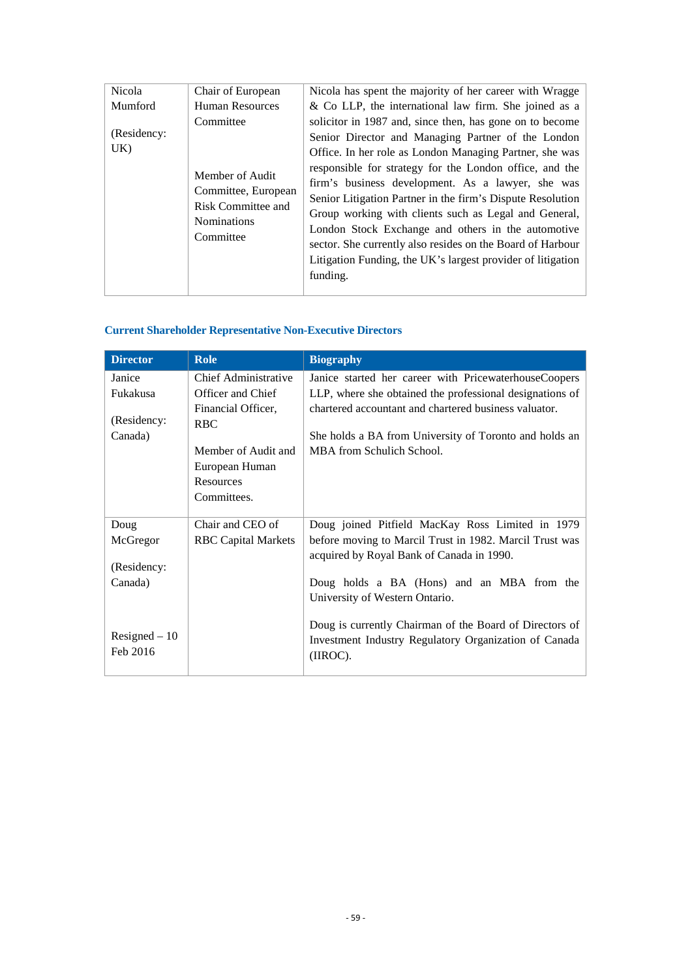| Nicola             | Chair of European                                                                                                   | Nicola has spent the majority of her career with Wragge                                                                                                                                                                                                                                                                                                                                                                                                                                                                                                                                                         |
|--------------------|---------------------------------------------------------------------------------------------------------------------|-----------------------------------------------------------------------------------------------------------------------------------------------------------------------------------------------------------------------------------------------------------------------------------------------------------------------------------------------------------------------------------------------------------------------------------------------------------------------------------------------------------------------------------------------------------------------------------------------------------------|
| Mumford            | <b>Human Resources</b>                                                                                              | $\&$ Co LLP, the international law firm. She joined as a                                                                                                                                                                                                                                                                                                                                                                                                                                                                                                                                                        |
| (Residency:<br>UK) | Committee<br>Member of Audit<br>Committee, European<br><b>Risk Committee and</b><br><b>Nominations</b><br>Committee | solicitor in 1987 and, since then, has gone on to become<br>Senior Director and Managing Partner of the London<br>Office. In her role as London Managing Partner, she was<br>responsible for strategy for the London office, and the<br>firm's business development. As a lawyer, she was<br>Senior Litigation Partner in the firm's Dispute Resolution<br>Group working with clients such as Legal and General,<br>London Stock Exchange and others in the automotive<br>sector. She currently also resides on the Board of Harbour<br>Litigation Funding, the UK's largest provider of litigation<br>funding. |

# **Current Shareholder Representative Non-Executive Directors**

| <b>Director</b> | <b>Role</b>                | <b>Biography</b>                                         |
|-----------------|----------------------------|----------------------------------------------------------|
| Janice          | Chief Administrative       | Janice started her career with PricewaterhouseCoopers    |
| Fukakusa        | Officer and Chief          | LLP, where she obtained the professional designations of |
|                 | Financial Officer,         | chartered accountant and chartered business valuator.    |
| (Residency:     | <b>RBC</b>                 |                                                          |
| Canada)         |                            | She holds a BA from University of Toronto and holds an   |
|                 | Member of Audit and        | MBA from Schulich School.                                |
|                 | European Human             |                                                          |
|                 | Resources                  |                                                          |
|                 | Committees.                |                                                          |
| Doug            | Chair and CEO of           | Doug joined Pitfield MacKay Ross Limited in 1979         |
| McGregor        | <b>RBC</b> Capital Markets | before moving to Marcil Trust in 1982. Marcil Trust was  |
|                 |                            | acquired by Royal Bank of Canada in 1990.                |
| (Residency:     |                            |                                                          |
| Canada)         |                            | Doug holds a BA (Hons) and an MBA from the               |
|                 |                            | University of Western Ontario.                           |
|                 |                            |                                                          |
|                 |                            | Doug is currently Chairman of the Board of Directors of  |
| $Resigned - 10$ |                            | Investment Industry Regulatory Organization of Canada    |
| Feb 2016        |                            | (IIROC).                                                 |
|                 |                            |                                                          |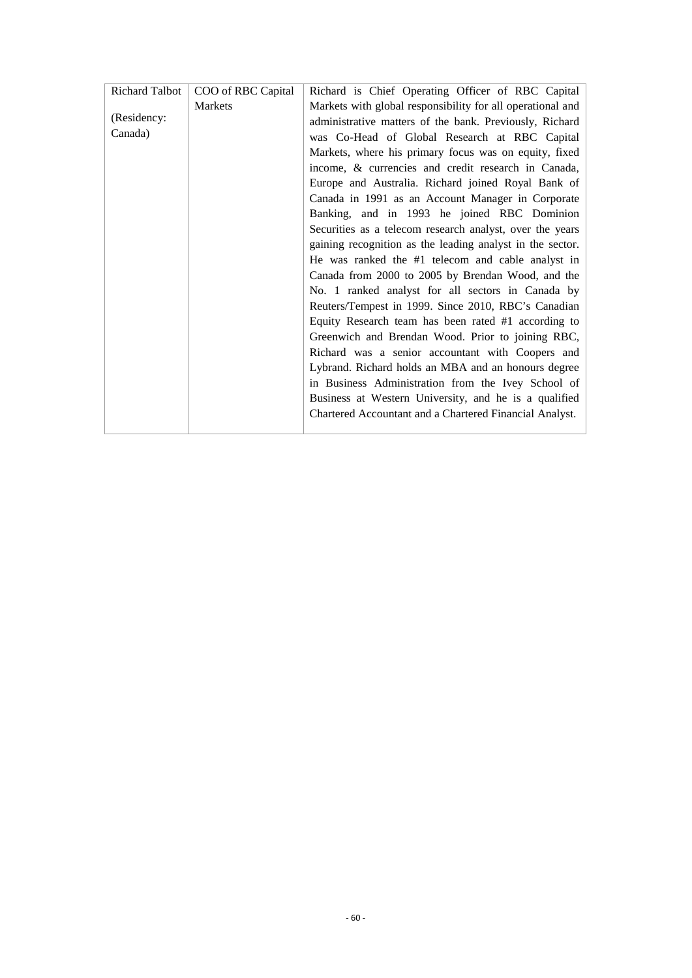| Richard Talbot | COO of RBC Capital | Richard is Chief Operating Officer of RBC Capital          |
|----------------|--------------------|------------------------------------------------------------|
|                | <b>Markets</b>     | Markets with global responsibility for all operational and |
| (Residency:    |                    | administrative matters of the bank. Previously, Richard    |
| Canada)        |                    | was Co-Head of Global Research at RBC Capital              |
|                |                    | Markets, where his primary focus was on equity, fixed      |
|                |                    | income, & currencies and credit research in Canada,        |
|                |                    | Europe and Australia. Richard joined Royal Bank of         |
|                |                    | Canada in 1991 as an Account Manager in Corporate          |
|                |                    | Banking, and in 1993 he joined RBC Dominion                |
|                |                    | Securities as a telecom research analyst, over the years   |
|                |                    | gaining recognition as the leading analyst in the sector.  |
|                |                    | He was ranked the #1 telecom and cable analyst in          |
|                |                    | Canada from 2000 to 2005 by Brendan Wood, and the          |
|                |                    | No. 1 ranked analyst for all sectors in Canada by          |
|                |                    | Reuters/Tempest in 1999. Since 2010, RBC's Canadian        |
|                |                    | Equity Research team has been rated #1 according to        |
|                |                    | Greenwich and Brendan Wood. Prior to joining RBC,          |
|                |                    | Richard was a senior accountant with Coopers and           |
|                |                    | Lybrand. Richard holds an MBA and an honours degree        |
|                |                    | in Business Administration from the Ivey School of         |
|                |                    | Business at Western University, and he is a qualified      |
|                |                    | Chartered Accountant and a Chartered Financial Analyst.    |
|                |                    |                                                            |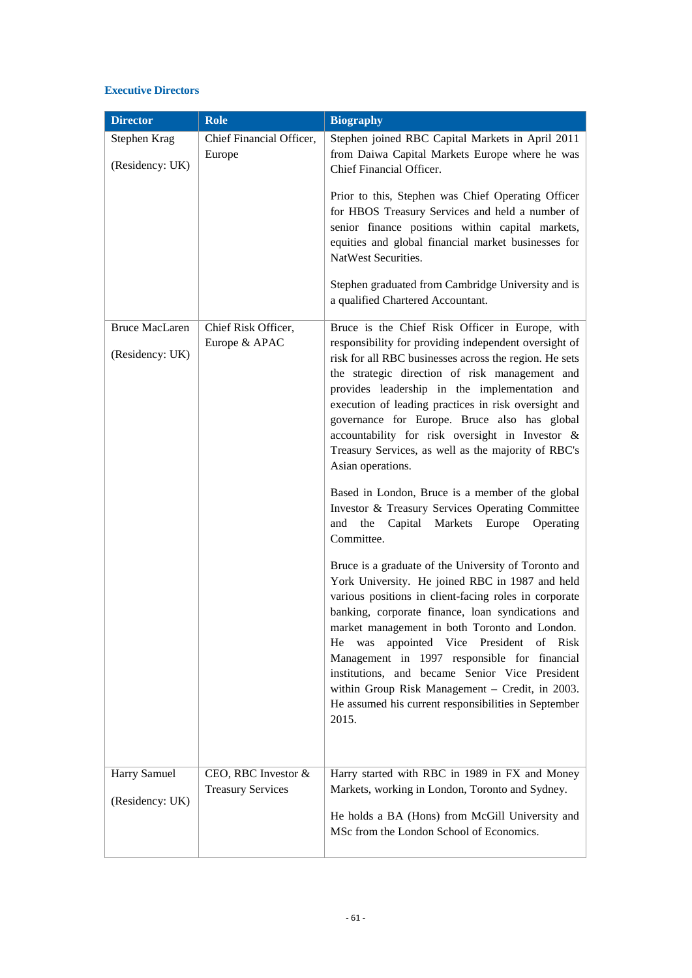### **Executive Directors**

| <b>Director</b>                          | Role                                 | <b>Biography</b>                                                                                                                                                                                                                                                                                                                                                                                                                                                                                                                              |
|------------------------------------------|--------------------------------------|-----------------------------------------------------------------------------------------------------------------------------------------------------------------------------------------------------------------------------------------------------------------------------------------------------------------------------------------------------------------------------------------------------------------------------------------------------------------------------------------------------------------------------------------------|
| Stephen Krag<br>(Residency: UK)          | Chief Financial Officer,<br>Europe   | Stephen joined RBC Capital Markets in April 2011<br>from Daiwa Capital Markets Europe where he was<br>Chief Financial Officer.                                                                                                                                                                                                                                                                                                                                                                                                                |
|                                          |                                      | Prior to this, Stephen was Chief Operating Officer<br>for HBOS Treasury Services and held a number of<br>senior finance positions within capital markets,<br>equities and global financial market businesses for<br>NatWest Securities.                                                                                                                                                                                                                                                                                                       |
|                                          |                                      | Stephen graduated from Cambridge University and is<br>a qualified Chartered Accountant.                                                                                                                                                                                                                                                                                                                                                                                                                                                       |
| <b>Bruce MacLaren</b><br>(Residency: UK) | Chief Risk Officer,<br>Europe & APAC | Bruce is the Chief Risk Officer in Europe, with<br>responsibility for providing independent oversight of<br>risk for all RBC businesses across the region. He sets<br>the strategic direction of risk management and<br>provides leadership in the implementation and<br>execution of leading practices in risk oversight and<br>governance for Europe. Bruce also has global<br>accountability for risk oversight in Investor &<br>Treasury Services, as well as the majority of RBC's<br>Asian operations.                                  |
|                                          |                                      | Based in London, Bruce is a member of the global<br>Investor & Treasury Services Operating Committee<br>Capital Markets Europe<br>and<br>the<br>Operating<br>Committee.                                                                                                                                                                                                                                                                                                                                                                       |
|                                          |                                      | Bruce is a graduate of the University of Toronto and<br>York University. He joined RBC in 1987 and held<br>various positions in client-facing roles in corporate<br>banking, corporate finance, loan syndications and<br>market management in both Toronto and London.<br>appointed Vice President of Risk<br>He<br>was<br>Management in 1997 responsible for financial<br>institutions, and became Senior Vice President<br>within Group Risk Management - Credit, in 2003.<br>He assumed his current responsibilities in September<br>2015. |
| Harry Samuel                             | CEO, RBC Investor &                  | Harry started with RBC in 1989 in FX and Money                                                                                                                                                                                                                                                                                                                                                                                                                                                                                                |
| (Residency: UK)                          | <b>Treasury Services</b>             | Markets, working in London, Toronto and Sydney.<br>He holds a BA (Hons) from McGill University and<br>MSc from the London School of Economics.                                                                                                                                                                                                                                                                                                                                                                                                |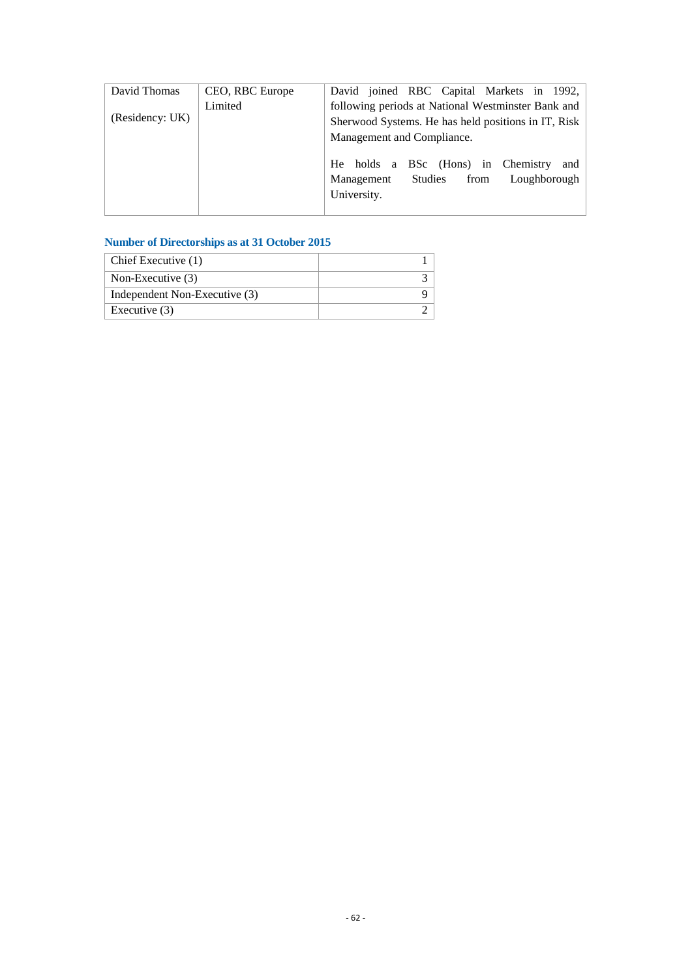| David Thomas    | CEO, RBC Europe | David joined RBC Capital Markets in 1992,           |
|-----------------|-----------------|-----------------------------------------------------|
| (Residency: UK) | Limited         | following periods at National Westminster Bank and  |
|                 |                 | Sherwood Systems. He has held positions in IT, Risk |
|                 |                 | Management and Compliance.                          |
|                 |                 | He holds a BSc (Hons) in Chemistry<br>and           |
|                 |                 | Loughborough<br>Studies<br>Management<br>from       |
|                 |                 | University.                                         |
|                 |                 |                                                     |

# **Number of Directorships as at 31 October 2015**

| Chief Executive (1)           |  |
|-------------------------------|--|
| Non-Executive $(3)$           |  |
| Independent Non-Executive (3) |  |
| Executive $(3)$               |  |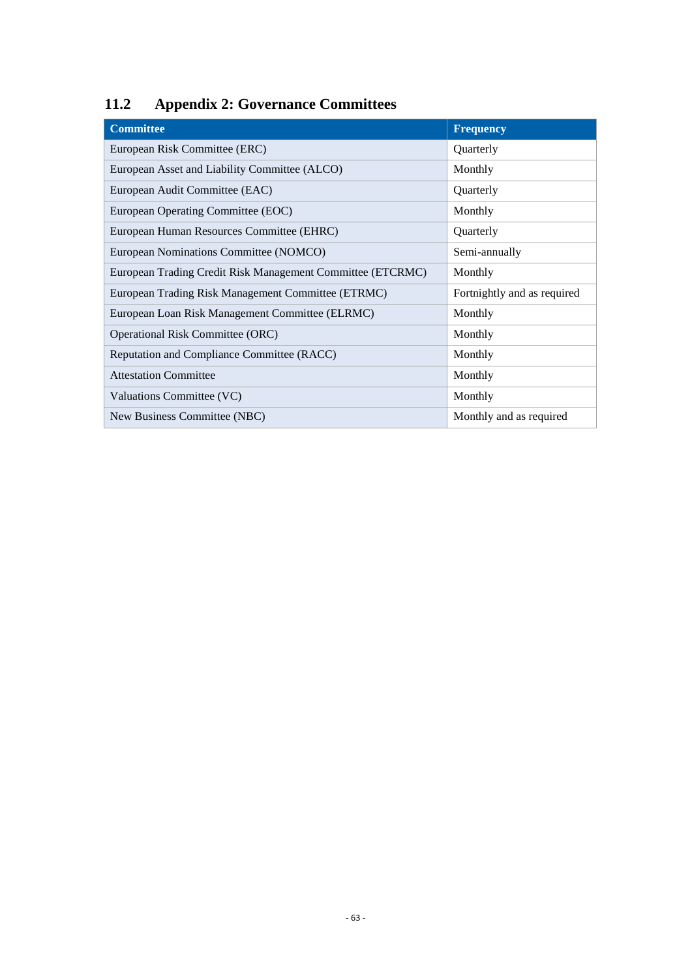# <span id="page-65-0"></span>**11.2 Appendix 2: Governance Committees**

| <b>Committee</b>                                           | <b>Frequency</b>            |
|------------------------------------------------------------|-----------------------------|
| European Risk Committee (ERC)                              | Quarterly                   |
| European Asset and Liability Committee (ALCO)              | Monthly                     |
| European Audit Committee (EAC)                             | Quarterly                   |
| European Operating Committee (EOC)                         | Monthly                     |
| European Human Resources Committee (EHRC)                  | Quarterly                   |
| European Nominations Committee (NOMCO)                     | Semi-annually               |
| European Trading Credit Risk Management Committee (ETCRMC) | Monthly                     |
| European Trading Risk Management Committee (ETRMC)         | Fortnightly and as required |
| European Loan Risk Management Committee (ELRMC)            | Monthly                     |
| <b>Operational Risk Committee (ORC)</b>                    | Monthly                     |
| Reputation and Compliance Committee (RACC)                 | Monthly                     |
| <b>Attestation Committee</b>                               | Monthly                     |
| Valuations Committee (VC)                                  | Monthly                     |
| New Business Committee (NBC)                               | Monthly and as required     |